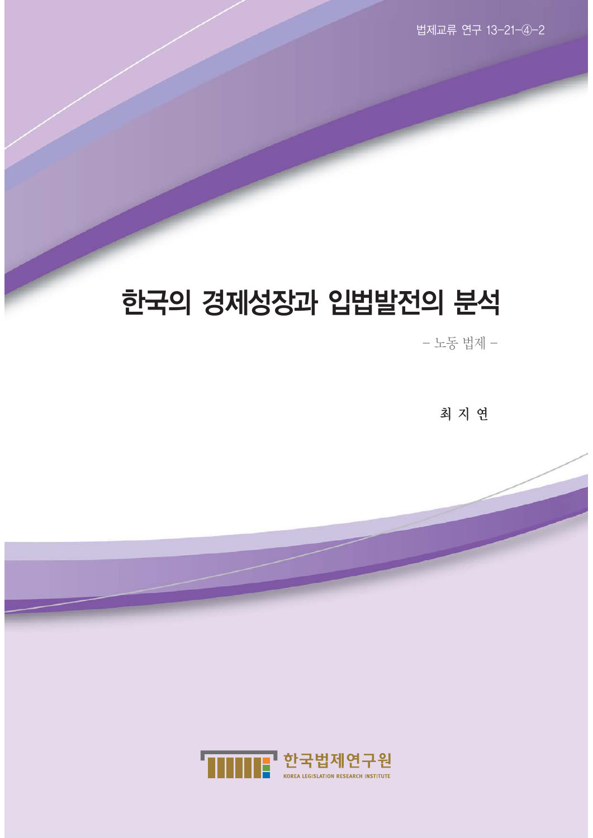# 한국의 경제성장과 입법발전의 분석

- 노동 법제 -

최지연

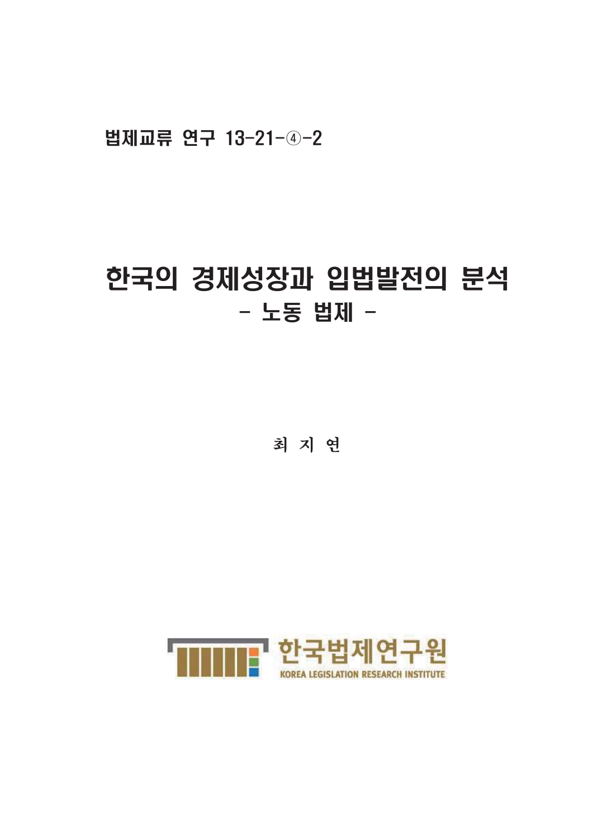# 법제교류 연구 13-21-4-2

# 한국의 경제성장과 입법발전의 분석 - 노동 법제 -

최 지 연

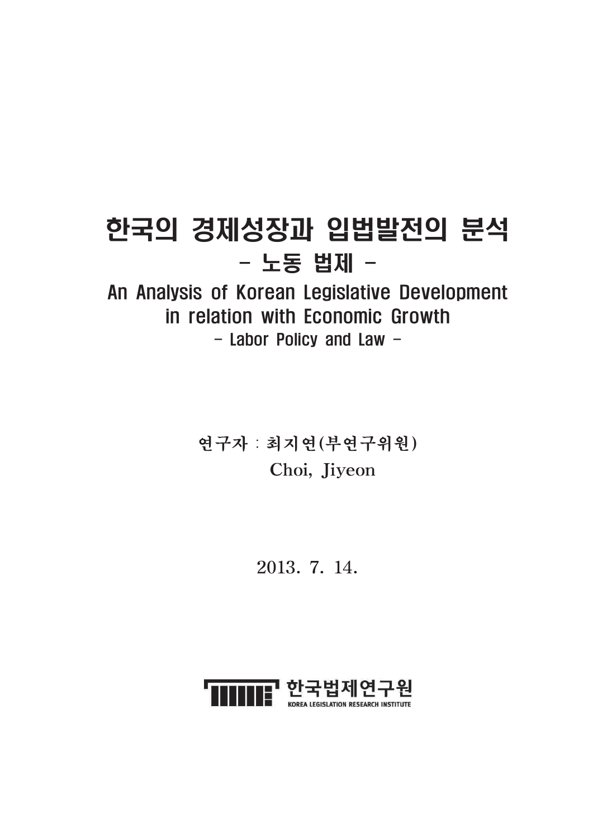# 한국의 경제성장과 입법발전의 분석 - 노동 법제 -

# An Analysis of Korean Legislative Development in relation with Economic Growth - Labor Policy and Law -

연구자 : 최지연(부연구위원) Choi, Jiyeon

2013. 7. 14.

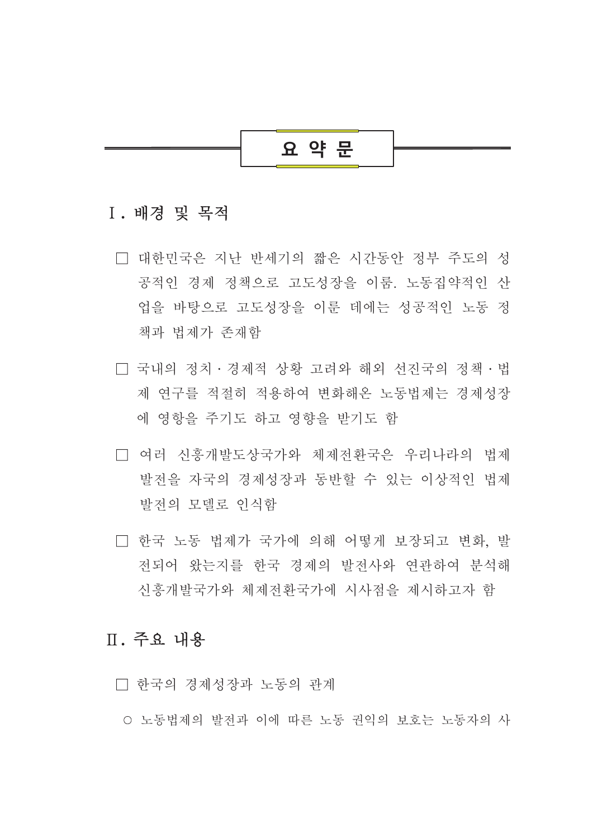

## I. 배경 및 목적

- □ 대한민국은 지나 반세기의 짧은 시간동안 정부 주도의 성 공적인 경제 정책으로 고도성장을 이룸. 노동집약적인 산 업을 바탕으로 고도성장을 이룬 데에는 성공적인 노동 정 책과 법제가 존재함
- □ 국내의 정치 · 경제적 상황 고려와 해외 선진국의 정책 · 법 제 연구를 적절히 적용하여 변화해온 노동법제는 경제성장 에 영항을 주기도 하고 영향을 받기도 함
- □ 여러 신흥개발도상국가와 체제전화국은 우리나라의 법제 발전을 자국의 경제성장과 동반할 수 있는 이상적인 법제 발전의 모델로 인식함
- □ 한국 노동 법제가 국가에 의해 어떻게 보장되고 변화. 발 전되어 왔는지를 한국 경제의 발전사와 연관하여 부석해 신흥개발국가와 체제전환국가에 시사점을 제시하고자 함

## Ⅱ. 주요 내용

- □ 한국의 경제성장과 노동의 관계
- 노동법제의 발전과 이에 따른 노동 권익의 보호는 노동자의 사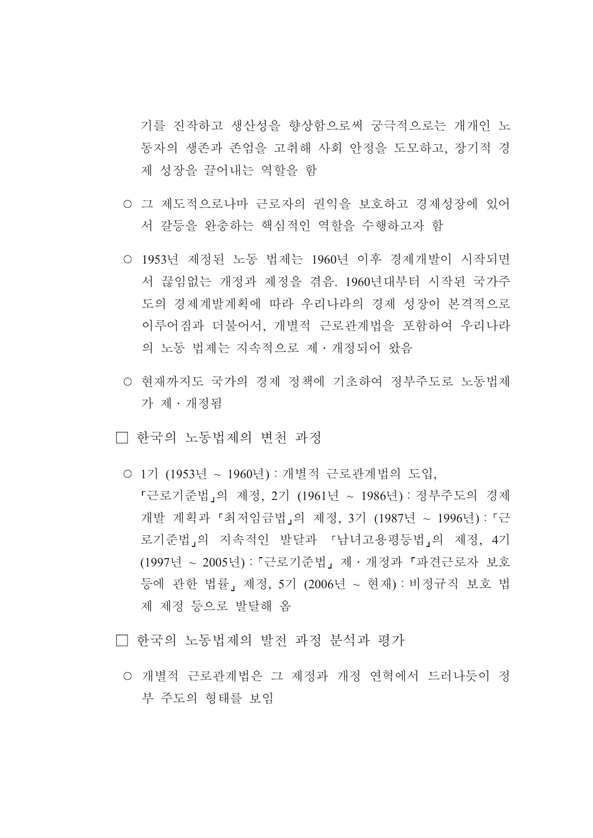기를 진작하고 생산성을 향상함으로써 궁극적으로는 개개인 노 동자의 생존과 존엄을 고취해 사회 안정을 도모하고, 장기적 경 제 성장을 끌어내는 역할을 함

- 그 제도적으로나마 근로자의 권익을 보호하고 경제성장에 있어 서 갈등을 완충하는 핵심적인 역할을 수행하고자 함
- 1953년 제정된 노동 법제는 1960년 이후 경제개발이 시작되면 서 끊임없는 개정과 제정을 겪음. 1960년대부터 시작된 국가주 도의 경제계발계획에 따라 우리나라의 경제 성장이 본격적으로 이루어짐과 더불어서, 개별적 근로관계법을 포함하여 우리나라 의 노동 법제는 지속적으로 제 · 개정되어 왔음
- 현재까지도 국가의 경제 정책에 기초하여 정부주도로 노동법제 가 제 · 개정됨
- □ 한국의 노동법제의 변천 과정
	- 1기 (1953년 ~ 1960년) : 개별적 근로관계법의 도입. 『근로기준법」의 제정, 2기 (1961년 ~ 1986년) : 정부주도의 경제 개발 계획과 「최저임금법」의 제정, 3기 (1987년 ~ 1996년) : 「근 로기준법」의 지속적인 발달과 「남녀고용평등법」의 제정, 4기 (1997년 ~ 2005년): 「근로기준법」제 · 개정과 「파견근로자 보호 등에 관한 법률, 제정, 5기 (2006년 ~ 현재): 비정규직 보호 법 제 제정 등으로 발달해 옴
- □ 한국의 노동법제의 발전 과정 분석과 평가
	- 개별적 근로관계법은 그 제정과 개정 연혁에서 드러나듯이 정 부 주도의 형태를 보임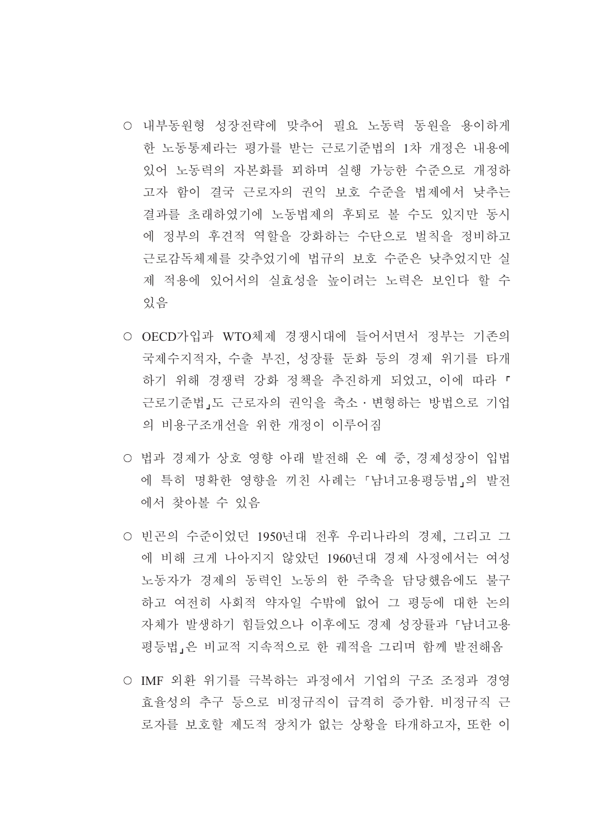- 내부동원형 성장전략에 맞추어 필요 노동력 동원을 용이하게 한 노동통제라는 평가를 받는 근로기준법의 1차 개정은 내용에 있어 노동력의 자본화를 꾀하며 실행 가능한 수준으로 개정하 고자 함이 결국 근로자의 권익 보호 수준을 법제에서 낮추는 결과를 초래하였기에 노동법제의 후퇴로 볼 수도 있지만 동시 에 정부의 후견적 역할을 강화하는 수단으로 벌칙을 정비하고 근로감독체제를 갖추었기에 법규의 보호 수준은 낮추었지만 실 제 적용에 있어서의 실효성을 높이려는 노력은 보인다 할 수 있음
- OECD가입과 WTO체제 경쟁시대에 들어서면서 정부는 기존의 국제수지적자, 수출 부진, 성장률 둔화 등의 경제 위기를 타개 하기 위해 경쟁력 강화 정책을 추진하게 되었고, 이에 따라 「 근로기준법,도 근로자의 권익을 축소ㆍ변형하는 방법으로 기업 의 비용구조개선을 위한 개정이 이루어짐
- 법과 경제가 상호 영향 아래 발전해 온 예 중, 경제성장이 입법 에 특히 명확한 영향을 끼친 사례는 「남녀고용평등법」의 발전 에서 찾아볼 수 있음
- 빈곤의 수준이었던 1950년대 전후 우리나라의 경제, 그리고 그 에 비해 크게 나아지지 않았던 1960년대 경제 사정에서는 여성 노동자가 경제의 동력인 노동의 한 주축을 담당했음에도 불구 하고 여전히 사회적 약자일 수밖에 없어 그 평등에 대한 논의 자체가 발생하기 힘들었으나 이후에도 경제 성장률과 「남녀고용 평등법 은 비교적 지속적으로 한 궤적을 그리며 함께 발전해옴
- IMF 외화 위기를 극복하는 과정에서 기업의 구조 조정과 경영 효율성의 추구 등으로 비정규직이 급격히 증가함. 비정규직 근 로자를 보호할 제도적 장치가 없는 상황을 타개하고자. 또한 이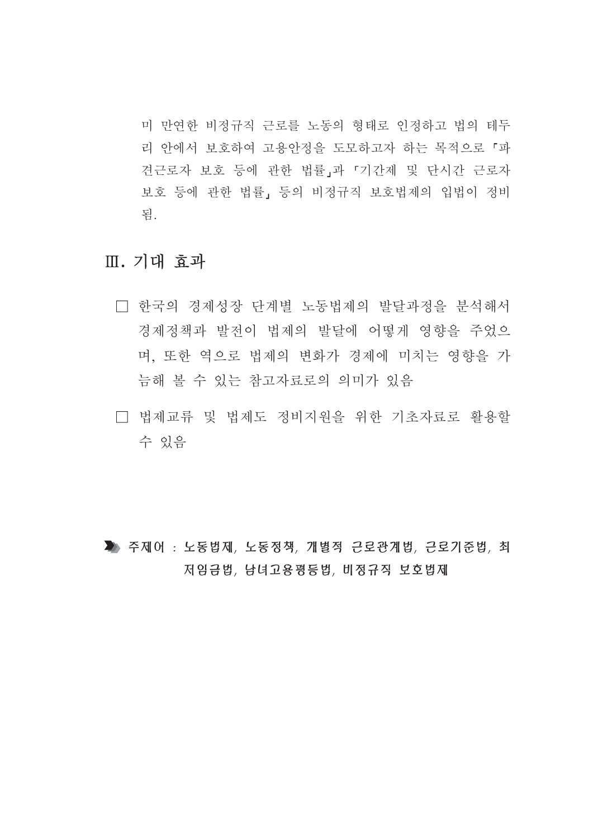미 만연한 비정규직 근로를 노동의 형태로 인정하고 법의 테두 리 안에서 보호하여 고용안정을 도모하고자 하는 목적으로 「파 견근로자 보호 등에 관한 법률」과 「기간제 및 단시간 근로자 보호 등에 관한 법률, 등의 비정규직 보호법제의 입법이 정비 됨

## Ⅲ. 기대 효과

- □ 한국의 경제성장 단계별 노동법제의 발달과정을 분석해서 경제정책과 발전이 법제의 발달에 어떻게 영향을 주었으 며, 또한 역으로 법제의 변화가 경제에 미치는 영향을 가 늠해 볼 수 있는 참고자료로의 의미가 있음
- □ 법제교류 및 법제도 정비지원을 위한 기초자료로 활용할 수 있음

▲ 주제어 : 노동법제, 노동정책, 개별적 근로관계법, 근로기준법, 최 저임금법, 남녀고용평등법, 비정규직 보호법제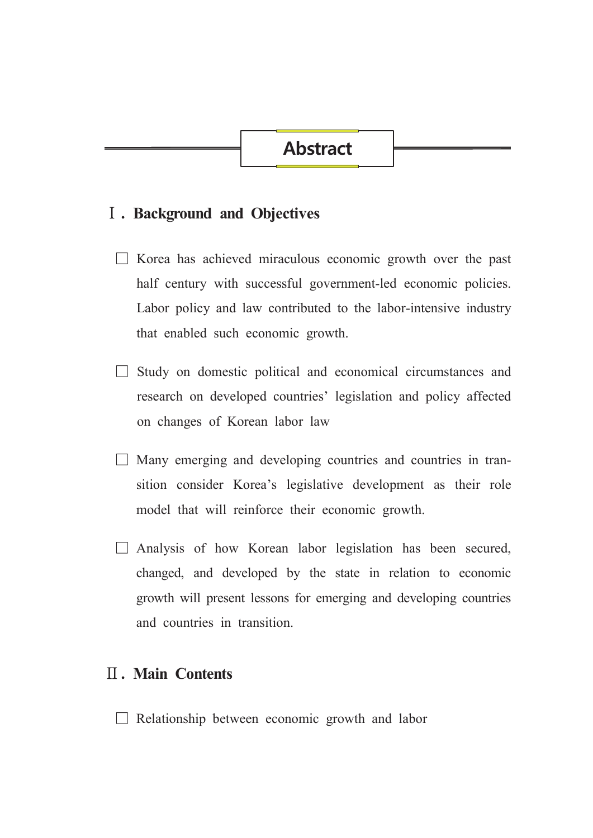### **I**. Background and Objectives

- $\Box$  Korea has achieved miraculous economic growth over the past half century with successful government-led economic policies. Labor policy and law contributed to the labor-intensive industry that enabled such economic growth.
- $\Box$  Study on domestic political and economical circumstances and research on developed countries' legislation and policy affected on changes of Korean labor law
- $\Box$  Many emerging and developing countries and countries in transition consider Korea's legislative development as their role model that will reinforce their economic growth.
- $\Box$  Analysis of how Korean labor legislation has been secured, changed, and developed by the state in relation to economic growth will present lessons for emerging and developing countries and countries in transition.

## **II.** Main Contents

 $\Box$  Relationship between economic growth and labor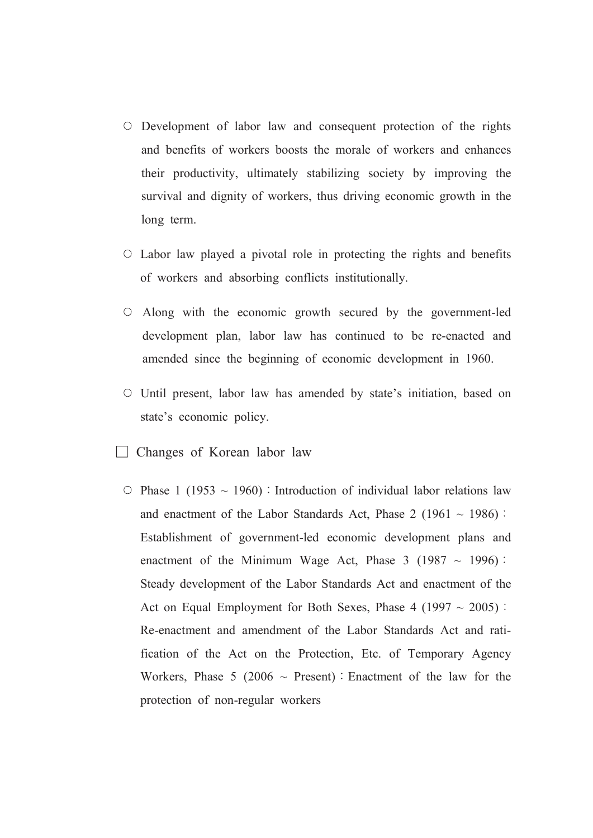- O Development of labor law and consequent protection of the rights and benefits of workers boosts the morale of workers and enhances their productivity, ultimately stabilizing society by improving the survival and dignity of workers, thus driving economic growth in the long term.
- $\circ$  Labor law played a pivotal role in protecting the rights and benefits of workers and absorbing conflicts institutionally.
- $\circ$  Along with the economic growth secured by the government-led development plan, labor law has continued to be re-enacted and amended since the beginning of economic development in 1960.
- $\circ$  Until present, labor law has amended by state's initiation, based on state's economic policy.
- $\Box$  Changes of Korean labor law
	- $\circ$  Phase 1 (1953 ~ 1960): Introduction of individual labor relations law and enactment of the Labor Standards Act, Phase 2 (1961  $\sim$  1986): Establishment of government-led economic development plans and enactment of the Minimum Wage Act, Phase 3 (1987  $\sim$  1996): Steady development of the Labor Standards Act and enactment of the Act on Equal Employment for Both Sexes, Phase 4 (1997  $\sim$  2005): Re-enactment and amendment of the Labor Standards Act and ratification of the Act on the Protection, Etc. of Temporary Agency Workers, Phase 5 (2006  $\sim$  Present) : Enactment of the law for the protection of non-regular workers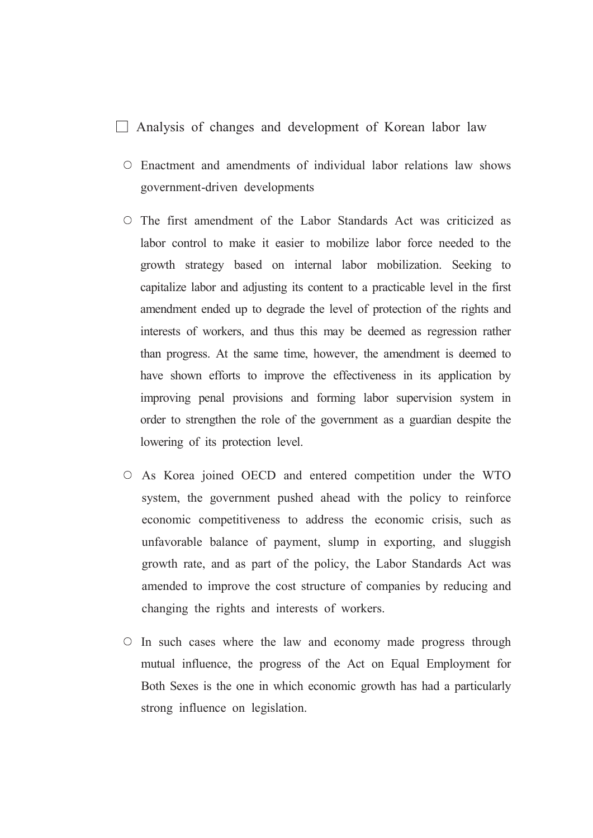#### $\Box$  Analysis of changes and development of Korean labor law

- O Enactment and amendments of individual labor relations law shows government-driven developments
- $\circ$  The first amendment of the Labor Standards Act was criticized as labor control to make it easier to mobilize labor force needed to the growth strategy based on internal labor mobilization. Seeking to capitalize labor and adjusting its content to a practicable level in the first amendment ended up to degrade the level of protection of the rights and interests of workers, and thus this may be deemed as regression rather than progress. At the same time, however, the amendment is deemed to have shown efforts to improve the effectiveness in its application by improving penal provisions and forming labor supervision system in order to strengthen the role of the government as a guardian despite the lowering of its protection level.
- As Korea joined OECD and entered competition under the WTO system, the government pushed ahead with the policy to reinforce economic competitiveness to address the economic crisis, such as unfavorable balance of payment, slump in exporting, and sluggish growth rate, and as part of the policy, the Labor Standards Act was amended to improve the cost structure of companies by reducing and changing the rights and interests of workers.
- $\circ$  In such cases where the law and economy made progress through mutual influence, the progress of the Act on Equal Employment for Both Sexes is the one in which economic growth has had a particularly strong influence on legislation.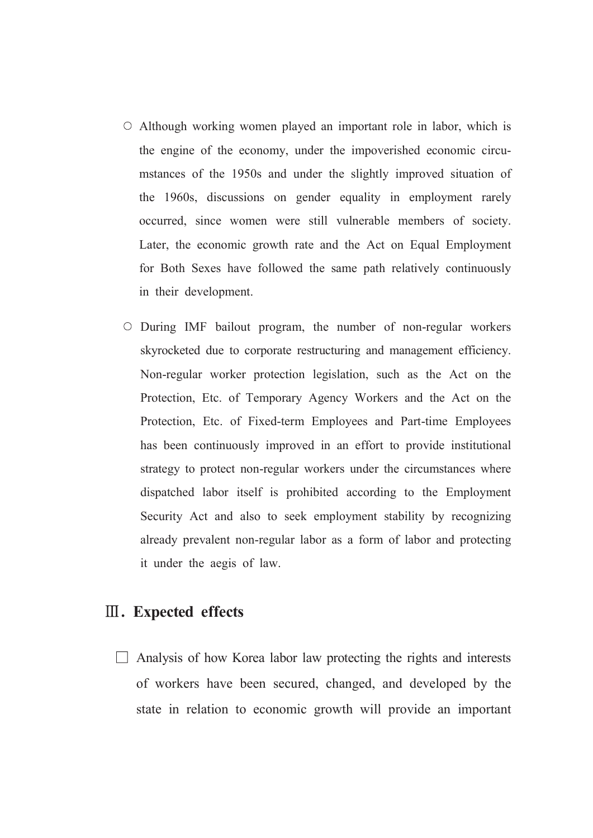- $\circ$  Although working women played an important role in labor, which is the engine of the economy, under the impoverished economic circumstances of the 1950s and under the slightly improved situation of the 1960s, discussions on gender equality in employment rarely occurred, since women were still vulnerable members of society. Later, the economic growth rate and the Act on Equal Employment for Both Sexes have followed the same path relatively continuously in their development.
- O During IMF bailout program, the number of non-regular workers skyrocketed due to corporate restructuring and management efficiency. Non-regular worker protection legislation, such as the Act on the Protection, Etc. of Temporary Agency Workers and the Act on the Protection, Etc. of Fixed-term Employees and Part-time Employees has been continuously improved in an effort to provide institutional strategy to protect non-regular workers under the circumstances where dispatched labor itself is prohibited according to the Employment Security Act and also to seek employment stability by recognizing already prevalent non-regular labor as a form of labor and protecting it under the aegis of law.

## **III.** Expected effects

 $\Box$  Analysis of how Korea labor law protecting the rights and interests of workers have been secured, changed, and developed by the state in relation to economic growth will provide an important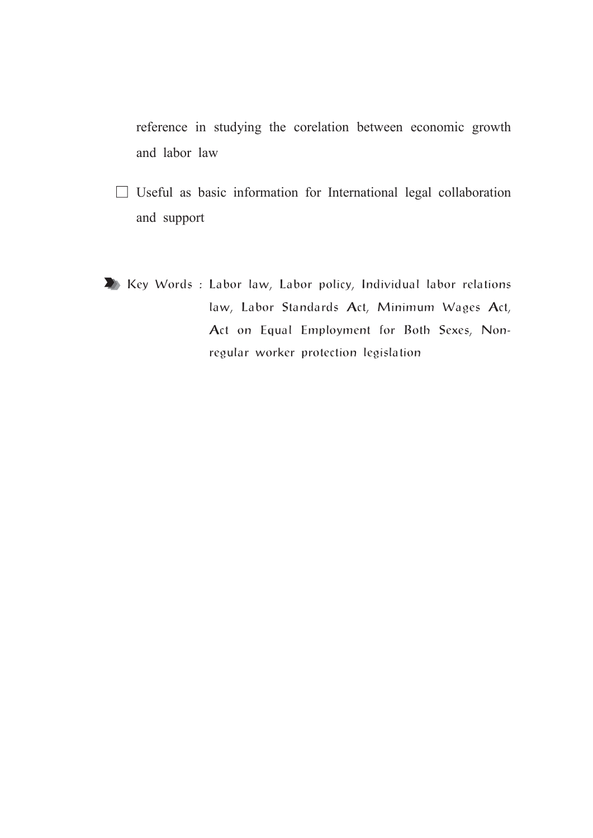reference in studying the corelation between economic growth and labor law

- $\Box$  Useful as basic information for International legal collaboration and support
- Key Words : Labor law, Labor policy, Individual labor relations law, Labor Standards Act, Minimum Wages Act, Act on Equal Employment for Both Sexes, Nonregular worker protection legislation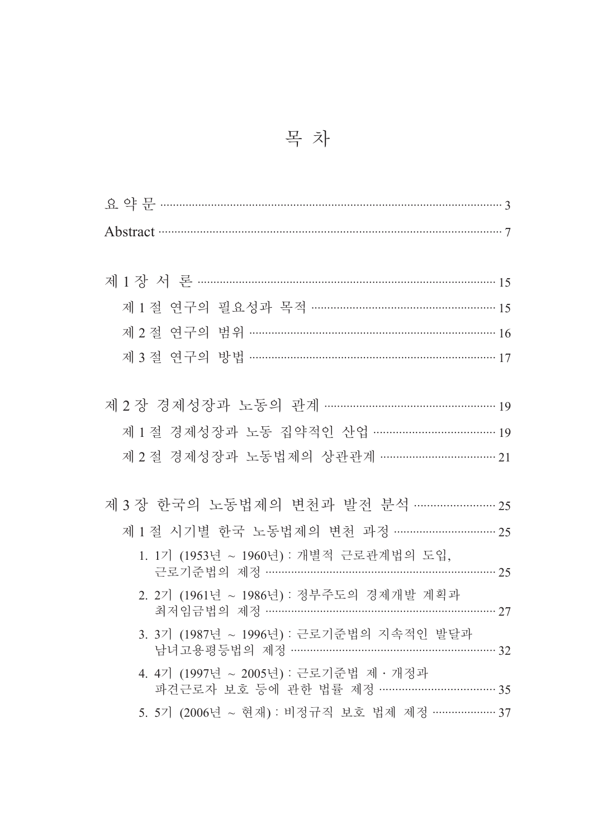|  | 목 차 |  |
|--|-----|--|
|  |     |  |

| 제 1 절 연구의 필요성과 목적 ………………………………………………… 15                                       |  |
|--------------------------------------------------------------------------------|--|
| 제 2절 연구의 범위 ………………………………………………………………… 16                                       |  |
| 제 3 절 연구의 방법 …………………………………………………………………… 17                                     |  |
|                                                                                |  |
| 제 2 장 경제성장과 노동의 관계 ……………………………………………… 19                                       |  |
| 제 1 절 경제성장과 노동 집약적인 산업 ………………………………… 19                                        |  |
| 제 2 절 경제성장과 노동법제의 상관관계 …………………………… 21                                          |  |
|                                                                                |  |
| 제 3 장 한국의 노동법제의 변천과 발전 분석 …………………… 25                                          |  |
| 제 1 절 시기별 한국 노동법제의 변천 과정 ………………………… 25                                         |  |
| 1. 1기 (1953년 ~ 1960년) : 개별적 근로관계법의 도입,<br>근로기준법의 제정 ……………………………………………………… 25   |  |
| 2. 2기 (1961년 ~ 1986년) : 정부주도의 경제개발 계획과<br>최저임금법의 제정 ………………………………………………………… 27  |  |
| 3. 3기 (1987년 ~ 1996년) : 근로기준법의 지속적인 발달과<br>남녀고용평등법의 제정 …………………………………………………… 32 |  |
| 4. 4기 (1997년 ~ 2005년) : 근로기준법 제 · 개정과<br>파견근로자 보호 등에 관한 법률 제정 …………………………… 35   |  |
| 5. 5기 (2006년 ~ 현재) : 비정규직 보호 법제 제정 ………………… 37                                  |  |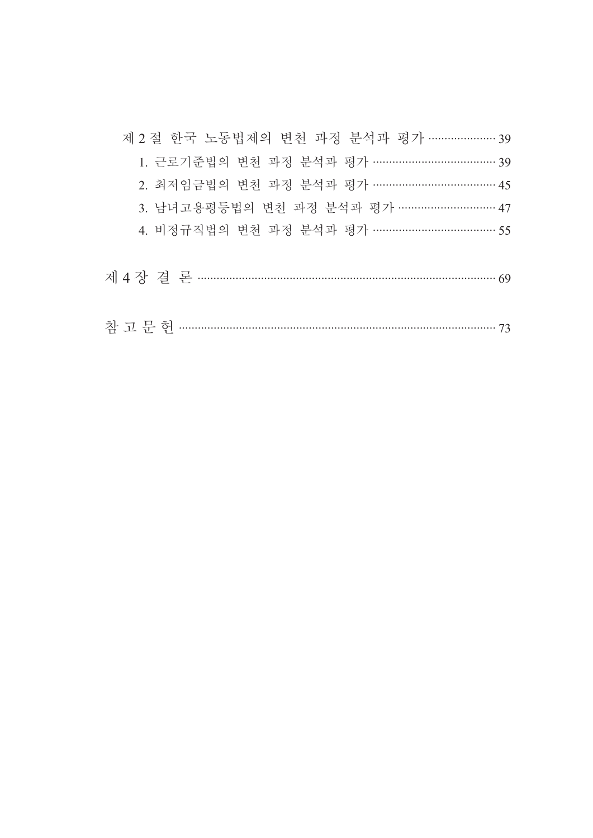| 제 2 절 한국 노동법제의 변천 과정 분석과 평가 ………………… 39  |
|-----------------------------------------|
| 1. 근로기준법의 변천 과정 분석과 평가 ………………………………… 39 |
| 2. 최저임금법의 변천 과정 분석과 평가 ………………………………… 45 |
| 3. 남녀고용평등법의 변천 과정 분석과 평가 ………………………… 47  |
| 4. 비정규직법의 변천 과정 분석과 평가 ……………………………… 55  |
|                                         |
|                                         |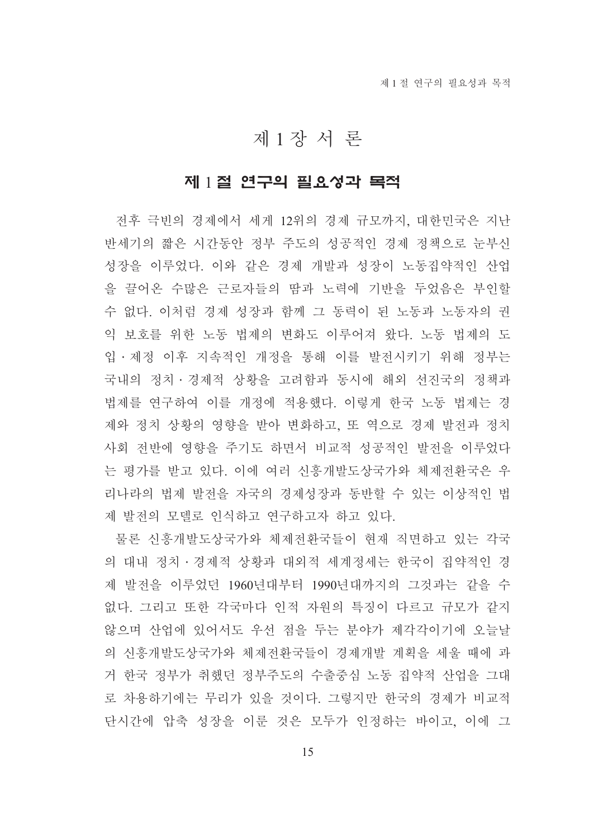## 제 1 장 서 론

### 제 1절 연구의 필요성과 목적

전후 극빈의 경제에서 세게 12위의 경제 규모까지, 대한민국은 지난 반세기의 짧은 시간동안 정부 주도의 성공적인 경제 정책으로 눈부신 성장을 이루었다. 이와 같은 경제 개발과 성장이 노동집약적인 산업 을 끌어온 수많은 근로자들의 땀과 노력에 기반을 두었음은 부인할 수 없다. 이처럼 경제 성장과 함께 그 동력이 된 노동과 노동자의 권 익 보호를 위한 노동 법제의 변화도 이루어져 왔다. 노동 법제의 도 입ㆍ제정 이후 지속적인 개정을 통해 이를 발전시키기 위해 정부는 국내의 정치 • 경제적 상황을 고려함과 동시에 해외 선진국의 정책과 법제를 연구하여 이를 개정에 적용했다. 이렇게 한국 노동 법제는 경 제와 정치 상황의 영향을 받아 변화하고, 또 역으로 경제 발전과 정치 사회 전반에 영향을 주기도 하면서 비교적 성공적인 발전을 이루었다 는 평가를 받고 있다. 이에 여러 신흥개발도상국가와 체제전화국은 우 리나라의 법제 발전을 자국의 경제성장과 동반할 수 있는 이상적인 법 제 발전의 모델로 인식하고 연구하고자 하고 있다.

물론 신흥개발도상국가와 체제전환국들이 현재 직면하고 있는 각국 의 대내 정치 • 경제적 상황과 대외적 세계정세는 한국이 집약적인 경 제 발전을 이루었던 1960년대부터 1990년대까지의 그것과는 같을 수 없다. 그리고 또한 각국마다 인적 자워의 특징이 다르고 규모가 같지 않으며 산업에 있어서도 우선 점을 두는 분야가 제각각이기에 오늘날 의 신흥개발도상국가와 체제전화국들이 경제개발 계획을 세울 때에 과 거 한국 정부가 취했던 정부주도의 수출중심 노동 집약적 산업을 그대 로 차용하기에는 무리가 있을 것이다. 그렇지만 한국의 경제가 비교적 단시간에 압축 성장을 이룬 것은 모두가 인정하는 바이고, 이에 그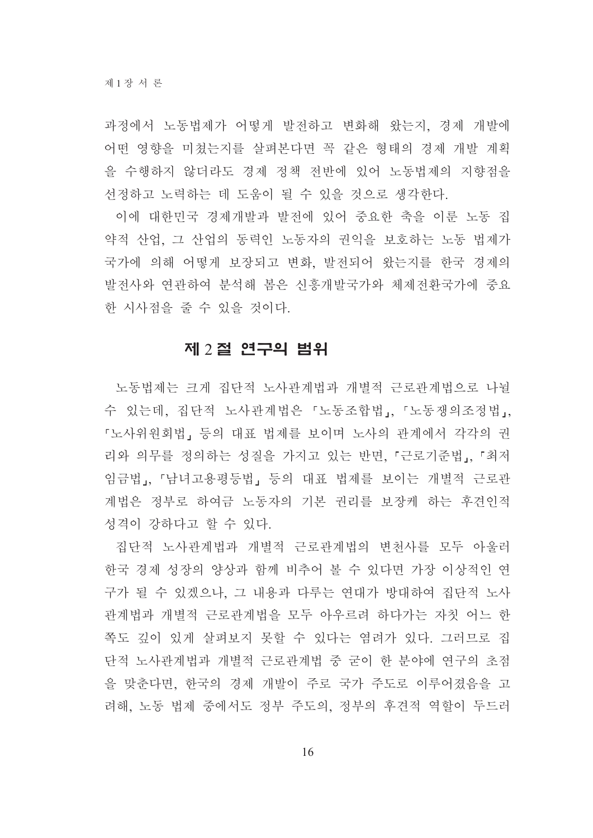과정에서 노동법제가 어떻게 발전하고 변화해 왔는지, 경제 개발에 어떤 영향을 미쳤는지를 살펴본다면 꼭 같은 형태의 경제 개발 계획 을 수행하지 않더라도 경제 정책 전반에 있어 노동법제의 지향점을 선정하고 노력하는 데 도움이 될 수 있을 것으로 생각한다.

이에 대한민국 경제개발과 발전에 있어 중요한 축을 이룬 노동 집 약적 산업, 그 산업의 동력인 노동자의 권익을 보호하는 노동 법제가 국가에 의해 어떻게 보장되고 변화. 발전되어 왔는지를 한국 경제의 발전사와 연관하여 분석해 봄은 신흥개발국가와 체제전환국가에 중요 한 시사점을 줄 수 있을 것이다.

#### 제 2절 연구의 범위

노동법제는 크게 집단적 노사관계법과 개별적 근로관계법으로 나뉠 수 있는데, 집단적 노사관계법은 「노동조합법」, 「노동쟁의조정법」, 『노사위워회법』등의 대표 법제를 보이며 노사의 관계에서 각각의 권 리와 의무를 정의하는 성질을 가지고 있는 반면, 『근로기준법』, 『최저 임금법,, 『남녀고용평등법』 등의 대표 법제를 보이는 개별적 근로관 계법은 정부로 하여금 노동자의 기본 권리를 보장케 하는 후견이적 성격이 강하다고 할 수 있다.

집단적 노사관계법과 개별적 근로관계법의 변천사를 모두 아울러 한국 경제 성장의 양상과 함께 비추어 볼 수 있다면 가장 이상적인 연 구가 될 수 있겠으나, 그 내용과 다루는 연대가 방대하여 집단적 노사 관계법과 개별적 근로관계법을 모두 아우르려 하다가는 자칫 어느 한 쪽도 깊이 있게 살펴보지 못할 수 있다는 염려가 있다. 그러므로 집 단적 노사관계법과 개별적 근로관계법 중 굳이 한 분야에 연구의 초점 을 맞춘다면. 한국의 경제 개발이 주로 국가 주도로 이루어졌음을 고 려해. 노동 법제 중에서도 정부 주도의. 정부의 후견적 역할이 두드러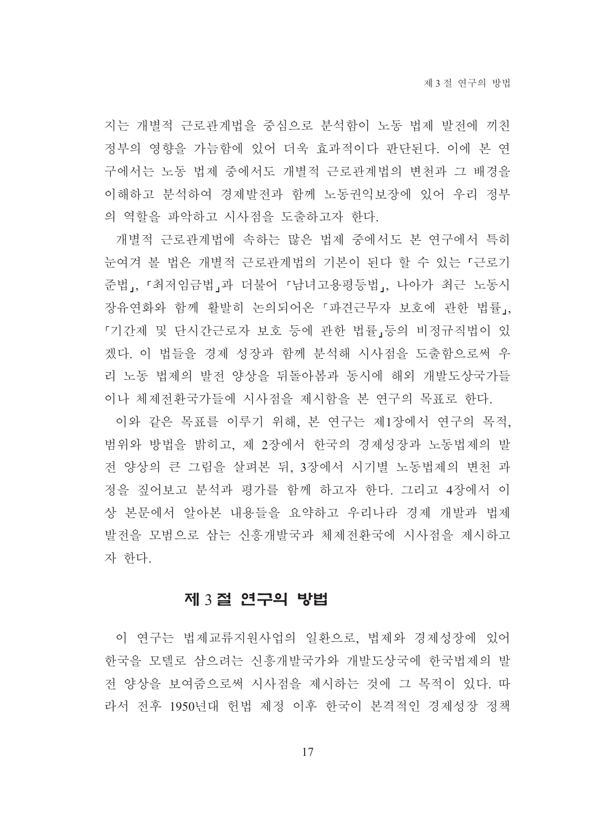지는 개별적 근로관계법을 중심으로 분석함이 노동 법제 발전에 끼친 정부의 영향을 가늠함에 있어 더욱 효과적이다 판단되다. 이에 본 여 구에서는 노동 법제 중에서도 개별적 근로관계법의 변천과 그 배경을 이해하고 분석하여 경제발전과 함께 노동권익보장에 있어 우리 정부 의 역할을 파악하고 시사점을 도출하고자 한다.

개별적 근로관계법에 속하는 많은 법제 중에서도 본 연구에서 특히 눈여겨 볼 법은 개별적 근로관계법의 기본이 된다 할 수 있는 『근로기 준법」, 「최저임금법」과 더불어 「남녀고용평등법」, 나아가 최근 노동시 장유연화와 함께 활발히 논의되어온 『파견근무자 보호에 관한 법률』, 『기간제 및 단시간근로자 보호 등에 관한 법률」등의 비정규직법이 있 겠다. 이 법들을 경제 성장과 함께 분석해 시사점을 도출함으로써 우 리 노동 법제의 발전 양상을 뒤돌아봄과 동시에 해외 개발도상국가들 이나 체제전환국가들에 시사점을 제시함을 본 연구의 목표로 한다.

이와 같은 목표를 이루기 위해, 본 연구는 제1장에서 연구의 목적. 범위와 방법을 밝히고, 제 2장에서 한국의 경제성장과 노동법제의 발 전 양상의 큰 그림을 살펴본 뒤 3장에서 시기별 노동법제의 변천 과 정을 짚어보고 분석과 평가를 함께 하고자 한다. 그리고 4장에서 이 상 본문에서 알아본 내용들을 요약하고 우리나라 경제 개발과 법제 발전을 모범으로 삼는 신흥개발국과 체제전환국에 시사점을 제시하고 자 한다.

#### 제 3절 연구의 방법

이 연구는 법제교류지워사업의 일화으로, 법제와 경제성장에 있어 한국을 모델로 삼으려는 신흥개발국가와 개발도상국에 한국법제의 발 전 양상을 보여줌으로써 시사점을 제시하는 것에 그 목적이 있다. 따 라서 전후 1950년대 헌법 제정 이후 한국이 본격적인 경제성장 정책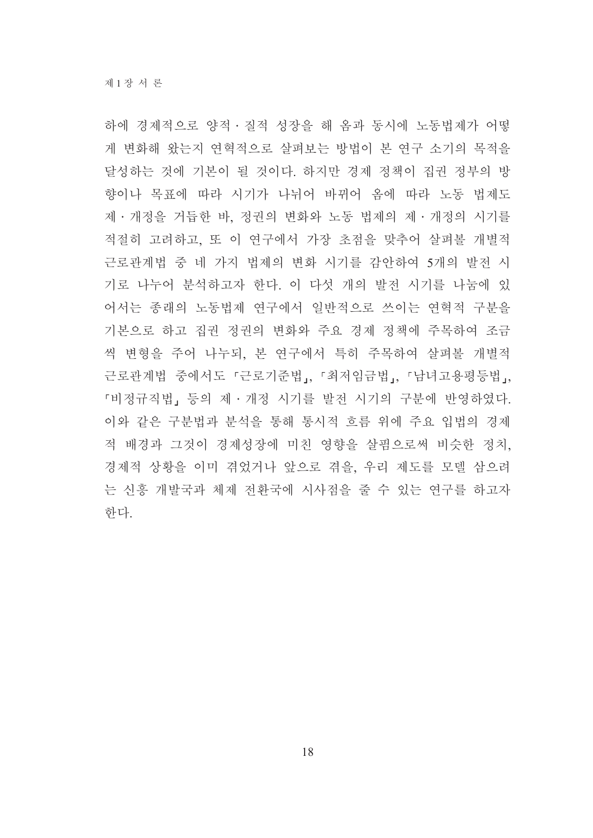하에 경제적으로 양적 · 질적 성장을 해 옴과 동시에 노동법제가 어떻 게 변화해 왔는지 연혁적으로 살펴보는 방법이 본 연구 소기의 목적을 달성하는 것에 기본이 될 것이다. 하지만 경제 정책이 집권 정부의 방 향이나 목표에 따라 시기가 나뉘어 바뀌어 옴에 따라 노동 법제도 제 · 개정을 거듭한 바, 정권의 변화와 노동 법제의 제 · 개정의 시기를 적절히 고려하고, 또 이 연구에서 가장 초점을 맞추어 살펴볼 개별적 근로관계법 중 네 가지 법제의 변화 시기를 감안하여 5개의 발전 시 기로 나누어 분석하고자 한다. 이 다섯 개의 발전 시기를 나눔에 있 어서는 종래의 노동법제 연구에서 일반적으로 쓰이는 연혁적 구분을 기본으로 하고 집권 정권의 변화와 주요 경제 정책에 주목하여 조금 씩 변형을 주어 나누되, 본 연구에서 특히 주목하여 살펴볼 개별적 근로관계법 중에서도 『근로기준법』. 『최저임금법』. 『남녀고용평등법』. 『비정규직법』등의 제·개정 시기를 발전 시기의 구분에 반영하였다. 이와 같은 구분법과 분석을 통해 통시적 흐름 위에 주요 입법의 경제 적 배경과 그것이 경제성장에 미친 영향을 살핌으로써 비슷한 정치, 경제적 상황을 이미 겪었거나 앞으로 겪을, 우리 제도를 모델 삼으려 는 신흥 개발국과 체제 전환국에 시사점을 줄 수 있는 연구를 하고자 한다.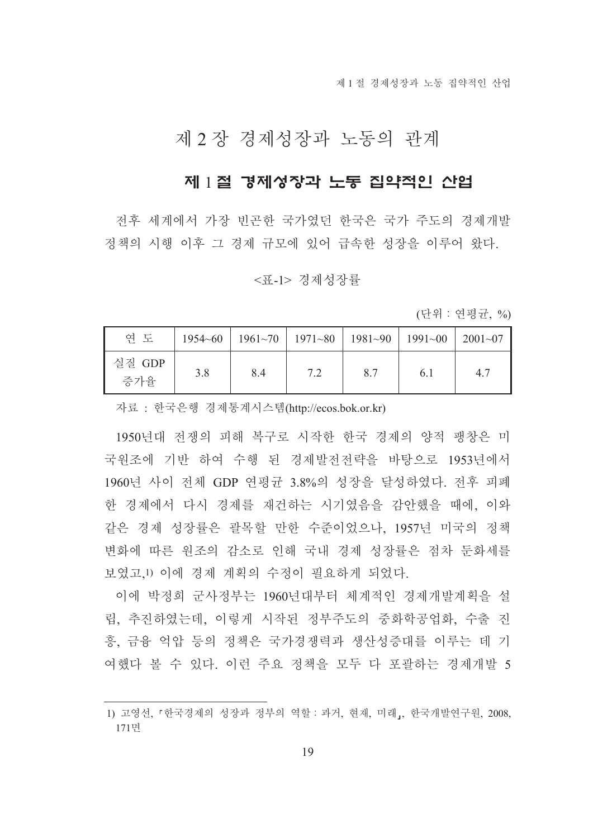제 1 절 경제성장과 노동 집약적인 산업

## 제 2 장 경제성장과 노동의 관계

## 제 1절 경제성장과 노동 집약적인 산업

전후 세계에서 가장 빈곤한 국가였던 한국은 국가 주도의 경제개발 정책의 시행 이후 그 경제 규모에 있어 급속한 성장을 이루어 왔다.

#### <표-1> 경제성장률

(단위 : 연평균, %)

| 연 도           |     |     | $1954~60$   $1961~70$   $1971~80$   $1981~90$   $1991~00$   $2001~07$ |     |     |     |
|---------------|-----|-----|-----------------------------------------------------------------------|-----|-----|-----|
| 실질 GDP<br>증가율 | 3.8 | 8.4 | 72                                                                    | 8.7 | 6.1 | 4.7 |

자료 : 한국은행 경제통계시스템(http://ecos.bok.or.kr)

1950년대 전쟁의 피해 복구로 시작한 한국 경제의 양적 팽창은 미 국워조에 기반 하여 수행 된 경제발전전략을 바탕으로 1953년에서 1960년 사이 전체 GDP 연평균 3.8%의 성장을 달성하였다. 전후 피폐 한 경제에서 다시 경제를 재건하는 시기였음을 감안했을 때에, 이와 같은 경제 성장률은 괄목할 만한 수준이었으나 1957년 미국의 정책 변화에 따른 워조의 감소로 인해 국내 경제 성장률은 점차 둔화세를 보였고,1) 이에 경제 계획의 수정이 필요하게 되었다.

이에 박정희 군사정부는 1960년대부터 체계적인 경제개발계획을 설 립, 추진하였는데, 이렇게 시작된 정부주도의 중화학공업화, 수출 진 흥, 금융 억압 등의 정책은 국가경쟁력과 생산성증대를 이루는 데 기 여했다 볼 수 있다. 이런 주요 정책을 모두 다 포괄하는 경제개발 5

<sup>1)</sup> 고영선, 『한국경제의 성장과 정부의 역할 : 과거, 현재, 미래,, 한국개발연구원, 2008, 171면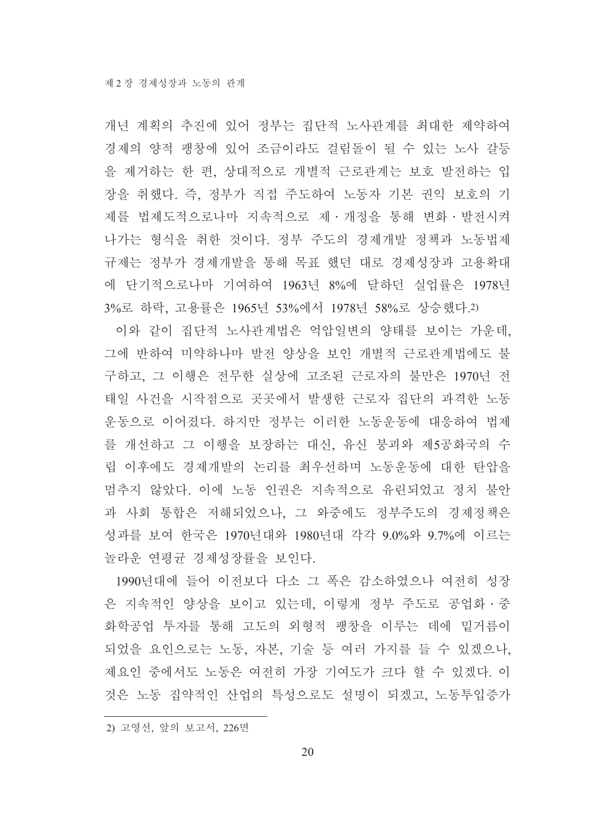개년 계획의 추진에 있어 정부는 집단적 노사관계를 최대한 제약하여 경제의 양적 팽창에 있어 조금이라도 걸림돌이 될 수 있는 노사 갈등 을 제거하는 한 편, 상대적으로 개별적 근로관계는 보호 발전하는 입 장을 취했다. 즉, 정부가 직접 주도하여 노동자 기본 권익 보호의 기 제를 법제도적으로나마 지속적으로 제 · 개정을 통해 변화 · 발전시켜 나가는 형식을 취한 것이다. 정부 주도의 경제개발 정책과 노동법제 규제는 정부가 경제개발을 통해 목표 했던 대로 경제성장과 고용확대 에 단기적으로나마 기여하여 1963년 8%에 달하던 실업률은 1978년 3%로 하락, 고용률은 1965년 53%에서 1978년 58%로 상승했다.2)

이와 같이 집단적 노사관계법은 억압일변의 양태를 보이는 가운데, 그에 반하여 미약하나마 발전 양상을 보인 개별적 근로관계법에도 불 구하고, 그 이행은 전무한 실상에 고조된 근로자의 불만은 1970년 전 태일 사건을 시작점으로 곳곳에서 발생한 근로자 집단의 과격한 노동 운동으로 이어졌다. 하지만 정부는 이러한 노동운동에 대응하여 법제 를 개선하고 그 이행을 보장하는 대신, 유신 붕괴와 제5공화국의 수 립 이후에도 경제개발의 논리를 최우선하며 노동운동에 대한 탄압을 멈추지 않았다. 이에 노동 인권은 지속적으로 유린되었고 정치 불안 과 사회 통합은 저해되었으나, 그 와중에도 정부주도의 경제정책은 성과를 보여 한국은 1970년대와 1980년대 각각 9.0%와 9.7%에 이르는 놀라운 연평균 경제성장률을 보인다.

1990년대에 들어 이전보다 다소 그 폭은 감소하였으나 여전히 성장 은 지속적인 양상을 보이고 있는데. 이렇게 정부 주도로 공업화ㆍ중 화학공업 투자를 통해 고도의 외형적 팽창을 이루는 데에 밑거름이 되었을 요인으로는 노동, 자본, 기술 등 여러 가지를 들 수 있겠으나. 제요인 중에서도 노동은 여전히 가장 기여도가 크다 할 수 있겠다. 이 것은 노동 집약적인 산업의 특성으로도 설명이 되겠고. 노동투입증가

<sup>2)</sup> 고영선, 앞의 보고서, 226면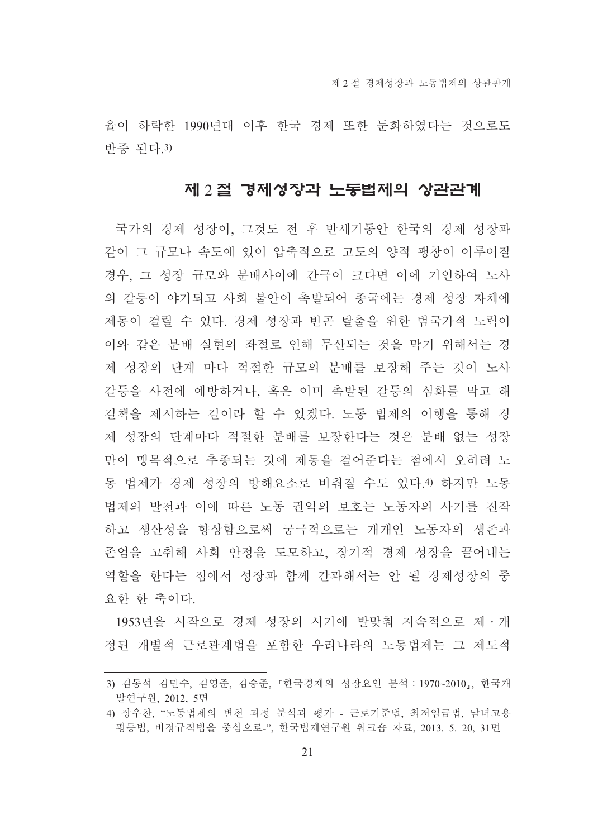율이 하락한 1990년대 이후 한국 경제 또한 둔화하였다는 것으로도 반증 되다.3)

#### 제 2 절 경제성장과 노동법제의 상관관계

국가의 경제 성장이, 그것도 전 후 반세기동안 한국의 경제 성장과 같이 그 규모나 속도에 있어 압축적으로 고도의 양적 팽창이 이루어질 경우, 그 성장 규모와 분배사이에 간극이 크다면 이에 기인하여 노사 의 갈등이 야기되고 사회 불아이 촉발되어 종국에는 경제 성장 자체에 제동이 걸릴 수 있다. 경제 성장과 빈곤 탈출을 위한 범국가적 노력이 이와 같은 분배 실현의 좌절로 인해 무산되는 것을 막기 위해서는 경 제 성장의 단계 마다 적절한 규모의 분배를 보장해 주는 것이 노사 갈등을 사전에 예방하거나. 혹은 이미 촉발된 갈등의 심화를 막고 해 결책을 제시하는 길이라 할 수 있겠다. 노동 법제의 이행을 통해 경 제 성장의 단계마다 적절한 분배를 보장한다는 것은 분배 없는 성장 만이 맹목적으로 추종되는 것에 제동을 걸어준다는 점에서 오히려 노 동 법제가 경제 성장의 방해요소로 비춰질 수도 있다.4) 하지만 노동 법제의 발전과 이에 따른 노동 권익의 보호는 노동자의 사기를 진작 하고 생산성을 향상함으로써 궁극적으로는 개개인 노동자의 생존과 존엄을 고취해 사회 안정을 도모하고, 장기적 경제 성장을 끌어내는 역할을 한다는 점에서 성장과 함께 간과해서는 안 될 경제성장의 중 요한 한 축이다.

1953년을 시작으로 경제 성장의 시기에 발맞춰 지속적으로 제·개 정된 개별적 근로관계법을 포함한 우리나라의 노동법제는 그 제도적

<sup>3)</sup> 김동석 김민수, 김영준, 김승준, 『한국경제의 성장요인 분석 : 1970~2010』, 한국개 발연구원, 2012, 5면

<sup>4)</sup> 장우찬, "노동법제의 변천 과정 분석과 평가 - 근로기준법, 최저임금법, 남녀고용 평등법, 비정규직법을 중심으로-", 한국법제연구원 워크숍 자료, 2013. 5. 20, 31면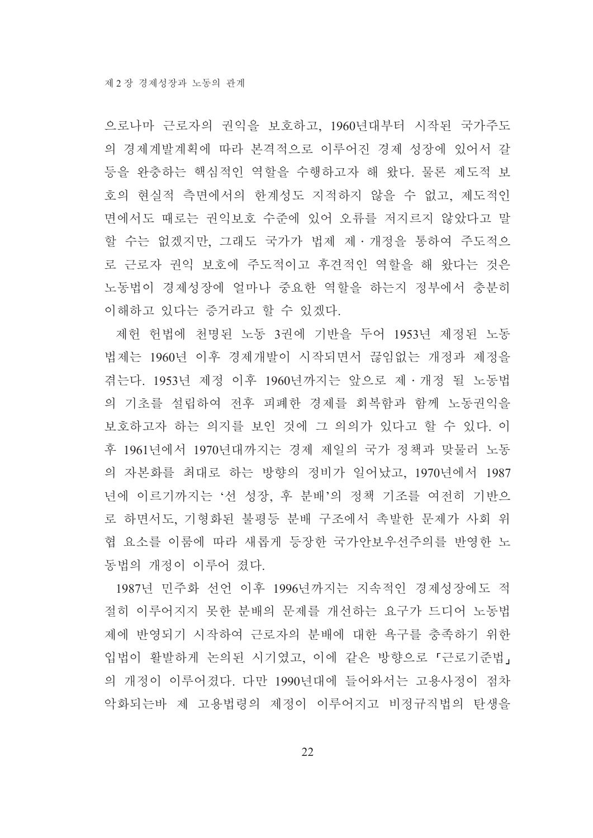으로나마 근로자의 권익을 보호하고, 1960년대부터 시작된 국가주도 의 경제계발계획에 따라 본격적으로 이루어진 경제 성장에 있어서 갈 등을 완충하는 핵심적인 역할을 수행하고자 해 왔다. 물론 제도적 보 호의 현실적 측면에서의 한계성도 지적하지 않을 수 없고, 제도적인 면에서도 때로는 권익보호 수준에 있어 오류를 저지르지 않았다고 말 할 수는 없겠지만, 그래도 국가가 법제 제·개정을 통하여 주도적으 로 근로자 권익 보호에 주도적이고 후견적인 역할을 해 왔다는 것은 노동법이 경제성장에 얼마나 중요한 역할을 하는지 정부에서 충분히 이해하고 있다는 증거라고 할 수 있겠다.

제헌 헌법에 천명된 노동 3권에 기반을 두어 1953년 제정된 노동 법제는 1960년 이후 경제개발이 시작되면서 끊임없는 개정과 제정을 겪는다. 1953년 제정 이후 1960년까지는 앞으로 제・개정 될 노동법 의 기초를 설립하여 전후 피폐한 경제를 회복함과 함께 노동권익을 보호하고자 하는 의지를 보인 것에 그 의의가 있다고 할 수 있다. 이 후 1961년에서 1970년대까지는 경제 제일의 국가 정책과 맞물러 노동 의 자본화를 최대로 하는 방향의 정비가 일어났고, 1970년에서 1987 년에 이르기까지는 '선 성장, 후 분배'의 정책 기조를 여전히 기반으 로 하면서도, 기형화된 불평등 분배 구조에서 촉발한 문제가 사회 위 협 요소를 이룸에 따라 새롭게 등장한 국가안보우선주의를 반영한 노 동법의 개정이 이루어 졌다.

1987년 민주화 선언 이후 1996년까지는 지속적인 경제성장에도 적 절히 이루어지지 못한 분배의 문제를 개선하는 요구가 드디어 노동법 제에 반영되기 시작하여 근로자의 분배에 대한 욕구를 충족하기 위한 입법이 활발하게 논의된 시기였고, 이에 같은 방향으로 『근로기준법』 의 개정이 이루어졌다. 다만 1990년대에 들어와서는 고용사정이 점차 악화되는바 제 고용법령의 제정이 이루어지고 비정규직법의 탄생을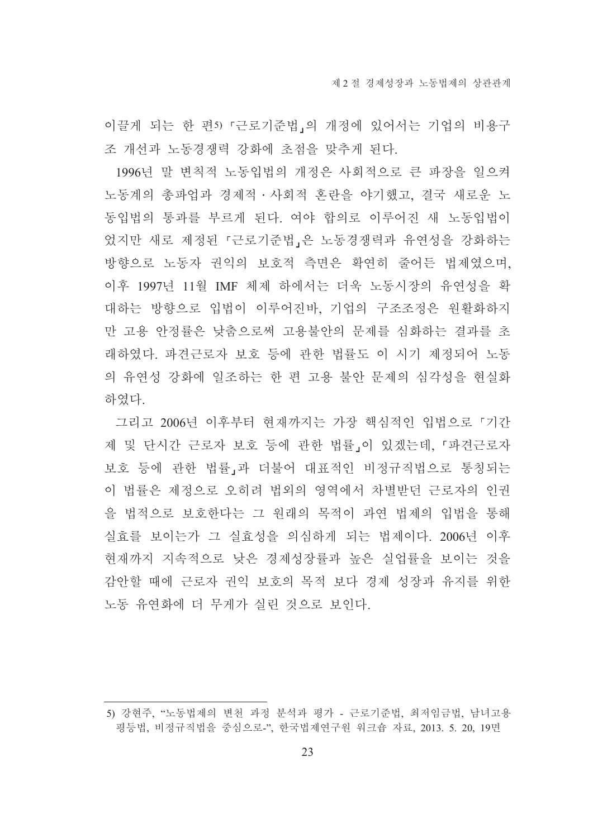이끌게 되는 한 편5) 『근로기준법』의 개정에 있어서는 기업의 비용구 조 개선과 노동경쟁력 강화에 초점을 맞추게 된다.

1996년 말 변칙적 노동입법의 개정은 사회적으로 큰 파장을 일으켜 노동계의 총파업과 경제적 · 사회적 혼란을 야기했고, 결국 새로운 노 동입법의 통과를 부르게 된다. 여야 합의로 이루어진 새 노동입법이 었지만 새로 제정된 『근로기준법』은 노동경쟁력과 유연성을 강화하는 방향으로 노동자 권익의 보호적 측면은 확연히 줄어든 법제였으며. 이후 1997년 11월 IMF 체제 하에서는 더욱 노동시장의 유연성을 확 대하는 방향으로 입법이 이루어진바, 기업의 구조조정은 원활화하지 만 고용 아정률은 낮춤으로써 고용불안의 문제를 심화하는 결과를 초 래하였다. 파견근로자 보호 등에 관한 법률도 이 시기 제정되어 노동 의 유연성 강화에 일조하는 한 편 고용 불안 문제의 심각성을 현실화 하였다.

그리고 2006년 이후부터 현재까지는 가장 핵심적인 입법으로 「기간 제 및 단시간 근로자 보호 등에 관한 법률」이 있겠는데 「파견근로자 보호 등에 관한 법률」과 더불어 대표적인 비정규직법으로 통칭되는 이 법률은 제정으로 오히려 법외의 영역에서 차별받던 근로자의 인권 을 법적으로 보호한다는 그 원래의 목적이 과연 법제의 입법을 통해 실효를 보이는가 그 실효성을 의심하게 되는 법제이다. 2006년 이후 현재까지 지속적으로 낮은 경제성장률과 높은 실업률을 보이는 것을 감안할 때에 근로자 권익 보호의 목적 보다 경제 성장과 유지를 위한 노동 유연화에 더 무게가 실린 것으로 보인다.

<sup>5)</sup> 강현주. "노동법제의 변천 과정 분석과 평가 - 근로기준법. 최저임금법. 남녀고용 평등법, 비정규직법을 중심으로-", 한국법제연구원 워크숍 자료, 2013. 5. 20, 19면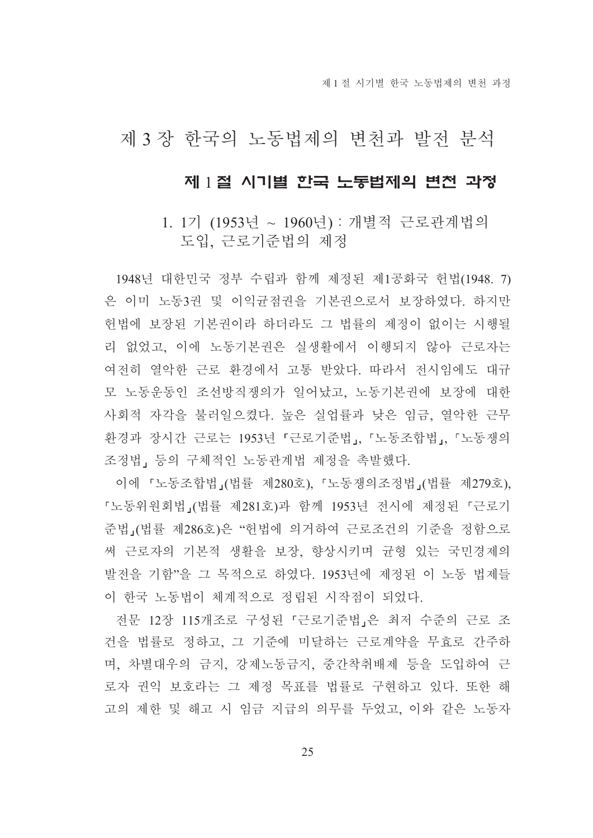제 1 절 시기별 하국 노동법제의 변처 과정

## 제 3 장 한국의 노동법제의 변천과 발전 분석

## 제 1절 시기별 한국 노동법제의 변전 과정

## 1. 1기 (1953년 ~ 1960년) : 개별적 근로관계법의 도입, 근로기준법의 제정

1948년 대한민국 정부 수립과 함께 제정된 제1공화국 헌법(1948. 7) 은 이미 노동3권 및 이익균점권을 기본권으로서 보장하였다. 하지만 헌법에 보장된 기본권이라 하더라도 그 법률의 제정이 없이는 시행될 리 없었고, 이에 노동기본권은 실생활에서 이행되지 않아 근로자는 여전히 열악한 근로 환경에서 고통 받았다. 따라서 전시임에도 대규 모 노동운동인 조선방직쟁의가 일어났고, 노동기본권에 보장에 대한 사회적 자각을 불러일으켰다. 높은 실업률과 낮은 임금, 열악한 근무 환경과 장시간 근로는 1953년 「근로기준법」, 「노동조합법」, 「노동쟁의 조정법, 등의 구체적인 노동관계법 제정을 촉발했다.

이에 「노동조합법」(법률 제280호), 「노동쟁의조정법」(법률 제279호), 『노동위원회법』(법률 제281호)과 함께 1953년 전시에 제정된 『근로기 준법 (법률 제286호)은 "헌법에 의거하여 근로조건의 기준을 정함으로 써 근로자의 기본적 생활을 보장, 향상시키며 균형 있는 국민경제의 발전을 기함"을 그 목적으로 하였다. 1953년에 제정된 이 노동 법제들 이 한국 노동법이 체계적으로 정립된 시작점이 되었다.

전문 12장 115개조로 구성된 『근로기준법』은 최저 수준의 근로 조 건을 법률로 정하고, 그 기준에 미달하는 근로계약을 무효로 간주하 며, 차별대우의 금지, 강제노동금지, 중간착취배제 등을 도입하여 근 로자 권익 보호라는 그 제정 목표를 법률로 구현하고 있다. 또한 해 고의 제한 및 해고 시 임금 지급의 의무를 두었고, 이와 같은 노동자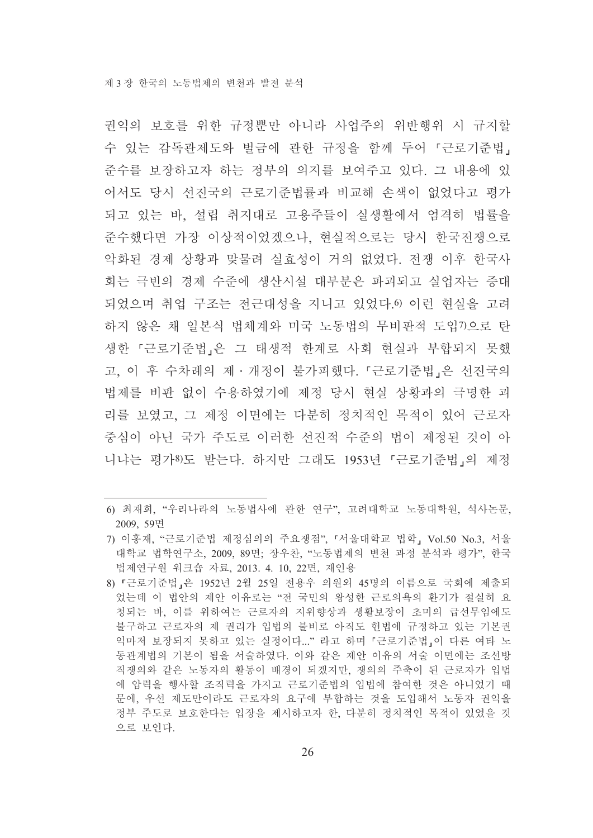권익의 보호를 위한 규정뿐만 아니라 사업주의 위반행위 시 규지할 수 있는 감독관제도와 벌금에 관한 규정을 함께 두어 『근로기준법』 준수를 보장하고자 하는 정부의 의지를 보여주고 있다. 그 내용에 있 어서도 당시 선진국의 근로기준법률과 비교해 손색이 없었다고 평가 되고 있는 바. 설립 취지대로 고용주들이 실생활에서 엄격히 법률을 준수했다면 가장 이상적이었겠으나, 현실적으로는 당시 한국전쟁으로 악화된 경제 상황과 맞물려 실효성이 거의 없었다. 전쟁 이후 한국사 회는 극빈의 경제 수준에 생산시설 대부분은 파괴되고 실업자는 증대 되었으며 취업 구조는 전근대성을 지니고 있었다. 이런 현실을 고려 하지 않은 채 일본식 법체계와 미국 노동법의 무비판적 도입7)으로 탄 생한 『근로기준법』은 그 태생적 한계로 사회 현실과 부합되지 못했 고, 이 후 수차례의 제 · 개정이 불가피했다. 『근로기준법』은 선진국의 법제를 비판 없이 수용하였기에 제정 당시 현실 상황과의 극명한 괴 리를 보였고, 그 제정 이면에는 다분히 정치적인 목적이 있어 근로자 중심이 아닌 국가 주도로 이러한 선진적 수준의 법이 제정된 것이 아 니냐는 평가8)도 받는다. 하지만 그래도 1953년 「근로기주법」의 제정

<sup>6)</sup> 최재희, "우리나라의 노동법사에 관한 연구", 고려대학교 노동대학원, 석사논문, 2009, 59면

<sup>7)</sup> 이홍재, "근로기준법 제정심의의 주요쟁점", 「서울대학교 법학」 Vol.50 No.3, 서울 대학교 법학연구소, 2009, 89면; 장우찬, "노동법제의 변천 과정 분석과 평가", 한국 법제연구원 워크숍 자료, 2013. 4. 10, 22면, 재인용

<sup>8) 『</sup>근로기주법』은 1952년 2월 25일 전용우 의원외 45명의 이름으로 국회에 제출되 었는데 이 법안의 제안 이유로는 "전 국민의 왕성한 근로의욕의 환기가 절실히 요 청되는 바, 이를 위하여는 근로자의 지위향상과 생활보장이 초미의 급선무임에도 불구하고 근로자의 제 권리가 입법의 불비로 아직도 헌법에 규정하고 있는 기본권 익마저 보장되지 못하고 있는 실정이다..." 라고 하며 『근로기준법』이 다른 여타 노 동관계법의 기본이 됨을 서술하였다. 이와 같은 제안 이유의 서술 이면에는 조선방 직쟁의와 같은 노동자의 활동이 배경이 되겠지만, 쟁의의 주축이 된 근로자가 입법 에 압력을 행사할 조직력을 가지고 근로기주법의 입법에 참여한 것은 아니었기 때 문에, 우선 제도만이라도 근로자의 요구에 부합하는 것을 도입해서 노동자 권익을 정부 주도로 보호한다는 입장을 제시하고자 한, 다분히 정치적인 목적이 있었을 것 으로 보인다.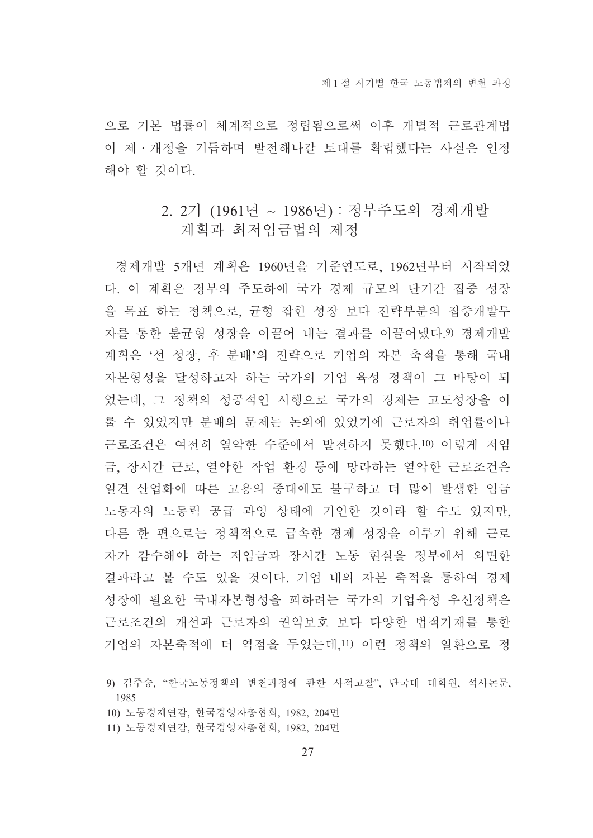으로 기본 법률이 체계적으로 정립됨으로써 이후 개별적 근로관계법 이 제 · 개정을 거듭하며 발전해나갈 토대를 확립했다는 사실은 인정 해야 할 것이다.

## 2. 2기 (1961년 ~ 1986년) : 정부주도의 경제개발 계획과 최저임금법의 제정

경제개발 5개년 계획은 1960년을 기준연도로, 1962년부터 시작되었 다. 이 계획은 정부의 주도하에 국가 경제 규모의 단기간 집중 성장 을 목표 하는 정책으로, 규형 잡힌 성장 보다 전략부분의 집중개발투 자를 통한 불균형 성장을 이끌어 내는 결과를 이끌어냈다.9) 경제개발 계획은 '선 성장, 후 분배'의 전략으로 기업의 자본 축적을 통해 국내 자본형성을 달성하고자 하는 국가의 기업 육성 정책이 그 바탕이 되 었는데, 그 정책의 성공적인 시행으로 국가의 경제는 고도성장을 이 룰 수 있었지만 분배의 문제는 논외에 있었기에 근로자의 취업률이나 근로조건은 여전히 열악한 수준에서 발전하지 못했다.10) 이렇게 저임 금, 장시간 근로, 열악한 작업 환경 등에 망라하는 열악한 근로조건은 일견 산업화에 따른 고용의 증대에도 불구하고 더 많이 발생한 임금 노동자의 노동력 공급 과잉 상태에 기인한 것이라 할 수도 있지만, 다른 한 편으로는 정책적으로 급속한 경제 성장을 이루기 위해 근로 자가 감수해야 하는 저임금과 장시간 노동 현실을 정부에서 외면한 결과라고 볼 수도 있을 것이다. 기업 내의 자본 축적을 통하여 경제 성장에 필요한 국내자본형성을 꾀하려는 국가의 기업육성 우선정책은 근로조건의 개선과 근로자의 권익보호 보다 다양한 법적기재를 통한 기업의 자본축적에 더 역점을 두었는데 11) 이런 정책의 일화으로 정

- 10) 노동경제연감, 한국경영자총협회, 1982, 204면
- 11) 노동경제연감, 한국경영자총협회, 1982, 204면

<sup>9)</sup> 김주승, "한국노동정책의 변천과정에 관한 사적고찰", 단국대 대학원, 석사논문, 1985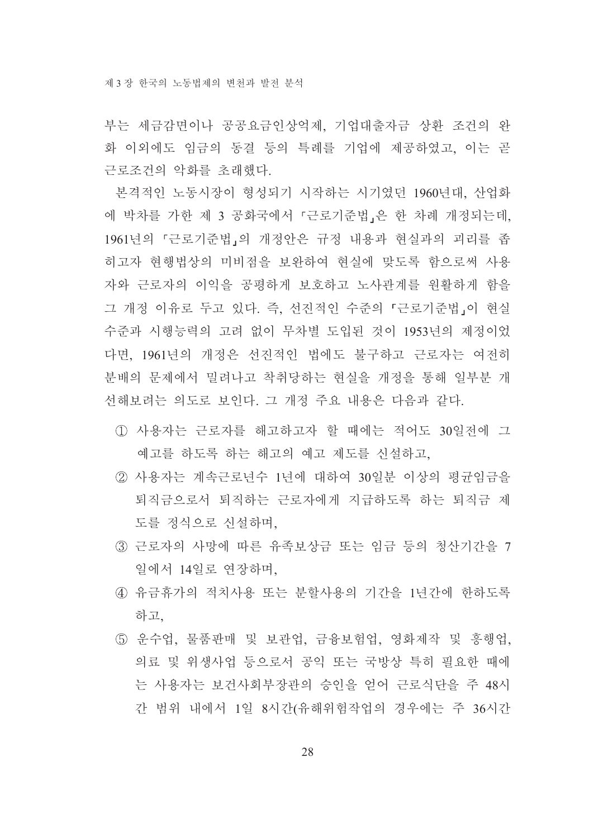부는 세금감면이나 공공요금인상억제, 기업대출자금 상환 조건의 완 화 이외에도 임금의 동결 등의 특례를 기업에 제공하였고. 이는 곧 근로조건의 악화를 초래했다.

본격적인 노동시장이 형성되기 시작하는 시기였던 1960년대, 산업화 에 박차를 가한 제 3 공화국에서 『근로기준법』은 한 차례 개정되는데, 1961년의 『근로기준법』의 개정안은 규정 내용과 현실과의 괴리를 좁 히고자 현행법상의 미비점을 보완하여 현실에 맞도록 함으로써 사용 자와 근로자의 이익을 공평하게 보호하고 노사관계를 원활하게 함을 그 개정 이유로 두고 있다. 즉, 선진적인 수준의 「근로기준법」이 현실 수준과 시행능력의 고려 없이 무차별 도입된 것이 1953년의 제정이었 다면 1961년의 개정은 선진적인 법에도 불구하고 근로자는 여전히 부배의 문제에서 밀려나고 착취당하는 혀실을 개정을 통해 일부분 개 선해보려는 의도로 보인다. 그 개정 주요 내용은 다음과 같다.

- 1) 사용자는 근로자를 해고하고자 할 때에는 적어도 30일전에 그 예고를 하도록 하는 해고의 예고 제도를 신설하고,
- ② 사용자는 계속근로년수 1년에 대하여 30일분 이상의 평균임금을 퇴직금으로서 퇴직하는 근로자에게 지급하도록 하는 퇴직금 제 도를 정식으로 신설하며.
- ③ 근로자의 사망에 따른 유족보상금 또는 임금 등의 청산기간을 7 일에서 14일로 연장하며,
- 4) 유금휴가의 적치사용 또는 분할사용의 기간을 1년간에 한하도록 하고
- ⑤ 운수업, 물품판매 및 보관업, 금융보험업, 영화제작 및 흥행업, 의료 및 위생사업 등으로서 공익 또는 국방상 특히 필요한 때에 는 사용자는 보건사회부장관의 승인을 얻어 근로식단을 주 48시 간 범위 내에서 1일 8시간(유해위험작업의 경우에는 주 36시간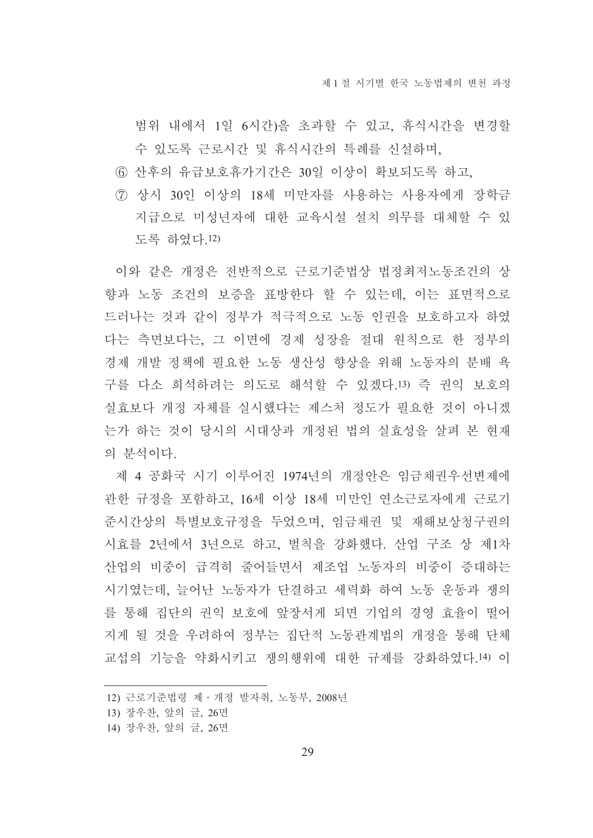범위 내에서 1일 6시간)을 초과할 수 있고, 휴식시간을 변경할 수 있도록 근로시간 및 휴식시간의 특례를 신설하며,

- 6 산후의 유급보호휴가기간은 30일 이상이 확보되도록 하고,
- (7) 상시 30인 이상의 18세 미만자를 사용하는 사용자에게 장학금 지급으로 미성년자에 대한 교육시설 설치 의무를 대체할 수 있 도록 하였다.12)

이와 같은 개정은 전반적으로 근로기준법상 법정최저노동조건의 상 향과 노동 조건의 보증을 표방한다 할 수 있는데, 이는 표면적으로 드러나는 것과 같이 정부가 적극적으로 노동 인권을 보호하고자 하였 다는 측면보다는, 그 이면에 경제 성장을 절대 원칙으로 한 정부의 경제 개발 정책에 필요한 노동 생산성 향상을 위해 노동자의 분배 욕 구를 다소 희석하려는 의도로 해석할 수 있겠다.13) 즉 권익 보호의 실효보다 개정 자체를 실시했다는 제스처 정도가 필요한 것이 아니겠 는가 하는 것이 당시의 시대상과 개정된 법의 실효성을 살펴 본 현재 의 부석이다.

제 4 공화국 시기 이루어진 1974년의 개정안은 임금채권우선변제에 관한 규정을 포함하고, 16세 이상 18세 미만인 연소근로자에게 근로기 준시간상의 특별보호규정을 두었으며, 임금채권 및 재해보상청구권의 시효를 2년에서 3년으로 하고, 벌칙을 강화했다. 산업 구조 상 제1차 산업의 비중이 급격히 줄어들면서 제조업 노동자의 비중이 증대하는 시기였는데, 늘어난 노동자가 단결하고 세력화 하여 노동 운동과 쟁의 를 통해 집단의 권익 보호에 앞장서게 되면 기업의 경영 효율이 떨어 지게 될 것을 우려하여 정부는 집단적 노동관계법의 개정을 통해 단체 교섭의 기능을 약화시키고 쟁의행위에 대한 규제를 강화하였다.14) 이

<sup>12)</sup> 근로기준법령 제 · 개정 발자취, 노동부, 2008년

<sup>13)</sup> 장우찬, 앞의 글, 26면

<sup>14)</sup> 장우찬, 앞의 글, 26면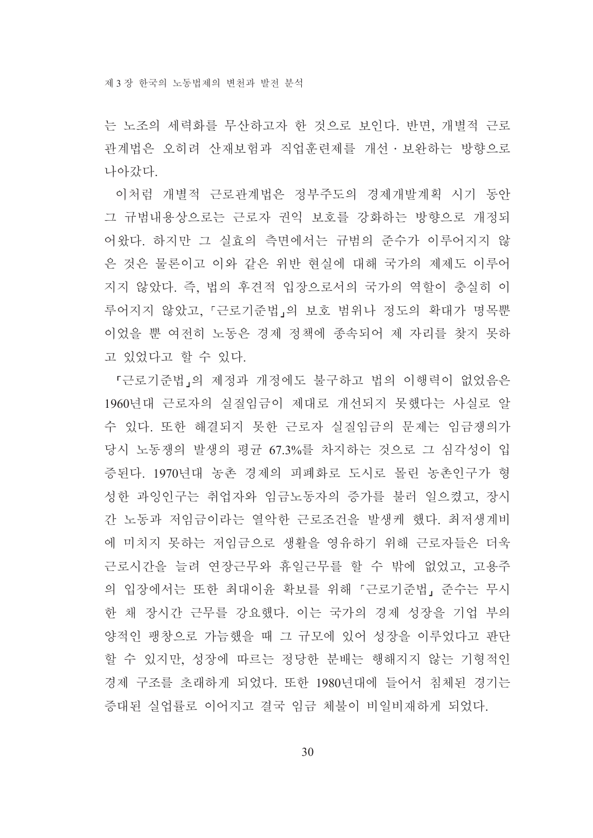는 노조의 세력화를 무산하고자 한 것으로 보인다. 반면, 개별적 근로 관계법은 오히려 산재보험과 직업훈련제를 개선 · 보완하는 방향으로 나아갔다.

이처럼 개별적 근로관계법은 정부주도의 경제개발계획 시기 동안 그 규범내용상으로는 근로자 권익 보호를 강화하는 방향으로 개정되 어왔다. 하지만 그 실효의 측면에서는 규범의 준수가 이루어지지 않 은 것은 물론이고 이와 같은 위반 현실에 대해 국가의 제제도 이루어 지지 않았다. 즉, 법의 후견적 입장으로서의 국가의 역할이 충실히 이 루어지지 않았고, 『근로기준법』의 보호 범위나 정도의 확대가 명목뿐 이었을 뿐 여전히 노동은 경제 정책에 종속되어 제 자리를 찾지 못하 고 있었다고 할 수 있다.

『근로기준법』의 제정과 개정에도 불구하고 법의 이행력이 없었음은 1960년대 근로자의 실질임금이 제대로 개선되지 못했다는 사실로 알 수 있다. 또한 해결되지 못한 근로자 실질임금의 문제는 임금쟁의가 당시 노동쟁의 발생의 평균 67.3%를 차지하는 것으로 그 심각성이 입 증된다. 1970년대 농촌 경제의 피폐화로 도시로 몰린 농촌인구가 형 성한 과잉인구는 취업자와 임금노동자의 증가를 불러 일으켰고, 장시 간 노동과 저임금이라는 열악한 근로조건을 발생케 했다. 최저생계비 에 미치지 못하는 저임금으로 생활을 영유하기 위해 근로자들은 더욱 근로시간을 늘려 연장근무와 휴일근무를 할 수 밖에 없었고, 고용주 의 입장에서는 또한 최대이윤 확보를 위해 『근로기준법』 준수는 무시 한 채 장시간 근무를 강요했다. 이는 국가의 경제 성장을 기업 부의 양적인 팽창으로 가늠했을 때 그 규모에 있어 성장을 이루었다고 판단 할 수 있지만, 성장에 따르는 정당한 분배는 행해지지 않는 기형적인 경제 구조를 초래하게 되었다. 또한 1980년대에 들어서 침체된 경기는 증대된 실업률로 이어지고 결국 임금 체불이 비일비재하게 되었다.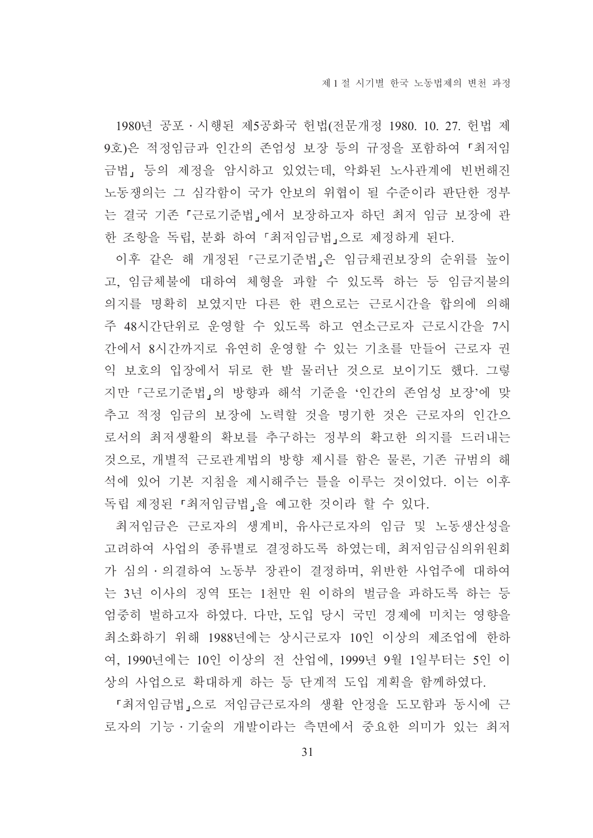1980년 공포 • 시행된 제5공화국 헌법(전문개정 1980. 10. 27. 헌법 제 9호)은 적정임금과 인간의 존엄성 보장 등의 규정을 포함하여 「최저임 금법, 등의 제정을 암시하고 있었는데, 악화된 노사관계에 빈번해진 노동쟁의는 그 심각함이 국가 안보의 위협이 될 수준이라 판단한 정부 는 결국 기존 「근로기준법」에서 보장하고자 하던 최저 임금 보장에 관 한 조항을 독립, 분화 하여 『최저임금법』으로 제정하게 된다.

이후 같은 해 개정된 『근로기준법』은 임금채권보장의 순위를 높이 고, 임금체불에 대하여 체형을 과할 수 있도록 하는 등 임금지불의 의지를 명확히 보였지만 다른 한 편으로는 근로시간을 합의에 의해 주 48시간단위로 운영할 수 있도록 하고 연소근로자 근로시간을 7시 간에서 8시간까지로 유연히 운영할 수 있는 기초를 만들어 근로자 권 익 보호의 입장에서 뒤로 한 발 물러난 것으로 보이기도 했다. 그렇 지만 「근로기준법」의 방향과 해석 기준을 '인간의 존엄성 보장'에 맞 추고 적정 임금의 보장에 노력할 것을 명기한 것은 근로자의 인간으 로서의 최저생활의 확보를 추구하는 정부의 확고한 의지를 드러내는 것으로, 개별적 근로관계법의 방향 제시를 함은 물론, 기존 규범의 해 석에 있어 기본 지침을 제시해주는 틀을 이루는 것이었다. 이는 이후 독립 제정된 「최저임금법」을 예고한 것이라 할 수 있다.

최저임금은 근로자의 생계비, 유사근로자의 임금 및 노동생산성을 고려하여 사업의 종류별로 결정하도록 하였는데, 최저임금심의위원회 가 심의 · 의결하여 노동부 장관이 결정하며, 위반한 사업주에 대하여 는 3년 이사의 징역 또는 1천만 원 이하의 벌금을 과하도록 하는 등 엄중히 벌하고자 하였다. 다만, 도입 당시 국민 경제에 미치는 영향을 최소화하기 위해 1988년에는 상시근로자 10인 이상의 제조업에 한하 여, 1990년에는 10인 이상의 전 산업에, 1999년 9월 1일부터는 5인 이 상의 사업으로 확대하게 하는 등 단계적 도입 계획을 함께하였다.

『최저임금법』으로 저임금근로자의 생활 안정을 도모함과 동시에 근 로자의 기능·기술의 개발이라는 측면에서 중요한 의미가 있는 최저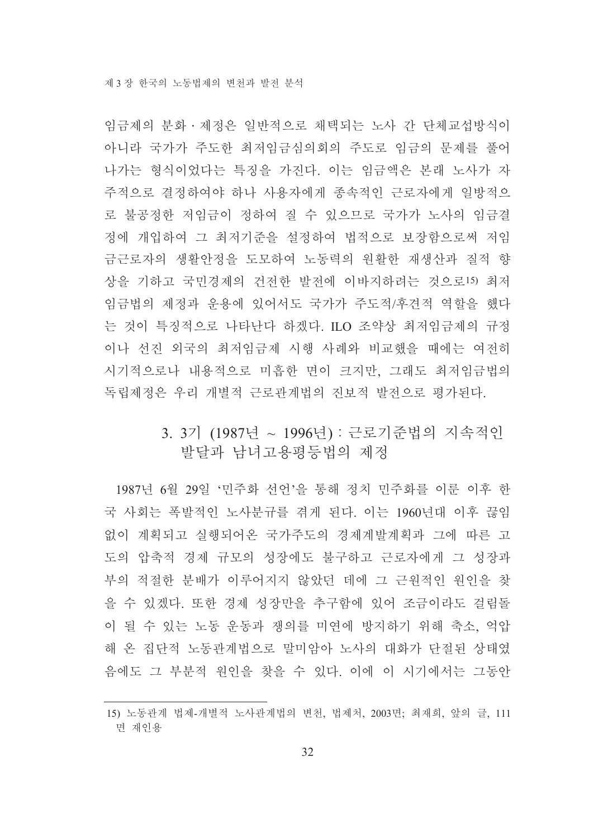임금제의 분화 · 제정은 일반적으로 채택되는 노사 간 단체교섭방식이 아니라 국가가 주도한 최저임금심의회의 주도로 임금의 문제를 풀어 나가는 형식이었다는 특징을 가진다. 이는 임금액은 본래 노사가 자 주적으로 결정하여야 하나 사용자에게 종속적인 근로자에게 일방적으 로 불공정한 저임금이 정하여 질 수 있으므로 국가가 노사의 임금결 정에 개입하여 그 최저기준을 설정하여 법적으로 보장함으로써 저임 금근로자의 생활안정을 도모하여 노동력의 원활한 재생산과 질적 향 상을 기하고 국민경제의 건전한 발전에 이바지하려는 것으로!5) 최저 임금법의 제정과 운용에 있어서도 국가가 주도적/후견적 역할을 했다 는 것이 특징적으로 나타난다 하겠다. ILO 조약상 최저임금제의 규정 이나 선진 외국의 최저임금제 시행 사례와 비교했을 때에는 여전히 시기적으로나 내용적으로 미흡한 면이 크지만, 그래도 최저임금법의 독립제정은 우리 개별적 근로관계법의 진보적 발전으로 평가된다.

## 3. 3기 (1987년 ~ 1996년) : 근로기준법의 지속적인 발달과 남녀고용평등법의 제정

1987년 6월 29일 '민주화 선언'을 통해 정치 민주화를 이룬 이후 한 국 사회는 폭발적인 노사분규를 겪게 된다. 이는 1960년대 이후 끊임 없이 계획되고 실행되어온 국가주도의 경제계발계획과 그에 따른 고 도의 압축적 경제 규모의 성장에도 불구하고 근로자에게 그 성장과 부의 적절한 분배가 이루어지지 않았던 데에 그 근원적인 원인을 찾 을 수 있겠다. 또한 경제 성장만을 추구함에 있어 조금이라도 걸림돌 이 될 수 있는 노동 운동과 쟁의를 미연에 방지하기 위해 축소. 억압 해 온 집단적 노동관계법으로 말미암아 노사의 대화가 단절된 상태였 음에도 그 부부적 워인을 찾을 수 있다. 이에 이 시기에서는 그동안

<sup>15)</sup> 노동관계 법제-개별적 노사관계법의 변천, 법제처, 2003면; 최재희, 앞의 글, 111 면 재인용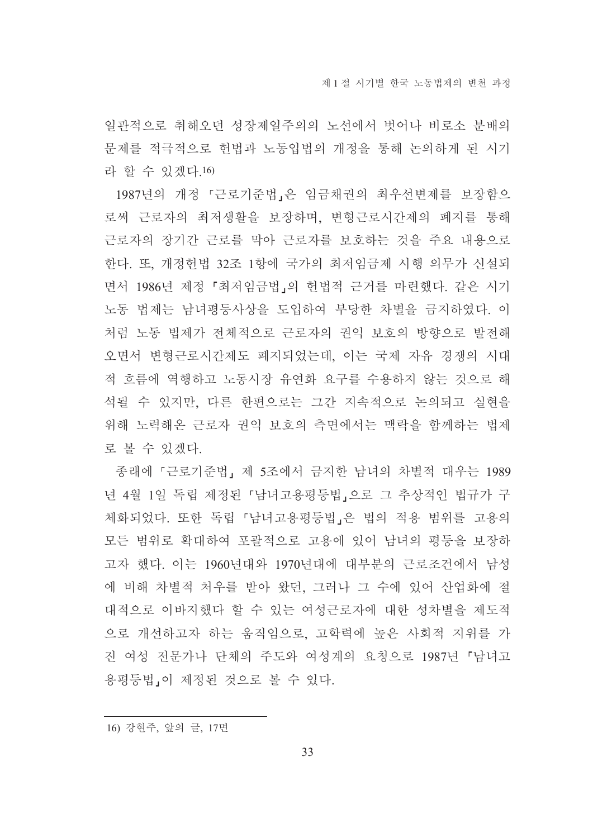일관적으로 취해오던 성장제일주의의 노선에서 벗어나 비로소 분배의 문제를 적극적으로 헌법과 노동입법의 개정을 통해 논의하게 된 시기 라 할 수 있겠다.16)

1987년의 개정 『근로기준법』은 임금채권의 최우선변제를 보장함으 로써 근로자의 최저생활을 보장하며, 변형근로시간제의 폐지를 통해 근로자의 장기간 근로를 막아 근로자를 보호하는 것을 주요 내용으로 한다. 또, 개정헌법 32조 1항에 국가의 최저임금제 시행 의무가 신설되 면서 1986년 제정 『최저임금법』의 헌법적 근거를 마련했다. 같은 시기 노동 법제는 남녀평등사상을 도입하여 부당한 차별을 금지하였다. 이 처럼 노동 법제가 전체적으로 근로자의 권익 보호의 방향으로 발전해 오면서 변형근로시간제도 폐지되었는데. 이는 국제 자유 경쟁의 시대 적 흐름에 역행하고 노동시장 유연화 요구를 수용하지 않는 것으로 해 석될 수 있지만, 다른 한편으로는 그간 지속적으로 논의되고 실현을 위해 노력해온 근로자 권익 보호의 측면에서는 맥락을 함께하는 법제 로 볼 수 있겠다.

종래에 『근로기준법』제 5조에서 금지한 남녀의 차별적 대우는 1989 년 4월 1일 독립 제정된 『남녀고용평등법』으로 그 추상적인 법규가 구 체화되었다. 또한 독립 「남녀고용평등법」은 법의 적용 범위를 고용의 모든 범위로 확대하여 포괄적으로 고용에 있어 남녀의 평등을 보장하 고자 했다. 이는 1960년대와 1970년대에 대부분의 근로조건에서 남성 에 비해 차별적 처우를 받아 왔던, 그러나 그 수에 있어 산업화에 절 대적으로 이바지했다 할 수 있는 여성근로자에 대한 성차별을 제도적 으로 개선하고자 하는 움직임으로, 고학력에 높은 사회적 지위를 가 진 여성 전문가나 단체의 주도와 여성계의 요청으로 1987년 『남녀고 용평등법 이 제정된 것으로 볼 수 있다.

16) 강현주, 앞의 글, 17면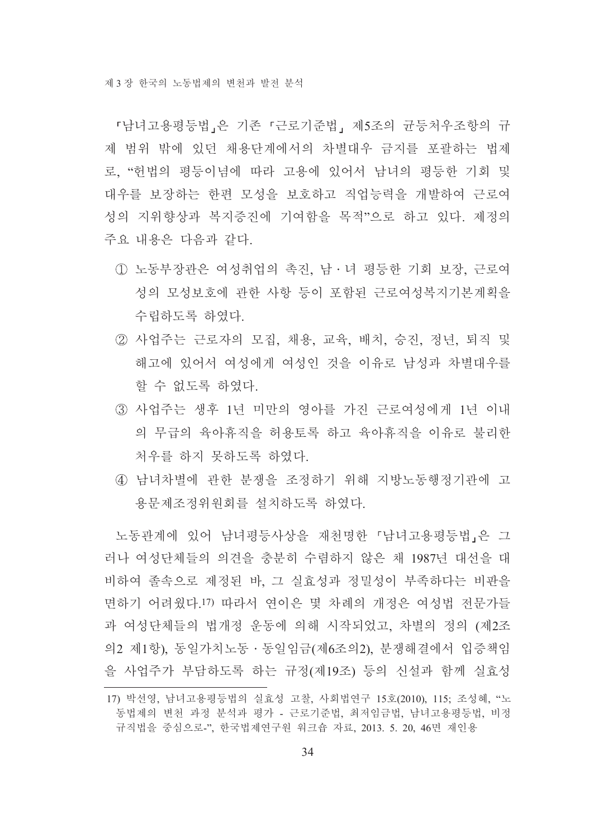「남녀고용평등법」은 기존 「근로기준법」 제5조의 균등처우조항의 규 제 범위 밖에 있던 채용단계에서의 차별대우 금지를 포괄하는 법제 로, "헌법의 평등이념에 따라 고용에 있어서 남녀의 평등한 기회 및 대우를 보장하는 한편 모성을 보호하고 직업능력을 개발하여 근로여 성의 지위향상과 복지증진에 기여함을 목적"으로 하고 있다. 제정의 주요 내용은 다음과 같다.

- 1 노동부장관은 여성취업의 촉진, 남 · 녀 평등한 기회 보장, 근로여 성의 모성보호에 관한 사항 등이 포함된 근로여성복지기본계획을 수립하도록 하였다.
- ② 사업주는 근로자의 모집, 채용, 교육, 배치, 승진, 정년, 퇴직 및 해고에 있어서 여성에게 여성인 것을 이유로 남성과 차별대우를 할 수 없도록 하였다.
- 3) 사업주는 생후 1년 미만의 영아를 가진 근로여성에게 1년 이내 의 무급의 육아휴직을 허용토록 하고 육아휴직을 이유로 불리하 처우를 하지 못하도록 하였다.
- 4) 남녀차별에 관한 분쟁을 조정하기 위해 지방노동행정기관에 고 용문제조정위원회를 설치하도록 하였다.

노동관계에 있어 남녀평등사상을 재천명한 『남녀고용평등법』은 그 러나 여성단체들의 의견을 충분히 수렴하지 않은 채 1987년 대선을 대 비하여 졸속으로 제정된 바, 그 실효성과 정밀성이 부족하다는 비판을 면하기 어려웠다.!7) 따라서 연이은 몇 차례의 개정은 여성법 전문가들 과 여성단체들의 법개정 운동에 의해 시작되었고, 차별의 정의 (제2조 의2 제1항), 동일가치노동 · 동일임금(제6조의2), 분쟁해결에서 입증책임 을 사업주가 부담하도록 하는 규정(제19조) 등의 신설과 함께 실효성

<sup>17)</sup> 박선영, 남녀고용평등법의 실효성 고찰, 사회법연구 15호(2010), 115; 조성혜, "노 동법제의 변천 과정 분석과 평가 - 근로기준법, 최저임금법, 남녀고용평등법, 비정 규직법을 중심으로-", 한국법제연구원 워크숍 자료, 2013. 5. 20, 46면 재인용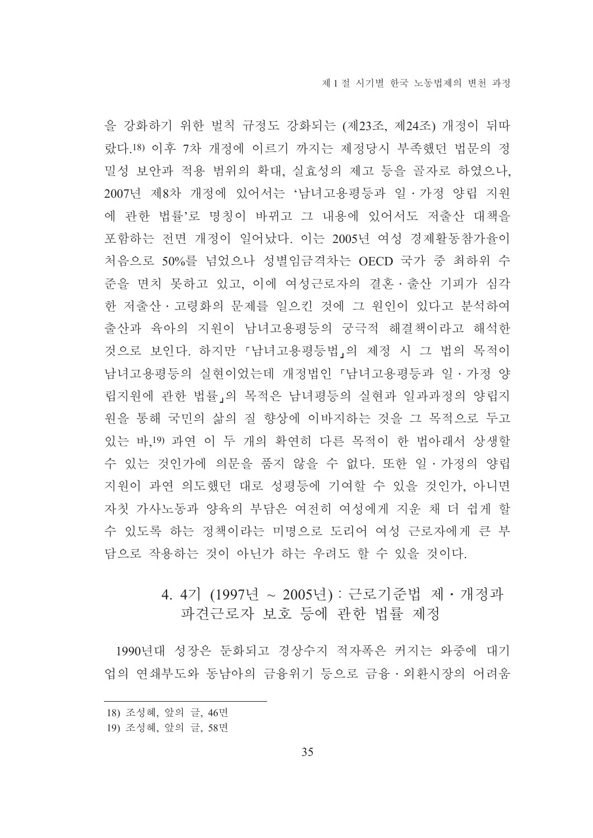을 강화하기 위한 벌칙 규정도 강화되는 (제23조, 제24조) 개정이 뒤따 랐다.18) 이후 7차 개정에 이르기 까지는 제정당시 부족했던 법문의 정 밀성 보안과 적용 범위의 확대, 실효성의 제고 등을 골자로 하였으나, 2007년 제8차 개정에 있어서는 '남녀고용평등과 일 · 가정 양립 지원 에 관한 법률'로 명칭이 바뀌고 그 내용에 있어서도 저출산 대책을 포함하는 전면 개정이 일어났다. 이는 2005년 여성 경제활동참가율이 처음으로 50%를 넘었으나 성별임금격차는 OECD 국가 중 최하위 수 주을 면치 못하고 있고, 이에 여성근로자의 결혼 · 출산 기피가 심각 한 저출산 · 고령화의 문제를 일으킨 것에 그 원인이 있다고 분석하여 출산과 육아의 지원이 남녀고용평등의 궁극적 해결책이라고 해석한 것으로 보인다. 하지만 「남녀고용평등법」의 제정 시 그 법의 목적이 남녀고용평등의 실현이었는데 개정법인 『남녀고용평등과 일·가정 양 립지원에 관한 법률」의 목적은 남녀평등의 실현과 일과과정의 양립지 원을 통해 국민의 삶의 질 향상에 이바지하는 것을 그 목적으로 두고 있는 바,19) 과연 이 두 개의 확연히 다른 목적이 한 법아래서 상생할 수 있는 것인가에 의문을 품지 않을 수 없다. 또한 일 · 가정의 양립 지원이 과연 의도했던 대로 성평등에 기여할 수 있을 것인가. 아니면 자칫 가사노동과 양육의 부담은 여전히 여성에게 지우 채 더 쉽게 할 수 있도록 하는 정책이라는 미명으로 도리어 여성 근로자에게 큰 부 닦으로 작용하는 것이 아닌가 하는 우려도 할 수 있을 것이다.

## 4.4기 (1997년 ~ 2005년) : 근로기준법 제 · 개정과 파견근로자 보호 등에 관한 법률 제정

1990년대 성장은 둔화되고 경상수지 적자폭은 커지는 와중에 대기 업의 연쇄부도와 동남아의 금융위기 등으로 금융 · 외환시장의 어려움

<sup>18)</sup> 조성혜, 앞의 글, 46면

<sup>19)</sup> 조성혜, 앞의 글, 58면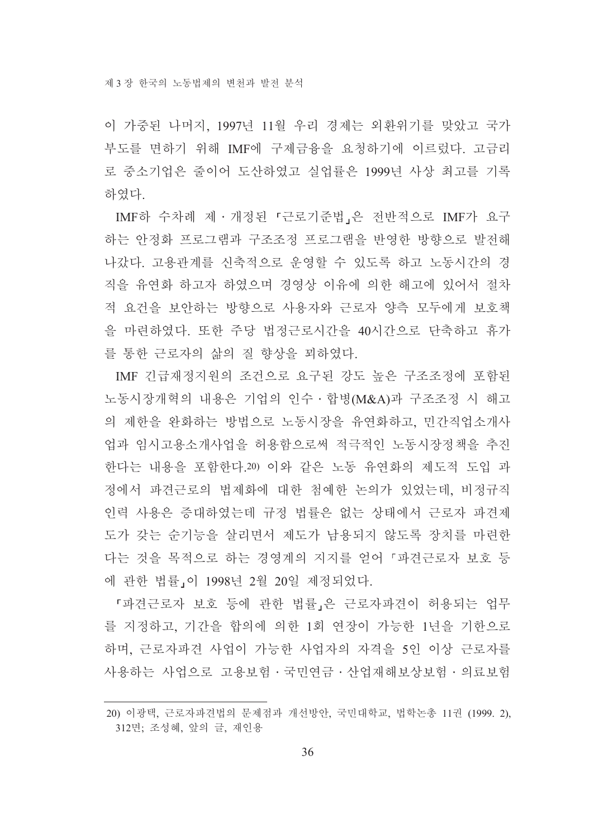이 가중된 나머지, 1997년 11월 우리 경제는 외환위기를 맞았고 국가 부도를 면하기 위해 IMF에 구제금융을 요청하기에 이르렀다. 고금리 로 중소기업은 줄이어 도산하였고 실업률은 1999년 사상 최고를 기록 하였다.

IMF하 수차례 제 · 개정된 『근로기준법』은 전반적으로 IMF가 요구 하는 안정화 프로그램과 구조조정 프로그램을 반영한 방향으로 발전해 나갔다. 고용관계를 신축적으로 운영할 수 있도록 하고 노동시간의 경 직을 유연화 하고자 하였으며 경영상 이유에 의한 해고에 있어서 절차 적 요건을 보안하는 방향으로 사용자와 근로자 양측 모두에게 보호책 을 마련하였다. 또한 주당 법정근로시간을 40시간으로 단축하고 휴가 를 통한 근로자의 삶의 질 향상을 꾀하였다.

IMF 긴급재정지워의 조건으로 요구된 강도 높은 구조조정에 포함된 노동시장개혁의 내용은 기업의 인수 · 합병(M&A)과 구조조정 시 해고 의 제한을 완화하는 방법으로 노동시장을 유연화하고, 민간직업소개사 업과 임시고용소개사업을 허용함으로써 적극적인 노동시장정책을 추진 한다는 내용을 포함한다.20) 이와 같은 노동 유연화의 제도적 도입 과 정에서 파견근로의 법제화에 대한 첨예한 논의가 있었는데, 비정규직 인력 사용은 증대하였는데 규정 법률은 없는 상태에서 근로자 파견제 도가 갖는 순기능을 살리면서 제도가 남용되지 않도록 장치를 마련한 다는 것을 목적으로 하는 경영계의 지지를 얻어 「파견근로자 보호 등 에 관한 법률」이 1998년 2월 20일 제정되었다.

『파견근로자 보호 등에 관한 법률 은 근로자파견이 허용되는 업무 를 지정하고, 기간을 합의에 의한 1회 연장이 가능한 1년을 기한으로 하며, 근로자파견 사업이 가능한 사업자의 자격을 5인 이상 근로자를 사용하는 사업으로 고용보험 · 국민연금 · 사업재해보상보험 · 의료보험

<sup>20)</sup> 이광택, 근로자파견법의 문제점과 개선방안, 국민대학교, 법학논총 11권 (1999, 2), 312면; 조성혜, 앞의 글, 재인용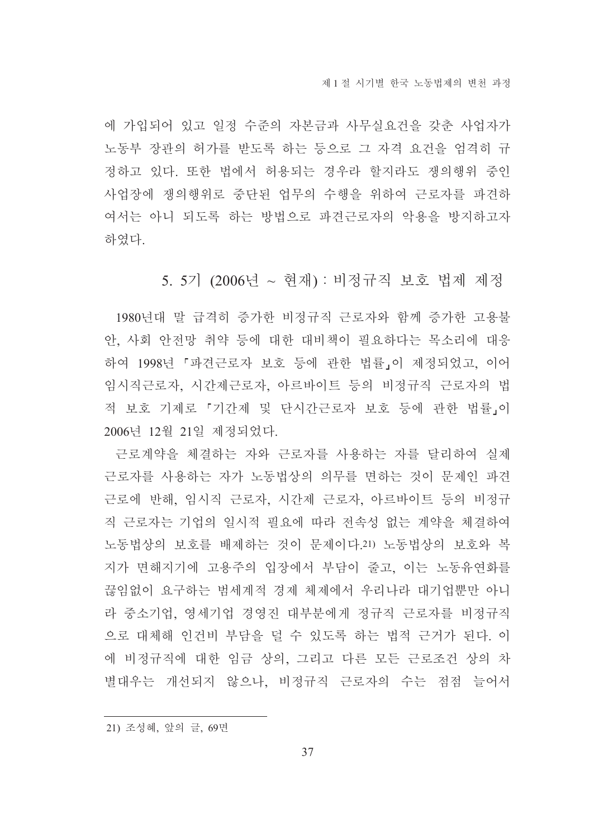에 가입되어 있고 일정 수준의 자본금과 사무실요건을 갖춘 사업자가 노동부 장관의 허가를 받도록 하는 등으로 그 자격 요건을 엄격히 규 정하고 있다. 또한 법에서 허용되는 경우라 할지라도 쟁의행위 중인 사업장에 쟁의행위로 중단된 업무의 수행을 위하여 근로자를 파견하 여서는 아니 되도록 하는 방법으로 파견근로자의 악용을 방지하고자 하였다.

5. 5기 (2006년 ~ 현재) : 비정규직 보호 법제 제정

1980년대 말 급격히 증가한 비정규직 근로자와 함께 증가한 고용불 안, 사회 안전망 취약 등에 대한 대비책이 필요하다는 목소리에 대응 하여 1998년 『파견근로자 보호 등에 관한 법률』이 제정되었고, 이어 임시직근로자, 시간제근로자, 아르바이트 등의 비정규직 근로자의 법 적 보호 기제로 『기간제 및 단시간근로자 보호 등에 관한 법률」이 2006년 12월 21일 제정되었다.

근로계약을 체결하는 자와 근로자를 사용하는 자를 달리하여 실제 근로자를 사용하는 자가 노동법상의 의무를 면하는 것이 문제인 파견 근로에 반해, 임시직 근로자, 시간제 근로자, 아르바이트 등의 비정규 직 근로자는 기업의 일시적 필요에 따라 전속성 없는 계약을 체결하여 노동법상의 보호를 배제하는 것이 문제이다.21) 노동법상의 보호와 복 지가 면해지기에 고용주의 입장에서 부담이 줄고, 이는 노동유연화를 끊임없이 요구하는 범세계적 경제 체제에서 우리나라 대기업뿐만 아니 라 중소기업, 영세기업 경영진 대부분에게 정규직 근로자를 비정규직 으로 대체해 인건비 부담을 덜 수 있도록 하는 법적 근거가 된다. 이 에 비정규직에 대한 임금 상의, 그리고 다른 모든 근로조건 상의 차 별대우는 개선되지 않으나, 비정규직 근로자의 수는 점점 늘어서

21) 조성혜, 앞의 글, 69면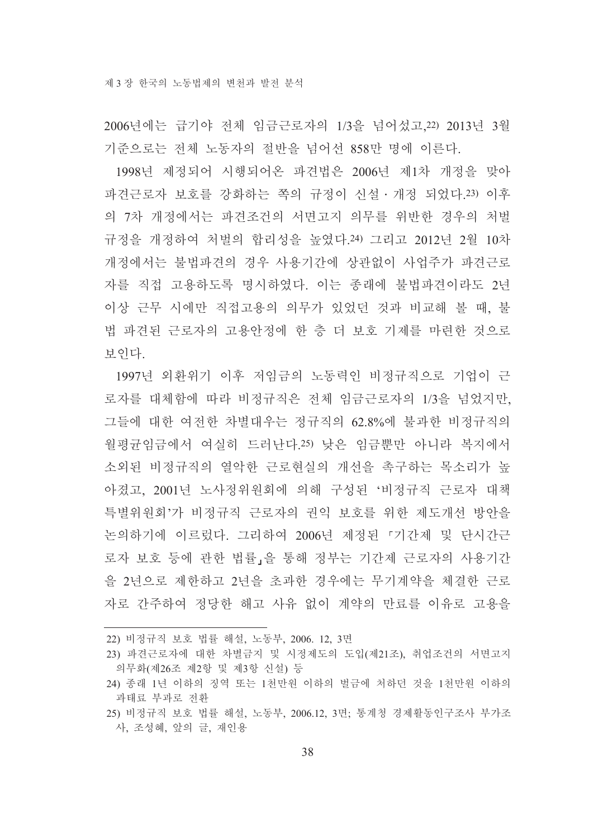2006년에는 급기야 전체 임금근로자의 1/3을 넘어섰고 22) 2013년 3월 기준으로는 전체 노동자의 절반을 넘어선 858만 명에 이른다.

1998년 제정되어 시행되어온 파견법은 2006년 제1차 개정을 맞아 파견근로자 보호를 강화하는 쪽의 규정이 신설 · 개정 되었다.23) 이후 의 7차 개정에서는 파견조건의 서면고지 의무를 위반한 경우의 처벌 규정을 개정하여 처벌의 합리성을 높였다.24) 그리고 2012년 2월 10차 개정에서는 불법파견의 경우 사용기간에 상관없이 사업주가 파견근로 자를 직접 고용하도록 명시하였다. 이는 종래에 불법파견이라도 2년 이상 근무 시에만 직접고용의 의무가 있었던 것과 비교해 볼 때, 불 법 파견된 근로자의 고용안정에 한 층 더 보호 기제를 마련한 것으로 보인다.

1997년 외화위기 이후 저임금의 노동력인 비정규직으로 기업이 근 로자를 대체함에 따라 비정규직은 전체 임금근로자의 1/3을 넘었지만. 그들에 대한 여전한 차별대우는 정규직의 62.8%에 불과한 비정규직의 월평균임금에서 여실히 드러난다.25) 낮은 임금뿐만 아니라 복지에서 소외된 비정규직의 열악한 근로혁실의 개선을 촉구하는 목소리가 높 아졌고, 2001년 노사정위원회에 의해 구성된 '비정규직 근로자 대책 특별위워회'가 비정규직 근로자의 권익 보호를 위한 제도개선 방안을 논의하기에 이르렀다. 그리하여 2006년 제정된 『기간제 및 단시간근 로자 보호 등에 관한 법률」을 통해 정부는 기간제 근로자의 사용기간 을 2년으로 제한하고 2년을 초과한 경우에는 무기계약을 체결한 근로 자로 간주하여 정당한 해고 사유 없이 계약의 만료를 이유로 고용을

22) 비정규직 보호 법률 해설, 노동부, 2006. 12, 3면

<sup>23)</sup> 파견근로자에 대한 차별금지 및 시정제도의 도입(제21조), 취업조건의 서면고지 의무화(제26조 제2항 및 제3항 신설) 등

<sup>24)</sup> 종래 1년 이하의 징역 또는 1천만원 이하의 벌금에 처하던 것을 1천만원 이하의 과태료 부과로 전환

<sup>25)</sup> 비정규직 보호 법률 해설, 노동부, 2006.12, 3면; 통계청 경제활동인구조사 부가조 사, 조성혜, 앞의 글, 재인용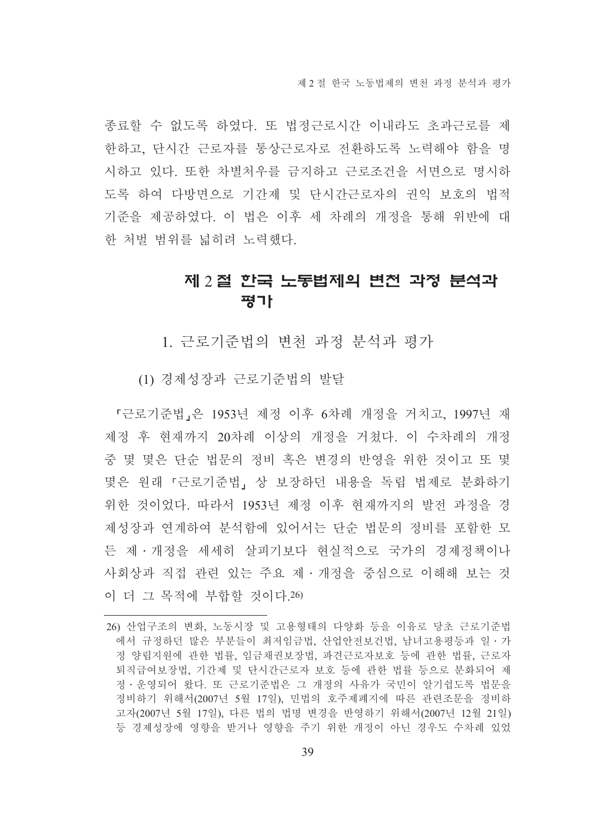종료할 수 없도록 하였다. 또 법정근로시간 이내라도 초과근로를 제 한하고, 단시간 근로자를 통상근로자로 전환하도록 노력해야 함을 명 시하고 있다. 또한 차별처우를 금지하고 근로조건을 서면으로 명시하 도록 하여 다방면으로 기간제 및 단시간근로자의 권익 보호의 법적 기준을 제공하였다. 이 법은 이후 세 차례의 개정을 통해 위반에 대 한 처벌 범위를 넓히려 노력했다.

# 제 2 절 한국 노동법제의 변천 과정 분석과 평가

1. 근로기준법의 변천 과정 분석과 평가

(1) 경제성장과 근로기준법의 발달

『근로기주법』은 1953년 제정 이후 6차례 개정을 거치고, 1997년 재 제정 후 현재까지 20차례 이상의 개정을 거쳤다. 이 수차례의 개정 중 몇 몇은 단순 법문의 정비 혹은 변경의 반영을 위한 것이고 또 몇 몇은 원래 「근로기준법」 상 보장하던 내용을 독립 법제로 분화하기 위한 것이었다. 따라서 1953년 제정 이후 현재까지의 발전 과정을 경 제성장과 여계하여 부석함에 있어서는 단수 법무의 정비를 포함한 모 든 제 · 개정을 세세히 살피기보다 현실적으로 국가의 경제정책이나 사회상과 직접 관련 있는 주요 제 · 개정을 중심으로 이해해 보는 것 이 더 그 목적에 부합할 것이다.26)

<sup>26)</sup> 산업구조의 변화, 노동시장 및 고용형태의 다양화 등을 이유로 당초 근로기준법 에서 규정하던 많은 부분들이 최저임금법, 산업안전보건법, 남녀고용평등과 일ㆍ가 정 양립지원에 관한 법률, 임금채권보장법, 파견근로자보호 등에 관한 법률, 근로자 퇴직급여보장법, 기간제 및 단시간근로자 보호 등에 관한 법률 등으로 분화되어 제 정 · 운영되어 왔다. 또 근로기준법은 그 개정의 사유가 국민이 알기쉽도록 법문을 정비하기 위해서(2007년 5월 17일), 민법의 호주제폐지에 따른 관련조문을 정비하 고자(2007년 5월 17일), 다른 법의 법명 변경을 반영하기 위해서(2007년 12월 21일) 등 경제성장에 영향을 받거나 영향을 주기 위한 개정이 아닌 경우도 수차례 있었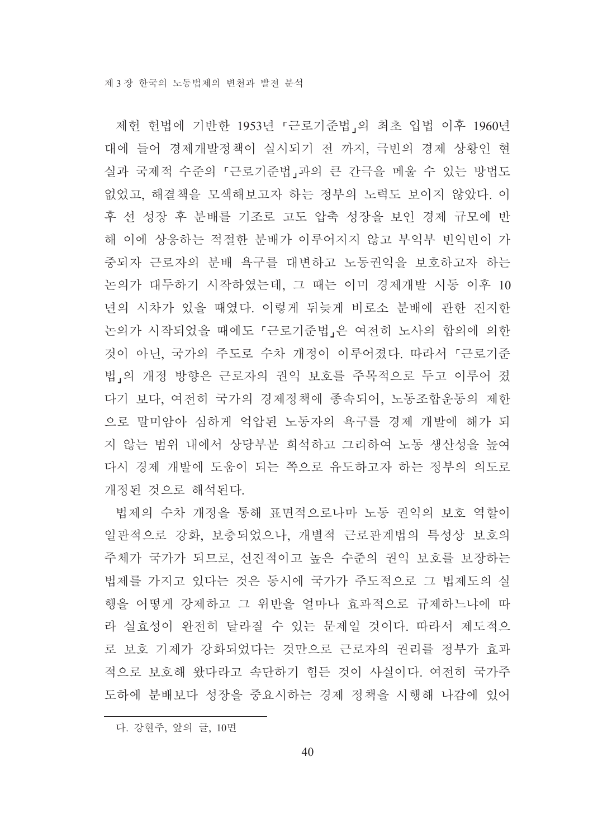제헌 헌법에 기반한 1953년 『근로기준법』의 최초 입법 이후 1960년 대에 들어 경제개발정책이 실시되기 전 까지, 극빈의 경제 상황인 현 실과 국제적 수준의 『근로기준법』과의 큰 간극을 메울 수 있는 방법도 없었고, 해결책을 모색해보고자 하는 정부의 노력도 보이지 않았다. 이 후 선 성장 후 분배를 기조로 고도 압축 성장을 보인 경제 규모에 반 해 이에 상응하는 적절한 분배가 이루어지지 않고 부익부 빈익빈이 가 중되자 근로자의 분배 욕구를 대변하고 노동권익을 보호하고자 하는 논의가 대두하기 시작하였는데, 그 때는 이미 경제개발 시동 이후 10 년의 시차가 있을 때였다. 이렇게 뒤늦게 비로소 분배에 관한 진지한 논의가 시작되었을 때에도 『근로기준법』은 여전히 노사의 합의에 의한 것이 아닌, 국가의 주도로 수차 개정이 이루어졌다. 따라서 「근로기준 법」의 개정 방향은 근로자의 권익 보호를 주목적으로 두고 이루어 졌 다기 보다. 여전히 국가의 경제정책에 종속되어. 노동조합운동의 제한 으로 말미암아 심하게 억압된 노동자의 욕구를 경제 개발에 해가 되 지 않는 범위 내에서 상당부분 희석하고 그리하여 노동 생산성을 높여 다시 경제 개발에 도움이 되는 쪽으로 유도하고자 하는 정부의 의도로 개정된 것으로 해석된다.

법제의 수차 개정을 통해 표면적으로나마 노동 권익의 보호 역할이 일관적으로 강화, 보충되었으나, 개별적 근로관계법의 특성상 보호의 주체가 국가가 되므로, 선진적이고 높은 수준의 권익 보호를 보장하는 법제를 가지고 있다는 것은 동시에 국가가 주도적으로 그 법제도의 실 행을 어떻게 강제하고 그 위반을 얼마나 효과적으로 규제하느냐에 따 라 실효성이 완전히 달라질 수 있는 문제일 것이다. 따라서 제도적으 로 보호 기제가 강화되었다는 것만으로 근로자의 권리를 정부가 효과 적으로 보호해 왔다라고 속단하기 힘든 것이 사실이다. 여전히 국가주 도하에 부배보다 성장을 중요시하는 경제 정책을 시행해 나감에 있어

다. 강현주, 앞의 글, 10면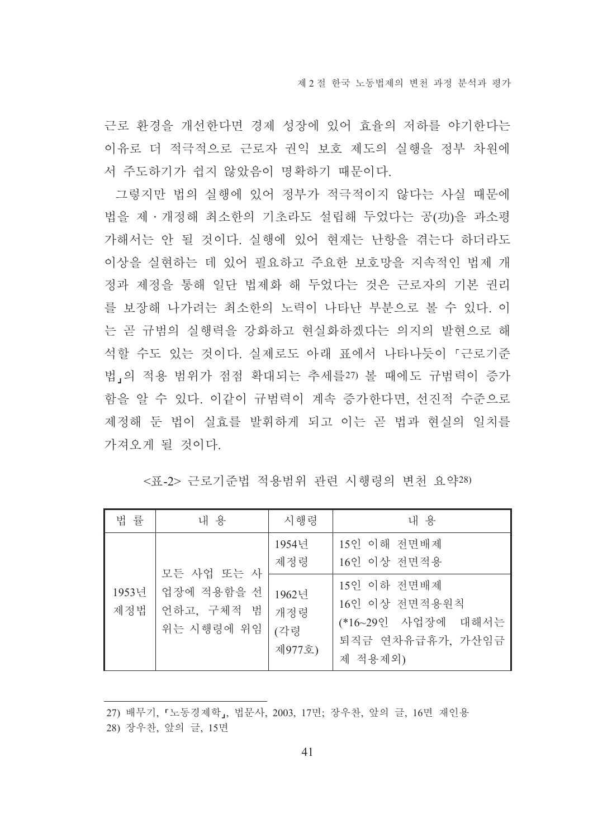근로 환경을 개선한다면 경제 성장에 있어 효율의 저하를 야기한다는 이유로 더 적극적으로 근로자 권익 보호 제도의 실행을 정부 차원에 서 주도하기가 쉽지 않았음이 명확하기 때문이다.

그렇지만 법의 실행에 있어 정부가 적극적이지 않다는 사실 때문에 법을 제 · 개정해 최소한의 기초라도 설립해 두었다는 공(功)을 과소평 가해서는 안 될 것이다. 실행에 있어 현재는 난항을 겪는다 하더라도 이상을 실현하는 데 있어 필요하고 주요한 보호망을 지속적인 법제 개 정과 제정을 통해 일단 법제화 해 두었다는 것은 근로자의 기본 권리 를 보장해 나가려는 최소한의 노력이 나타난 부분으로 볼 수 있다. 이 는 곧 규범의 실행력을 강화하고 현실화하겠다는 의지의 발현으로 해 석할 수도 있는 것이다. 실제로도 아래 표에서 나타나듯이 「근로기준 법,의 적용 범위가 점점 확대되는 추세를27) 볼 때에도 규범력이 증가 함을 알 수 있다. 이같이 규범력이 계속 증가한다면, 선진적 수준으로 제정해 두 법이 실효를 발휘하게 되고 이는 곧 법과 혀실의 일치를 가져오게 될 것이다.

|  | <표-2> 근로기준법 적용범위 관련 시행령의 변천 요약28) |  |  |  |  |  |
|--|-----------------------------------|--|--|--|--|--|
|--|-----------------------------------|--|--|--|--|--|

| 법 률          | 내 용                                    | 시행령                           | 내 용                                                                               |
|--------------|----------------------------------------|-------------------------------|-----------------------------------------------------------------------------------|
|              | 모든 사업 또는 사                             | 1954년<br>제정령                  | 15인 이해 전면배제<br>16인 이상 전면적용                                                        |
| 1953년<br>제정법 | 업장에 적용함을 선<br>언하고, 구체적 범<br>위는 시행령에 위임 | 1962년<br>개정령<br>(각령<br>제977호) | 15인 이하 전면배제<br>16인 이상 전면적용원칙<br>(*16~29인 사업장에 대해서는<br>퇴직금 연차유급휴가, 가산임금<br>제 적용제외) |

<sup>27)</sup> 배무기, 『노동경제학』, 법문사, 2003, 17면; 장우찬, 앞의 글, 16면 재인용

<sup>28)</sup> 장우찬, 앞의 글, 15면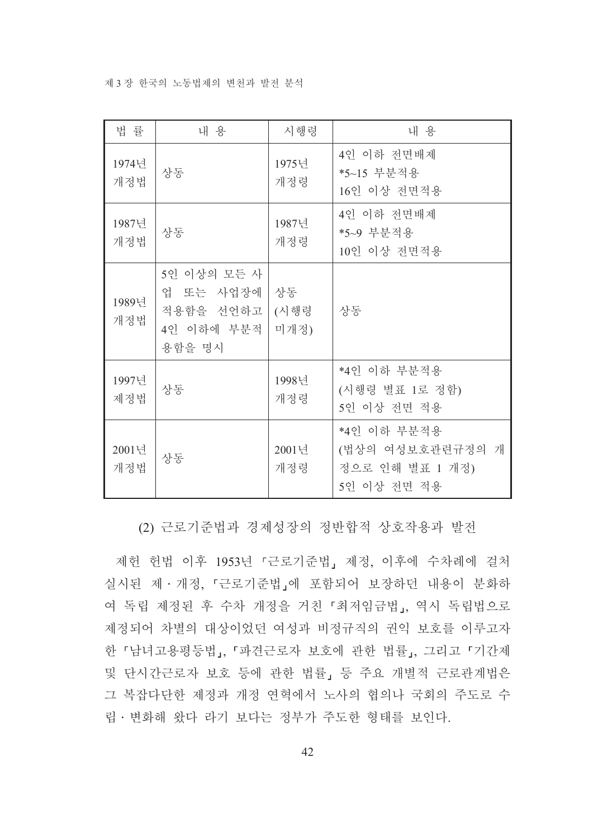#### 제 3 장 한국의 노동법제의 변천과 발전 분석

| 법 률          | 내 용                                                           | 시행령                | 내 용                                                                  |
|--------------|---------------------------------------------------------------|--------------------|----------------------------------------------------------------------|
| 1974년<br>개정법 | 상동                                                            | 1975년<br>개정령       | 4인 이하 전면배제<br>*5~15 부분적용<br>16인 이상 전면적용                              |
| 1987년<br>개정법 | 상동                                                            | 1987년<br>개정령       | 4인 이하 전면배제<br>*5~9 부분적용<br>10인 이상 전면적용                               |
| 1989년<br>개정법 | 5인 이상의 모든 사<br>업 또는 사업장에<br>적용함을 선언하고<br>4인 이하에 부분적<br>용함을 명시 | 상동<br>(시행령<br>미개정) | 상동                                                                   |
| 1997년<br>제정법 | 상동                                                            | 1998년<br>개정령       | *4인 이하 부분적용<br>(시행령 별표 1로 정함)<br>5인 이상 전면 적용                         |
| 2001년<br>개정법 | 상동                                                            | 2001년<br>개정령       | *4인 이하 부분적용<br>(법상의 여성보호관련규정의<br>개<br>정으로 인해 별표 1 개정)<br>5인 이상 전면 적용 |

(2) 근로기준법과 경제성장의 정반합적 상호작용과 발전

제헌 헌법 이후 1953년 『근로기준법』제정, 이후에 수차례에 걸처 실시된 제 · 개정, 『근로기준법』에 포함되어 보장하던 내용이 분화하 여 독립 제정된 후 수차 개정을 거친 「최저임금법」, 역시 독립법으로 제정되어 차별의 대상이었던 여성과 비정규직의 권익 보호를 이루고자 한 「남녀고용평등법」, 「파견근로자 보호에 관한 법률」, 그리고 「기간제 및 단시간근로자 보호 등에 관한 법률」 등 주요 개별적 근로관계법은 그 복잡다단한 제정과 개정 연혁에서 노사의 협의나 국회의 주도로 수 립 · 변화해 왔다 라기 보다는 정부가 주도한 형태를 보인다.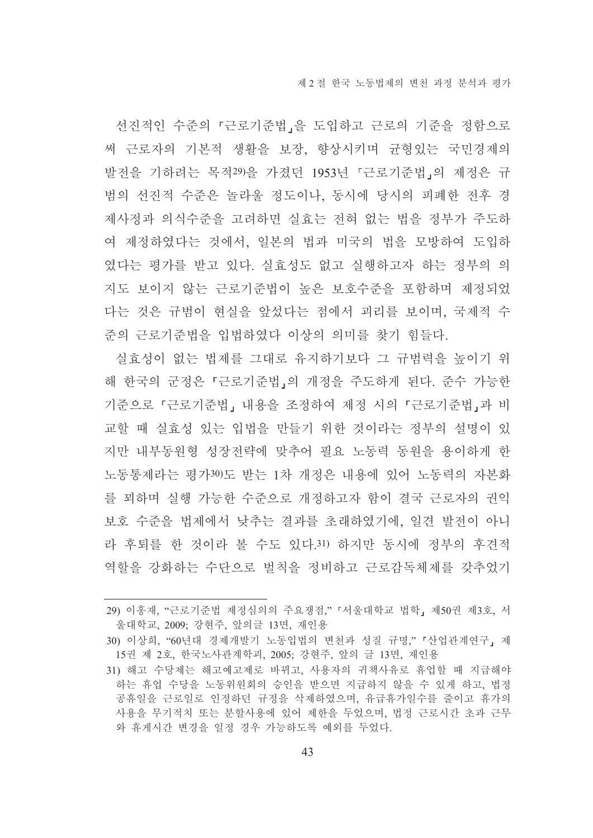선진적인 수준의 「근로기준법」을 도입하고 근로의 기준을 정함으로 써 근로자의 기본적 생활을 보장, 향상시키며 규형있는 국민경제의 발전을 기하려는 목적29)을 가졌던 1953년 『근로기주법』의 제정은 규 범의 선진적 수준은 놀라울 정도이나, 동시에 당시의 피폐한 전후 경 제사정과 의식수준을 고려하면 실효는 전혀 없는 법을 정부가 주도하 여 제정하였다는 것에서, 일본의 법과 미국의 법을 모방하여 도입하 였다는 평가를 받고 있다. 실효성도 없고 실행하고자 하는 정부의 의 지도 보이지 않는 근로기준법이 높은 보호수준을 포함하며 제정되었 다는 것은 규범이 현실을 앞섰다는 점에서 괴리를 보이며. 국제적 수 준의 근로기준법을 입법하였다 이상의 의미를 찾기 힘들다.

실효성이 없는 법제를 그대로 유지하기보다 그 규범력을 높이기 위 해 한국의 군정은 「근로기준법」의 개정을 주도하게 된다. 준수 가능한 기준으로 『근로기준법』 내용을 조정하여 제정 시의 『근로기준법』과 비 교할 때 실효성 있는 입법을 만들기 위한 것이라는 정부의 설명이 있 지만 내부동워형 성장전략에 맞추어 필요 노동력 동워을 용이하게 한 노동통제라는 평가30)도 받는 1차 개정은 내용에 있어 노동력의 자본화 를 꾀하며 실행 가능한 수준으로 개정하고자 함이 결국 근로자의 권익 보호 수준을 법제에서 낮추는 결과를 초래하였기에, 일견 발전이 아니 라 후퇴를 한 것이라 볼 수도 있다.31) 하지만 동시에 정부의 후견적 역할을 강화하는 수단으로 벌칙을 정비하고 근로감독체제를 갖추었기

<sup>29)</sup> 이홍재, "근로기준법 제정심의의 주요쟁점," 「서울대학교 법학」 제50권 제3호, 서 울대학교, 2009; 강현주, 앞의글 13면, 재인용

<sup>30)</sup> 이상희, "60년대 경제개발기 노동입법의 변천과 성질 규명," 「산업관계연구, 제 15권 제 2호, 한국노사관계학괴, 2005; 강현주, 앞의 글 13면, 재인용

<sup>31)</sup> 해고 수당제는 해고예고제로 바뀌고, 사용자의 귀책사유로 휴업할 때 지급해야 하는 휴업 수당을 노동위원회의 승인을 받으면 지급하지 않을 수 있게 하고, 법정 공휴일을 근로일로 인정하던 규정을 삭제하였으며, 유급휴가일수를 줄이고 휴가의 사용을 무기적치 또는 분할사용에 있어 제한을 두었으며, 법정 근로시간 초과 근무 와 휴게시간 변경을 일정 경우 가능하도록 예외를 두었다.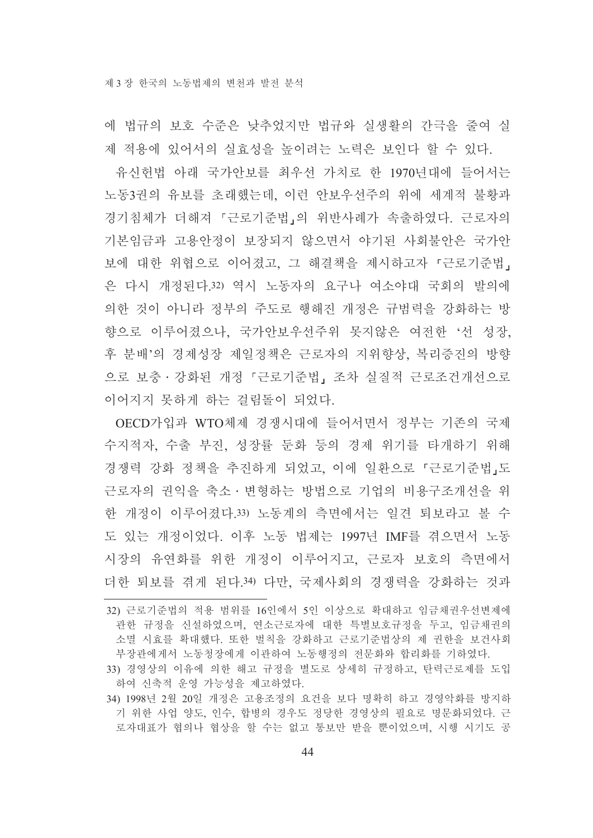에 법규의 보호 수준은 낮추었지만 법규와 실생활의 간극을 줄여 실 제 적용에 있어서의 실효성을 높이려는 노력은 보인다 할 수 있다.

유신헌법 아래 국가안보를 최우선 가치로 한 1970년대에 들어서는 노동3권의 유보를 초래했는데, 이런 안보우선주의 위에 세계적 불황과 경기침체가 더해져 「근로기준법」의 위반사례가 속출하였다. 근로자의 기본임금과 고용안정이 보장되지 않으면서 야기된 사회불안은 국가안 보에 대한 위협으로 이어졌고, 그 해결책을 제시하고자 「근로기주법」 은 다시 개정된다.32) 역시 노동자의 요구나 여소야대 국회의 발의에 의한 것이 아니라 정부의 주도로 행해진 개정은 규범력을 강화하는 방 향으로 이루어졌으나, 국가안보우선주위 못지않은 여전한 '선 성장, 후 분배'의 경제성장 제일정책은 근로자의 지위향상. 복리증진의 방향 으로 보충 · 강화된 개정 『근로기준법』 조차 실질적 근로조건개선으로 이어지지 못하게 하는 걸림돌이 되었다.

OECD가입과 WTO체제 경쟁시대에 들어서면서 정부는 기존의 국제 수지적자. 수출 부진, 성장률 두화 등의 경제 위기를 타개하기 위해 경쟁력 강화 정책을 추진하게 되었고, 이에 일환으로 「근로기준법」도 근로자의 권익을 축소ㆍ변형하는 방법으로 기업의 비용구조개선을 위 한 개정이 이루어졌다.33) 노동계의 측면에서는 일견 퇴보라고 볼 수 도 있는 개정이었다. 이후 노동 법제는 1997년 IMF를 겪으면서 노동 시장의 유연화를 위한 개정이 이루어지고, 근로자 보호의 측면에서 더한 퇴보를 겪게 된다.34) 다만, 국제사회의 경쟁력을 강화하는 것과

<sup>32)</sup> 근로기주법의 적용 범위를 16인에서 5인 이상으로 확대하고 임금채권우선변제에 관한 규정을 신설하였으며, 연소근로자에 대한 특별보호규정을 두고, 임금채권의 소멸 시효를 확대했다. 또한 벌칙을 강화하고 근로기준법상의 제 권한을 보건사회 부장관에게서 노동청장에게 이관하여 노동행정의 전문화와 합리화를 기하였다.

<sup>33)</sup> 경영상의 이유에 의한 해고 규정을 별도로 상세히 규정하고, 탄력근로제를 도입 하여 신축적 운영 가능성을 제고하였다.

<sup>34) 1998</sup>년 2월 20일 개정은 고용조정의 요건을 보다 명확히 하고 경영악화를 방지하 기 위한 사업 양도, 인수, 합병의 경우도 정당한 경영상의 필요로 명문화되었다. 근 로자대표가 협의나 협상을 할 수는 없고 통보만 받을 뿐이었으며, 시행 시기도 공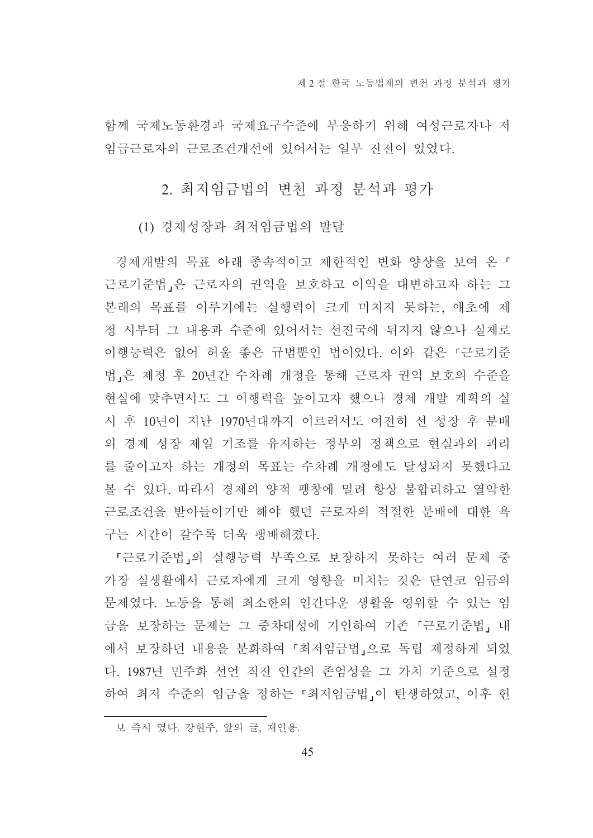함께 국제노동환경과 국제요구수준에 부응하기 위해 여성근로자나 저 임금근로자의 근로조건개선에 있어서는 일부 진전이 있었다.

2. 최저임금법의 변천 과정 분석과 평가

(1) 경제성장과 최저임금법의 발달

경제개발의 목표 아래 종속적이고 제한적인 변화 양상을 보여 온 「 근로기준법,은 근로자의 권익을 보호하고 이익을 대변하고자 하는 그 본래의 목표를 이루기에는 실행력이 크게 미치지 못하는, 애초에 제 정 시부터 그 내용과 수준에 있어서는 선진국에 뒤지지 않으나 실제로 이행능력은 없어 허울 좋은 규범뿐인 법이었다. 이와 같은 「근로기준 법 은 제정 후 20년간 수차례 개정을 통해 근로자 권익 보호의 수준을 현실에 맞추면서도 그 이행력을 높이고자 했으나 경제 개발 계획의 실 시 후 10년이 지난 1970년대까지 이르러서도 여전히 선 성장 후 분배 의 경제 성장 제일 기조를 유지하는 정부의 정책으로 현실과의 괴리 를 줄이고자 하는 개정의 목표는 수차례 개정에도 달성되지 못했다고 볼 수 있다. 따라서 경제의 양적 팽창에 밀려 항상 불합리하고 열악한 근로조건을 받아들이기만 해야 했던 근로자의 적절한 분배에 대한 욕 구는 시간이 갈수록 더욱 팽배해졌다.

『근로기준법」의 실행능력 부족으로 보장하지 못하는 여러 문제 중 가장 실생활에서 근로자에게 크게 영향을 미치는 것은 단연코 임금의 문제였다. 노동을 통해 최소한의 인간다운 생활을 영위할 수 있는 임 금을 보장하는 문제는 그 중차대성에 기인하여 기존 『근로기준법』내 에서 보장하던 내용을 분화하여 「최저임금법」으로 독립 제정하게 되었 다. 1987년 민주화 선언 직전 인간의 존엄성을 그 가치 기준으로 설정 하여 최저 수준의 임금을 정하는 「최저임금법」이 탄생하였고, 이후 헌

보 즉시 였다. 강현주, 앞의 글, 재인용.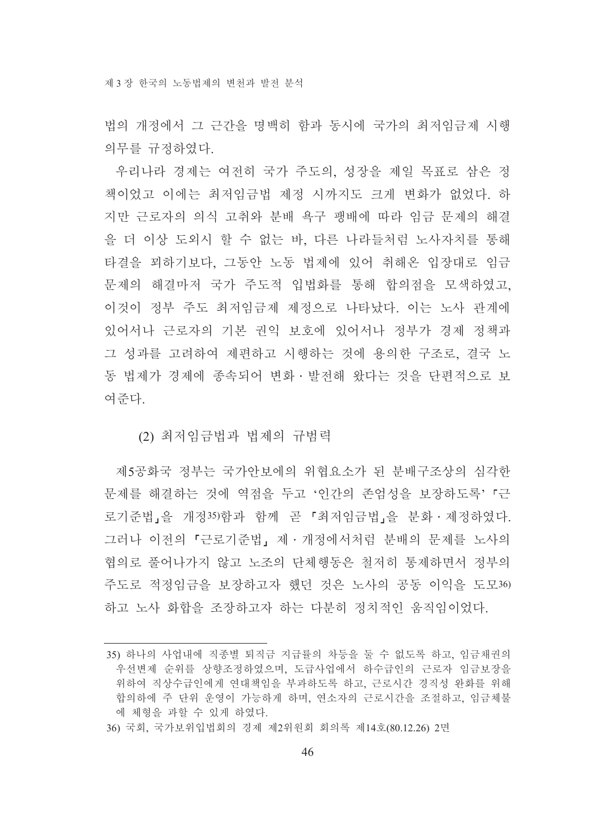법의 개정에서 그 근간을 명백히 함과 동시에 국가의 최저임금제 시행 의무를 규정하였다.

우리나라 경제는 여전히 국가 주도의, 성장을 제일 목표로 삼은 정 책이었고 이에는 최저임금법 제정 시까지도 크게 변화가 없었다. 하 지만 근로자의 의식 고취와 분배 욕구 팽배에 따라 임금 문제의 해결 을 더 이상 도외시 할 수 없는 바. 다른 나라들처럼 노사자치를 통해 타결을 꾀하기보다. 그동안 노동 법제에 있어 취해온 입장대로 임금 문제의 해결마저 국가 주도적 입법화를 통해 합의점을 모색하였고, 이것이 정부 주도 최저임금제 제정으로 나타났다. 이는 노사 관계에 있어서나 근로자의 기본 권익 보호에 있어서나 정부가 경제 정책과 그 성과를 고려하여 제편하고 시행하는 것에 용의한 구조로, 결국 노 동 법제가 경제에 종속되어 변화 · 발전해 왔다는 것을 단편적으로 보 여주다

#### (2) 최저임금법과 법제의 규범력

제5공화국 정부는 국가안보에의 위협요소가 된 분배구조상의 심각한 문제를 해결하는 것에 역점을 두고 '인간의 존엄성을 보장하도록' 「근 로기준법」을 개정35)함과 함께 곧 「최저임금법」을 분화 · 제정하였다. 그러나 이전의 「근로기준법」 제 · 개정에서처럼 분배의 문제를 노사의 협의로 풀어나가지 않고 노조의 단체행동은 철저히 통제하면서 정부의 주도로 적정임금을 보장하고자 했던 것은 노사의 공동 이익을 도모36) 하고 노사 화함을 조장하고자 하는 다부히 정치적인 움직임이었다.

<sup>35)</sup> 하나의 사업내에 직종별 퇴직금 지급률의 차등을 둘 수 없도록 하고, 임금채권의 우선변제 순위를 상향조정하였으며, 도급사업에서 하수급인의 근로자 임금보장을 위하여 직상수급인에게 연대책임을 부과하도록 하고, 근로시간 경직성 완화를 위해 합의하에 주 단위 운영이 가능하게 하며, 연소자의 근로시간을 조절하고, 임금체불 에 체형을 과할 수 있게 하였다.

<sup>36)</sup> 국회, 국가보위입법회의 경제 제2위원회 회의록 제14호(80.12.26) 2면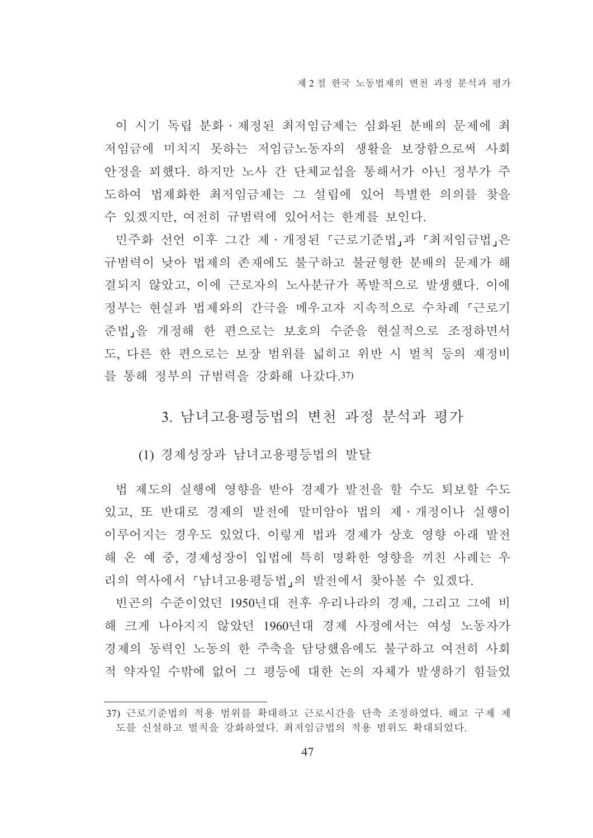이 시기 독립 분화 · 제정된 최저임금제는 심화된 분배의 문제에 최 저임금에 미치지 못하는 저임금노동자의 생활을 보장함으로써 사회 안정을 꾀했다. 하지만 노사 간 단체교섭을 통해서가 아닌 정부가 주 도하여 법제화한 최저임금제는 그 설립에 있어 특별한 의의를 찾을 수 있겠지만, 여전히 규범력에 있어서는 한계를 보인다.

민주화 선언 이후 그간 제·개정된 『근로기준법』과 『최저임금법』은 규범력이 낮아 법제의 존재에도 불구하고 불균형한 분배의 문제가 해 결되지 않았고, 이에 근로자의 노사분규가 폭발적으로 발생했다. 이에 정부는 현실과 법제와의 간극을 메우고자 지속적으로 수차례 『근로기 준법,을 개정해 한 편으로는 보호의 수준을 현실적으로 조정하면서 도, 다른 한 편으로는 보장 범위를 넓히고 위반 시 벌칙 등의 재정비 를 통해 정부의 규범력을 강화해 나갔다 37)

3. 남녀고용평등법의 변천 과정 분석과 평가

(1) 경제성장과 남녀고용평등법의 발달

법 제도의 실행에 영향을 받아 경제가 발전을 할 수도 퇴보할 수도 있고, 또 반대로 경제의 발전에 말미암아 법의 제 · 개정이나 실행이 이루어지는 경우도 있었다. 이렇게 법과 경제가 상호 영향 아래 발전 해 온 예 중, 경제성장이 입법에 특히 명확한 영향을 끼친 사례는 우 리의 역사에서 『남녀고용평등법』의 발전에서 찾아볼 수 있겠다.

빈곤의 수준이었던 1950년대 전후 우리나라의 경제, 그리고 그에 비 해 크게 나아지지 않았던 1960년대 경제 사정에서는 여성 노동자가 경제의 동력인 노동의 한 주축을 담당했음에도 불구하고 여전히 사회 적 약자일 수밖에 없어 그 평등에 대한 논의 자체가 발생하기 힘들었

<sup>37)</sup> 근로기준법의 적용 범위를 확대하고 근로시간을 단축 조정하였다. 해고 구제 제 도를 신설하고 벌칙을 강화하였다. 최저임금법의 적용 범위도 확대되었다.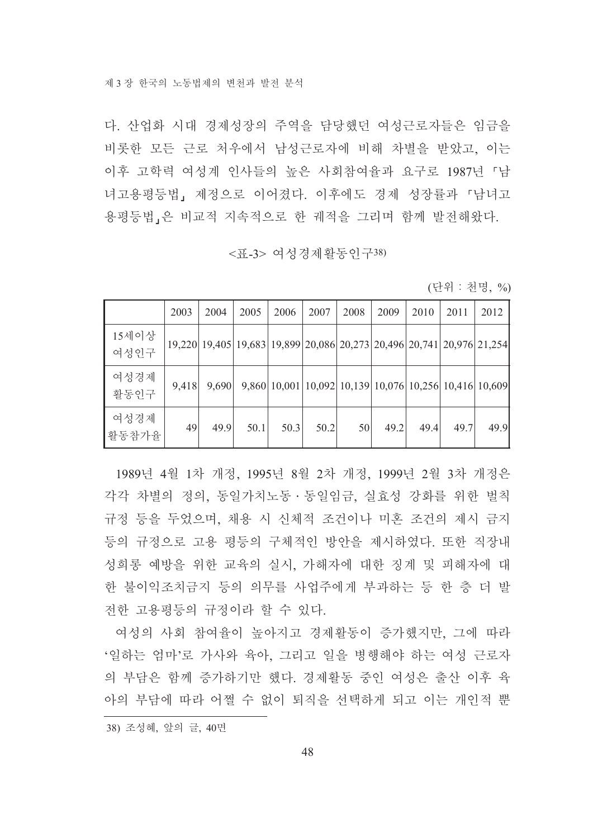다. 산업화 시대 경제성장의 주역을 담당했던 여성근로자들은 임금을 비롯한 모든 근로 처우에서 남성근로자에 비해 차별을 받았고, 이는 이후 고학력 여성계 인사들의 높은 사회참여율과 요구로 1987년 「남 녀고용평등법, 제정으로 이어졌다. 이후에도 경제 성장률과 『남녀고 용평등법,은 비교적 지속적으로 한 궤적을 그리며 함께 발전해왔다.

### <표-3> 여성경제활동인구38)

(단위 : 천명, %)

|               | 2003  | 2004                                                                  | 2005 | 2006                                                   | 2007 | 2008 | 2009 | 2010 | 2011 | 2012 |
|---------------|-------|-----------------------------------------------------------------------|------|--------------------------------------------------------|------|------|------|------|------|------|
| 15세이상<br>여성인구 |       | 19,220 19,405 19,683 19,899 20,086 20,273 20,496 20,741 20,976 21,254 |      |                                                        |      |      |      |      |      |      |
| 여성경제<br>활동인구  | 9,418 | 9,690                                                                 |      | 9,860 10,001 10,092 10,139 10,076 10,256 10,416 10,609 |      |      |      |      |      |      |
| 여성경제<br>활동참가율 | 49    | 49.9                                                                  | 50.1 | 50.3                                                   | 50.2 | 50   | 49.2 | 49.4 | 49.7 | 49.9 |

1989년 4월 1차 개정, 1995년 8월 2차 개정, 1999년 2월 3차 개정은 각각 차별의 정의, 동일가치노동 · 동일임금, 실효성 강화를 위한 벌칙 규정 등을 두었으며, 채용 시 신체적 조건이나 미혼 조건의 제시 금지 등의 규정으로 고용 평등의 구체적인 방안을 제시하였다. 또한 직장내 성희롱 예방을 위한 교육의 실시, 가해자에 대한 징계 및 피해자에 대 한 불이익조치금지 등의 의무를 사업주에게 부과하는 등 한 층 더 발 전한 고용평등의 규정이라 할 수 있다.

여성의 사회 참여율이 높아지고 경제활동이 증가했지만, 그에 따라 '일하는 엄마'로 가사와 육아, 그리고 일을 병행해야 하는 여성 근로자 의 부담은 함께 증가하기만 했다. 경제활동 중인 여성은 출산 이후 육 아의 부담에 따라 어쩔 수 없이 퇴직을 선택하게 되고 이는 개인적 뿐

<sup>38)</sup> 조성혜, 앞의 글, 40면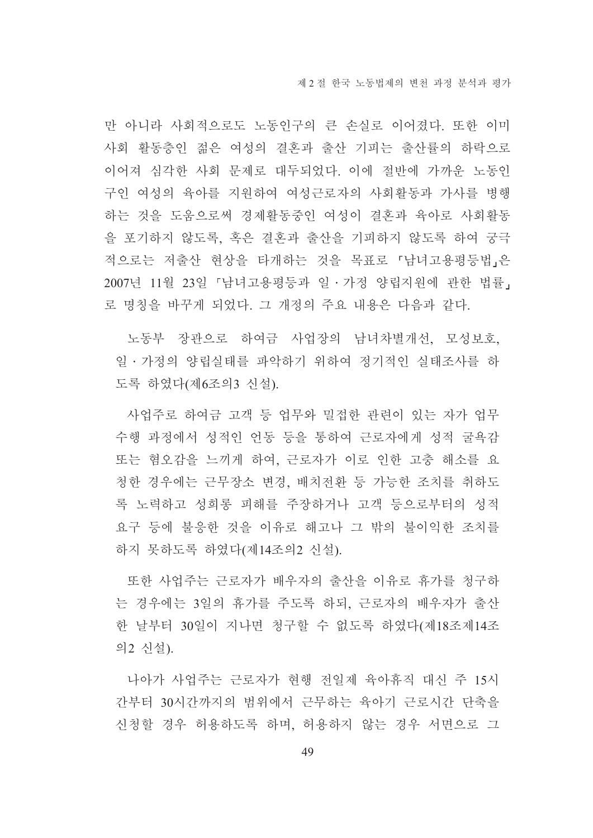만 아니라 사회적으로도 노동인구의 큰 손실로 이어졌다. 또한 이미 사회 활동층인 젊은 여성의 결혼과 출산 기피는 출산률의 하락으로 이어져 심각한 사회 문제로 대두되었다. 이에 절반에 가까운 노동인 구인 여성의 육아를 지원하여 여성근로자의 사회활동과 가사를 병행 하는 것을 도움으로써 경제활동중인 여성이 결혼과 육아로 사회활동 을 포기하지 않도록, 혹은 결혼과 출산을 기피하지 않도록 하여 궁극 적으로는 저출산 현상을 타개하는 것을 목표로 「남녀고용평등법」은 2007년 11월 23일 「남녀고용평등과 일·가정 양립지원에 관한 법률」 로 명칭을 바꾸게 되었다. 그 개정의 주요 내용은 다음과 같다.

노동부 장관으로 하여금 사업장의 남녀차별개선, 모성보호, 일ㆍ가정의 양립실태를 파악하기 위하여 정기적인 실태조사를 하 도록 하였다(제6조의3 신설).

사업주로 하여금 고객 등 업무와 밀접한 관련이 있는 자가 업무 수행 과정에서 성적인 언동 등을 통하여 근로자에게 성적 굴욕감 또는 혐오감을 느끼게 하여, 근로자가 이로 인한 고충 해소를 요 청한 경우에는 근무장소 변경, 배치전환 등 가능한 조치를 취하도 록 노력하고 성희롱 피해를 주장하거나 고객 등으로부터의 성적 요구 등에 불응한 것을 이유로 해고나 그 밖의 불이익한 조치를 하지 못하도록 하였다(제14조의2 신설).

또한 사업주는 근로자가 배우자의 출산을 이유로 휴가를 청구하 는 경우에는 3일의 휴가를 주도록 하되, 근로자의 배우자가 출산 한 날부터 30일이 지나면 청구할 수 없도록 하였다(제18조제14조 의2 신설).

나아가 사업주는 근로자가 혀행 전일제 육아휴직 대신 주 15시 간부터 30시간까지의 범위에서 근무하는 육아기 근로시간 단축을 신청할 경우 허용하도록 하며, 허용하지 않는 경우 서면으로 그

49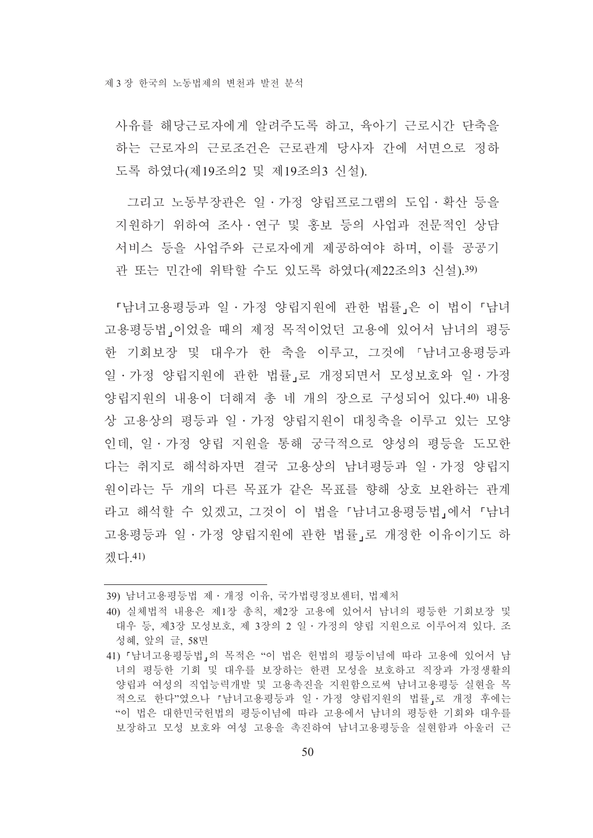사유를 해당근로자에게 알려주도록 하고 육아기 근로시간 단축을 하는 근로자의 근로조건은 근로관계 당사자 간에 서면으로 정하 도록 하였다(제19조의2 및 제19조의3 신설).

그리고 노동부장관은 일 · 가정 양립프로그램의 도입 · 확산 등을 지워하기 위하여 조사 • 여구 및 홍보 등의 사업과 전문적인 상담 서비스 등을 사업주와 근로자에게 제공하여야 하며 이를 공공기 관 또는 민간에 위탁할 수도 있도록 하였다(제22조의3 신설).39)

「남녀고용평등과 일·가정 양립지워에 관한 법률」은 이 법이 「남녀 고용평등법 이었을 때의 제정 목적이었던 고용에 있어서 남녀의 평등 한 기회보장 및 대우가 한 축을 이루고, 그것에 「남녀고용평등과 일 · 가정 양립지워에 관한 법률 로 개정되면서 모성보호와 일 · 가정 양립지워의 내용이 더해져 총 네 개의 장으로 구성되어 있다.40) 내용 상 고용상의 평등과 일 • 가정 양립지워이 대칭축을 이루고 있는 모양 이데, 일 · 가정 양립 지워을 통해 궁극적으로 양성의 평등을 도모한 다는 취지로 해석하자면 결국 고용상의 남녀평등과 일 · 가정 양립지 원이라는 두 개의 다른 목표가 같은 목표를 향해 상호 보완하는 관계 라고 해석할 수 있겠고, 그것이 이 법을 「남녀고용평등법」에서 「남녀 고용평등과 일ㆍ가정 양립지원에 관한 법률 로 개정한 이유이기도 하 겠다 41)

<sup>39)</sup> 남녀고용평등법 제 · 개정 이유, 국가법령정보센터, 법제처

<sup>40)</sup> 실체법적 내용은 제1장 총칙, 제2장 고용에 있어서 남녀의 평등한 기회보장 및 대우 등, 제3장 모성보호, 제 3장의 2 일 · 가정의 양립 지원으로 이루어져 있다. 조 성혜, 앞의 글, 58면

<sup>41) 『</sup>남녀고용평등법』의 목적은 "이 법은 헌법의 평등이념에 따라 고용에 있어서 남 녀의 평등한 기회 및 대우를 보장하는 한편 모성을 보호하고 직장과 가정생활의 양립과 여성의 직업능력개발 및 고용촉진을 지워함으로써 남녀고용평등 실현을 목 적으로 한다"였으나 「남녀고용평등과 일 · 가정 양립지원의 법률, 로 개정 후에는 "이 법은 대한민국헌법의 평등이념에 따라 고용에서 남녀의 평등한 기회와 대우를 보장하고 모성 보호와 여성 고용을 촉진하여 남녀고용평등을 실현함과 아울러 근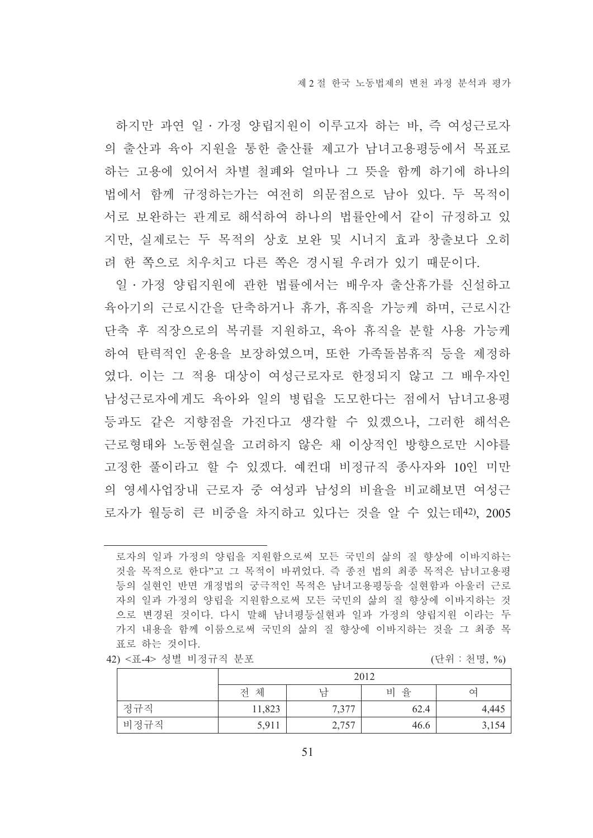하지만 과연 일 · 가정 양립지원이 이루고자 하는 바, 즉 여성근로자 의 출산과 육아 지워을 통한 출산률 제고가 남녀고용평등에서 목표로 하는 고용에 있어서 차별 철폐와 얼마나 그 뜻을 함께 하기에 하나의 법에서 함께 규정하는가는 여전히 의문점으로 남아 있다. 두 목적이 서로 보완하는 관계로 해석하여 하나의 법률안에서 같이 규정하고 있 지만, 실제로는 두 목적의 상호 보완 및 시너지 효과 창출보다 오히 려 한 쪽으로 치우치고 다른 쪽은 경시될 우려가 있기 때문이다.

일ㆍ가정 양립지원에 관한 법률에서는 배우자 출산휴가를 신설하고 육아기의 근로시간을 단축하거나 휴가, 휴직을 가능케 하며, 근로시간 단축 후 직장으로의 복귀를 지원하고, 육아 휴직을 분할 사용 가능케 하여 탄력적인 운용을 보장하였으며, 또한 가족돌봄휴직 등을 제정하 였다. 이는 그 적용 대상이 여성근로자로 한정되지 않고 그 배우자인 남성근로자에게도 육아와 일의 병립을 도모하다는 점에서 남녀고용평 등과도 같은 지향점을 가진다고 생각할 수 있겠으나, 그러한 해석은 근로형태와 노동현실을 고려하지 않은 채 이상적인 방향으로만 시야를 고정한 풀이라고 할 수 있겠다. 예컨대 비정규직 종사자와 10인 미만 의 영세사업장내 근로자 중 여성과 남성의 비율을 비교해보면 여성근 로자가 월등히 큰 비중을 차지하고 있다는 것을 알 수 있는데42). 2005

로자의 일과 가정의 양립을 지워함으로써 모든 국민의 삶의 질 향상에 이바지하는 것을 목적으로 한다"고 그 목적이 바뀌었다. 즉 종전 법의 최종 목적은 남녀고용평 등의 실현인 반면 개정법의 궁극적인 목적은 남녀고용평등을 실현함과 아울러 근로 자의 일과 가정의 양립을 지원함으로써 모든 국민의 삶의 질 향상에 이바지하는 것 으로 변경된 것이다. 다시 말해 남녀평등실현과 일과 가정의 양립지원 이라는 두 가지 내용을 함께 이룸으로써 국민의 삶의 질 향상에 이바지하는 것을 그 최종 목 표로 하는 것이다.  $5 - 55$ 

|  | 42) <표-4> 성별 비정규직 문포 |  |  |  |  |
|--|----------------------|--|--|--|--|
|--|----------------------|--|--|--|--|

| (단위 |  | 천명, | $\frac{0}{0}$ |
|-----|--|-----|---------------|
|-----|--|-----|---------------|

|      |        | 2012  |         |       |  |  |  |  |  |  |  |
|------|--------|-------|---------|-------|--|--|--|--|--|--|--|
|      | 전 체    | 낚     | 율<br>ЫI | ∞     |  |  |  |  |  |  |  |
| 정규직  | 11,823 | 7,377 | 62.4    | 4,445 |  |  |  |  |  |  |  |
| 비정규직 | 5,911  | 2,757 | 46.6    | 3,154 |  |  |  |  |  |  |  |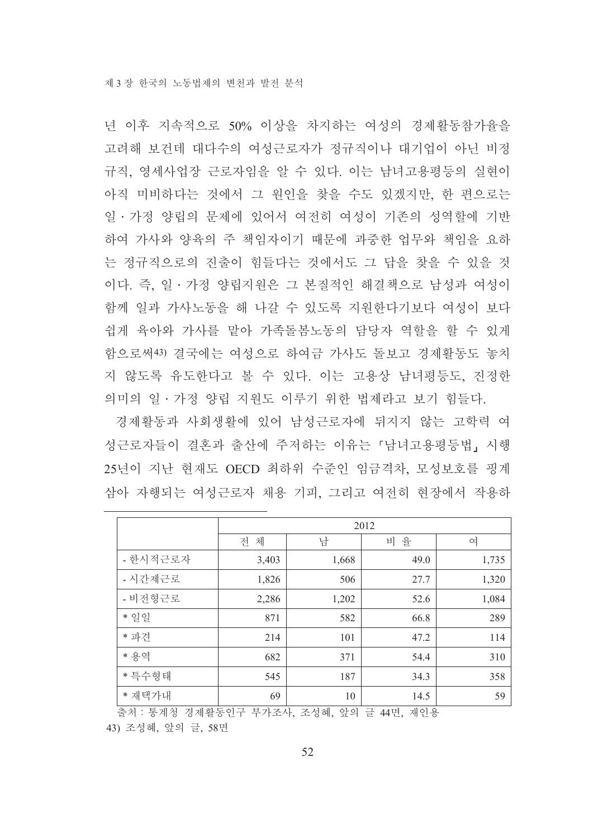년 이후 지속적으로 50% 이상을 차지하는 여성의 경제활동참가율을 고려해 보거데 대다수의 여성근로자가 정규직이나 대기업이 아닌 비정 규직, 영세사업장 근로자임을 알 수 있다. 이는 남녀고용평등의 실현이 아직 미비하다는 것에서 그 원인을 찾을 수도 있겠지만, 한 편으로는 일 • 가정 양립의 문제에 있어서 여전히 여성이 기존의 성역할에 기반 하여 가사와 양육의 주 책임자이기 때문에 과중한 업무와 책임을 요하 는 정규직으로의 진출이 힘들다는 것에서도 그 답을 찾을 수 있을 것 이다. 즉, 일·가정 양립지원은 그 본질적인 해결책으로 남성과 여성이 함께 일과 가사노동을 해 나갈 수 있도록 지원한다기보다 여성이 보다 쉽게 육아와 가사를 맡아 가족돌봄노동의 담당자 역할을 할 수 있게 함으로써43) 결국에는 여성으로 하여금 가사도 돌보고 경제활동도 놓치 지 않도록 유도한다고 볼 수 있다. 이는 고용상 남녀평등도, 진정한 의미의 일ㆍ가정 양립 지워도 이루기 위한 법제라고 보기 힘들다.

경제활동과 사회생활에 있어 남성근로자에 뒤지지 않는 고학력 여 성근로자들이 결혼과 출산에 주저하는 이유는 「남녀고용평등법」 시행 25년이 지난 현재도 OECD 최하위 수준인 임금격차, 모성보호를 핑계 삼아 자행되는 여성근로자 채용 기피. 그리고 여전히 현장에서 작용하

|          |        |       | 2012 |       |
|----------|--------|-------|------|-------|
|          | 체<br>전 | 남     | 비 율  | 여     |
| - 한시적근로자 | 3,403  | 1,668 | 49.0 | 1,735 |
| - 시간제근로  | 1,826  | 506   | 27.7 | 1,320 |
| - 비전형근로  | 2,286  | 1,202 | 52.6 | 1,084 |
| * 일일     | 871    | 582   | 66.8 | 289   |
| * 파견     | 214    | 101   | 47.2 | 114   |
| * 용역     | 682    | 371   | 54.4 | 310   |
| * 특수형태   | 545    | 187   | 34.3 | 358   |
| * 재택가내   | 69     | 10    | 14.5 | 59    |

출처 : 통계청 경제활동인구 부가조사, 조성혜, 앞의 글 44면, 재인용

43) 조성혜, 앞의 글, 58면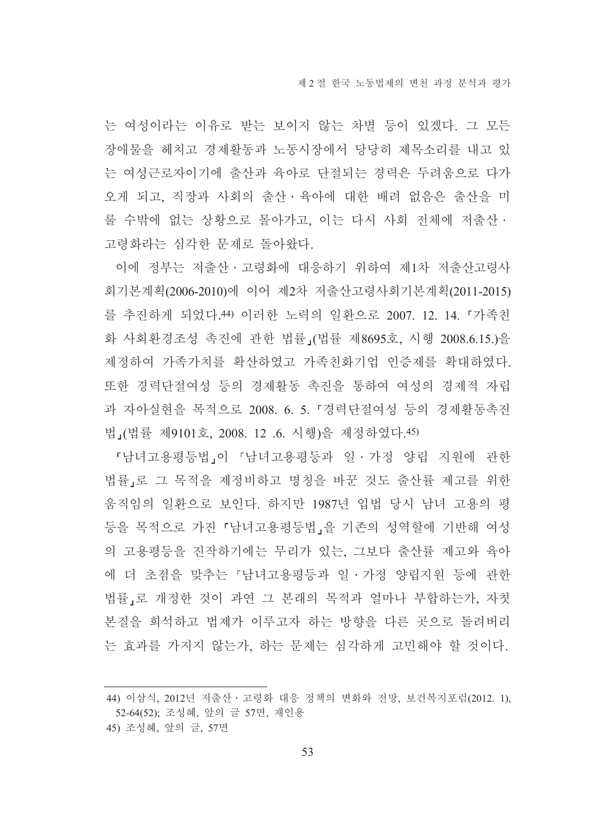는 여성이라는 이유로 받는 보이지 않는 차별 등이 있겠다. 그 모든 장애물을 헤치고 경제활동과 노동시장에서 당당히 제목소리를 내고 있 는 여성근로자이기에 출산과 육아로 단절되는 경력은 두려움으로 다가 오게 되고, 직장과 사회의 출산·육아에 대한 배려 없음은 출산을 미 룰 수밖에 없는 상황으로 몰아가고. 이는 다시 사회 전체에 저출산ㆍ 고령화라는 심각한 문제로 돌아왔다.

이에 정부는 저출산·고령화에 대응하기 위하여 제1차 저출산고령사 회기본계획(2006-2010)에 이어 제2차 저출산고령사회기본계획(2011-2015) 를 추진하게 되었다.44) 이러한 노력의 일환으로 2007. 12. 14. 『가족친 화 사회환경조성 촉진에 관한 법률 (법률 제8695호, 시행 2008.6.15.)을 제정하여 가족가치를 확산하였고 가족친화기업 인증제를 확대하였다. 또한 경력단절여성 등의 경제활동 촉진을 통하여 여성의 경제적 자립 과 자아실혂을 목적으로 2008. 6. 5. 「경력단절여성 등의 경제활동촉진 법」(법률 제9101호, 2008. 12 .6. 시행)을 제정하였다.45)

『남녀고용평등법』이 『남녀고용평등과 일·가정 양립 지워에 관한 법률」로 그 목적을 제정비하고 명칭을 바꾼 것도 출산률 제고를 위한 움직임의 일환으로 보인다. 하지만 1987년 입법 당시 남녀 고용의 평 등을 목적으로 가진 『남녀고용평등법』을 기존의 성역할에 기반해 여성 의 고용평등을 진작하기에는 무리가 있는, 그보다 출산률 제고와 육아 에 더 초점을 맞추는 「남녀고용평등과 일 · 가정 양립지원 등에 관한 법률」로 개정한 것이 과연 그 본래의 목적과 얼마나 부합하는가, 자칫 본질을 희석하고 법제가 이루고자 하는 방향을 다른 곳으로 돌려버리 는 효과를 가지지 않는가, 하는 문제는 심각하게 고민해야 할 것이다.

<sup>44)</sup> 이삼식, 2012년 저출산 · 고령화 대응 정책의 변화와 전망, 보건복지포럼(2012. 1), 52-64(52); 조성혜, 앞의 글 57면, 재인용

<sup>45)</sup> 조성혜, 앞의 글, 57면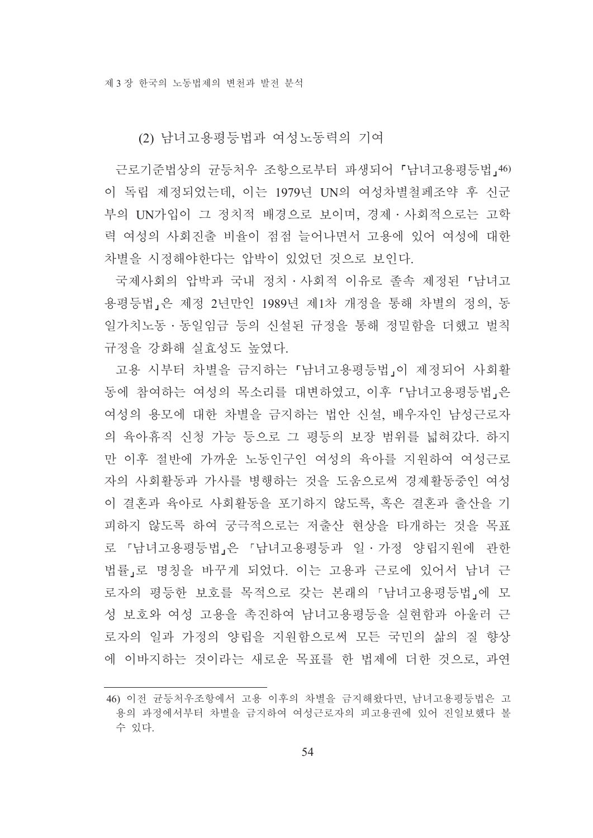(2) 남녀고용평등법과 여성노동력의 기여

근로기주법상의 규등처우 조항으로부터 파생되어 「남녀고용평등법,46) 이 독립 제정되었는데. 이는 1979년 UN의 여성차별철페조약 후 신군 부의 UN가입이 그 정치적 배경으로 보이며, 경제 · 사회적으로는 고학 력 여성의 사회진출 비율이 점점 늘어나면서 고용에 있어 여성에 대한 차별을 시정해야한다는 압박이 있었던 것으로 보이다.

국제사회의 압박과 국내 정치 · 사회적 이유로 졸속 제정된 『 남녀고 용평등법」은 제정 2년만인 1989년 제1차 개정을 통해 차별의 정의, 동 일가치노동 · 동일임금 등의 신설된 규정을 통해 정밀함을 더했고 벌칙 규정을 강화해 실효성도 높였다.

고용 시부터 차별을 금지하는 「남녀고용평등법」이 제정되어 사회활 동에 참여하는 여성의 목소리를 대변하였고, 이후 「남녀고용평등법」은 여성의 용모에 대한 차별을 금지하는 법안 신설, 배우자인 남성근로자 의 육아휴직 신청 가능 등으로 그 평등의 보장 범위를 넓혀갔다. 하지 만 이후 절반에 가까운 노동인구인 여성의 육아를 지원하여 여성근로 자의 사회활동과 가사를 병행하는 것을 도움으로써 경제활동중인 여성 이 결혼과 육아로 사회활동을 포기하지 않도록. 혹은 결혼과 출산을 기 피하지 않도록 하여 궁극적으로는 저출산 현상을 타개하는 것을 목표 로 『남녀고용평등법』은 『남녀고용평등과 일·가정 양립지원에 관한 법률」로 명칭을 바꾸게 되었다. 이는 고용과 근로에 있어서 남녀 근 로자의 평등한 보호를 목적으로 갖는 본래의 「남녀고용평등법」에 모 성 보호와 여성 고용을 촉진하여 남녀고용평등을 실현함과 아울러 근 로자의 일과 가정의 양립을 지원함으로써 모든 국민의 삶의 질 향상 에 이바지하는 것이라는 새로운 목표를 한 법제에 더한 것으로 과연

<sup>46)</sup> 이전 균등처우조항에서 고용 이후의 차별을 금지해왔다면, 남녀고용평등법은 고 용의 과정에서부터 차별을 금지하여 여성근로자의 피고용권에 있어 진일보했다 볼 수 있다.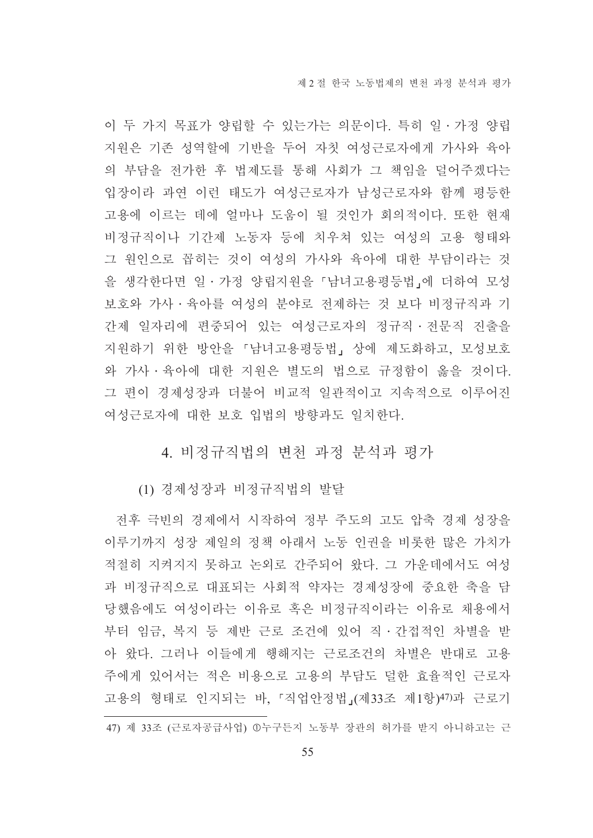이 두 가지 목표가 양립할 수 있는가는 의문이다. 특히 일 · 가정 양립 지원은 기존 성역할에 기반을 두어 자칫 여성근로자에게 가사와 육아 의 부담을 전가한 후 법제도를 통해 사회가 그 책임을 덜어주겠다는 입장이라 과연 이런 태도가 여성근로자가 남성근로자와 함께 평등한 고용에 이르는 데에 얼마나 도움이 될 것인가 회의적이다. 또한 현재 비정규직이나 기간제 노동자 등에 치우쳐 있는 여성의 고용 형태와 그 원인으로 꼽히는 것이 여성의 가사와 육아에 대한 부담이라는 것 을 생각한다면 일 · 가정 양립지원을 「남녀고용평등법」에 더하여 모성 보호와 가사 · 육아를 여성의 분야로 전제하는 것 보다 비정규직과 기 간제 일자리에 편중되어 있는 여성근로자의 정규직 · 전문직 진출을 지원하기 위한 방안을 「남녀고용평등법」 상에 제도화하고, 모성보호 와 가사 · 육아에 대한 지원은 별도의 법으로 규정함이 옳을 것이다. 그 편이 경제성장과 더불어 비교적 일관적이고 지속적으로 이루어진 여성근로자에 대한 보호 입법의 방향과도 일치한다.

## 4. 비정규직법의 변천 과정 분석과 평가

(1) 경제성장과 비정규직법의 발달

전후 극빈의 경제에서 시작하여 정부 주도의 고도 압축 경제 성장을 이루기까지 성장 제일의 정책 아래서 노동 인권을 비롯한 많은 가치가 적절히 지켜지지 못하고 논외로 간주되어 왔다. 그 가운데에서도 여성 과 비정규직으로 대표되는 사회적 약자는 경제성장에 중요한 축을 담 당했음에도 여성이라는 이유로 혹은 비정규직이라는 이유로 채용에서 부터 임금, 복지 등 제반 근로 조건에 있어 직 · 간접적인 차별을 받 아 왔다. 그러나 이들에게 행해지는 근로조건의 차별은 반대로 고용 주에게 있어서는 적은 비용으로 고용의 부담도 덜한 효율적인 근로자 고용의 형태로 인지되는 바, 「직업안정법」(제33조 제1항)47)과 근로기

<sup>47)</sup> 제 33조 (근로자공급사업) ①누구든지 노동부 장관의 허가를 받지 아니하고는 근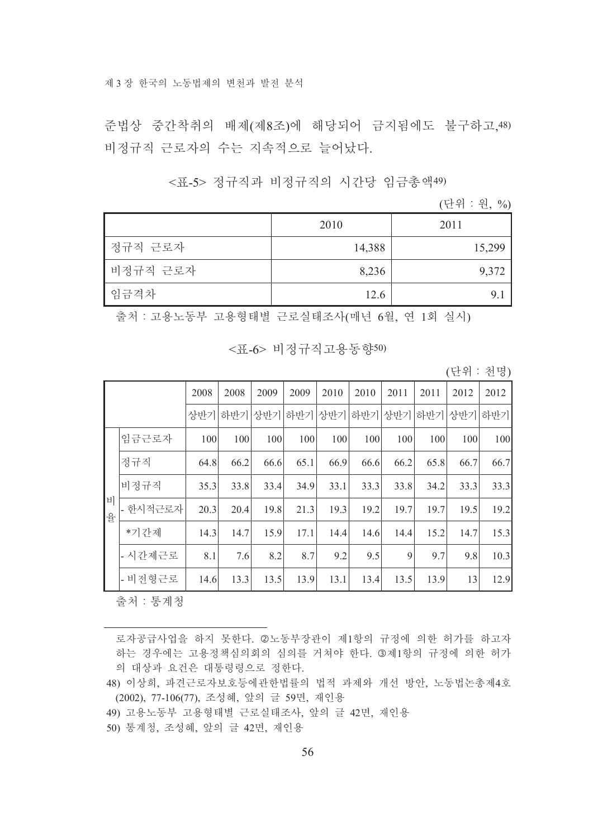준법상 중간착취의 배제(제8조)에 해당되어 금지됨에도 불구하고,48) 비정규직 근로자의 수는 지속적으로 늘어났다.

<표-5> 정규직과 비정규직의 시간당 임금총액49)

(단위 : 워. %)

|          | 2010   | 2011   |
|----------|--------|--------|
| 정규직 근로자  | 14,388 | 15,299 |
| 비정규직 근로자 | 8,236  | 9,372  |
| 임금격차     | 12.6   |        |

출처 : 고용노동부 고용형태별 근로실태조사(매년 6월, 연 1회 실시)

<퓨-6> 비정규직고용동향50)

(단위 : 천명)

|        |          | 2008 | 2008 | 2009    | 2009 | 2010 | 2010 | 2011 | 2011 | 2012 | 2012 |
|--------|----------|------|------|---------|------|------|------|------|------|------|------|
|        |          | 상반기  |      | 하반기 상반기 | 하반기  | 상반기  | 하반기  | 상반기  | 하반기  | 상반기  | 하반기  |
|        | 임금근로자    | 100  | 100  | 100     | 100  | 100  | 100  | 100  | 100  | 100  | 100  |
|        | 정규직      | 64.8 | 66.2 | 66.6    | 65.1 | 66.9 | 66.6 | 66.2 | 65.8 | 66.7 | 66.7 |
|        | 비정규직     | 35.3 | 33.8 | 33.4    | 34.9 | 33.1 | 33.3 | 33.8 | 34.2 | 33.3 | 33.3 |
| 비<br>율 | - 한시적근로자 | 20.3 | 20.4 | 19.8    | 21.3 | 19.3 | 19.2 | 19.7 | 19.7 | 19.5 | 19.2 |
|        | *기간제     | 14.3 | 14.7 | 15.9    | 17.1 | 14.4 | 14.6 | 14.4 | 15.2 | 14.7 | 15.3 |
|        | - 시간제근로  | 8.1  | 7.6  | 8.2     | 8.7  | 9.2  | 9.5  | 9    | 9.7  | 9.8  | 10.3 |
|        | - 비전형근로  | 14.6 | 13.3 | 13.5    | 13.9 | 13.1 | 13.4 | 13.5 | 13.9 | 13   | 12.9 |

출처 : 통계청

로자공급사업을 하지 못한다. ②노동부장관이 제1항의 규정에 의한 허가를 하고자 하는 경우에는 고용정책심의회의 심의를 거쳐야 한다. 3제1항의 규정에 의한 허가 의 대상과 요건은 대통령령으로 정한다.

48) 이상희, 파견근로자보호등에관한법률의 법적 과제와 개선 방안, 노동법논총제4호 (2002), 77-106(77), 조성혜, 앞의 글 59면, 재인용

- 49) 고용노동부 고용형태별 근로실태조사, 앞의 글 42면, 재인용
- 50) 통계청, 조성혜, 앞의 글 42면, 재인용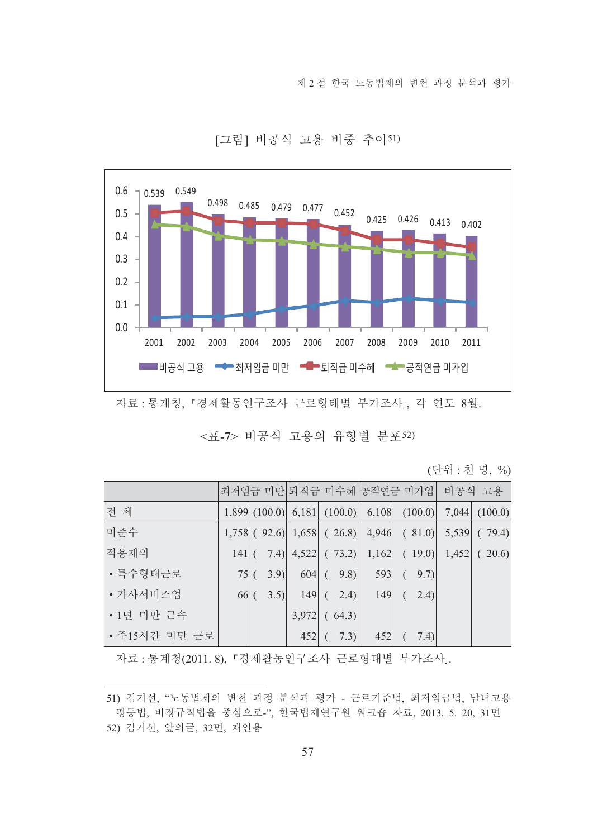제 2 절 한국 노동법제의 변천 과정 분석과 평가



[그림] 비공식 고용 비중 추이51)

#### <표-7> 비공식 고용의 유형별 분포52)

(단위 : 천명, %)

|               |        |  |                                   |     | 최저임금 미만 퇴직금 미수혜 공적연금 미가입  비공식 고용                                 |  |
|---------------|--------|--|-----------------------------------|-----|------------------------------------------------------------------|--|
| 전 체           |        |  |                                   |     | $(1,899)(100.0)$ 6,181 $(100.0)$ 6,108 $(100.0)$ 7,044 $(100.0)$ |  |
| 미준수           |        |  |                                   |     | $1,758$ (92.6) $1,658$ (26.8) 4,946 (81.0) 5,539 (79.4)          |  |
| 적용제외          |        |  |                                   |     | $141 (-7.4) $ 4,522 ( 73.2) 1,162 ( 19.0) 1,452 ( 20.6)          |  |
| • 특수형태근로      |        |  | $75 (-3.9)  - 604 (-9.8)  - 593 $ |     | (9.7)                                                            |  |
| • 가사서비스업      | $66$ ( |  | $3.5$   149 ( 2.4)                | 149 | $2.4$ )<br>$\left($                                              |  |
| • 1년 미만 근속    |        |  | $3,972$ (64.3)                    |     |                                                                  |  |
| • 주15시간 미만 근로 |        |  | $452 (-7.3) $                     | 452 | (7.4)<br>$\left($                                                |  |

자료 : 통계청(2011.8), 『경제활동인구조사 근로형태별 부가조사..

자료 : 통계청, 「경제활동인구조사 근로형태별 부가조사」, 각 연도 8월.

<sup>51)</sup> 김기선, "노동법제의 변천 과정 분석과 평가 - 근로기준법, 최저임금법, 남녀고용 평등법, 비정규직법을 중심으로-", 한국법제연구원 워크숍 자료, 2013. 5. 20, 31면 52) 김기선, 앞의글, 32면, 재인용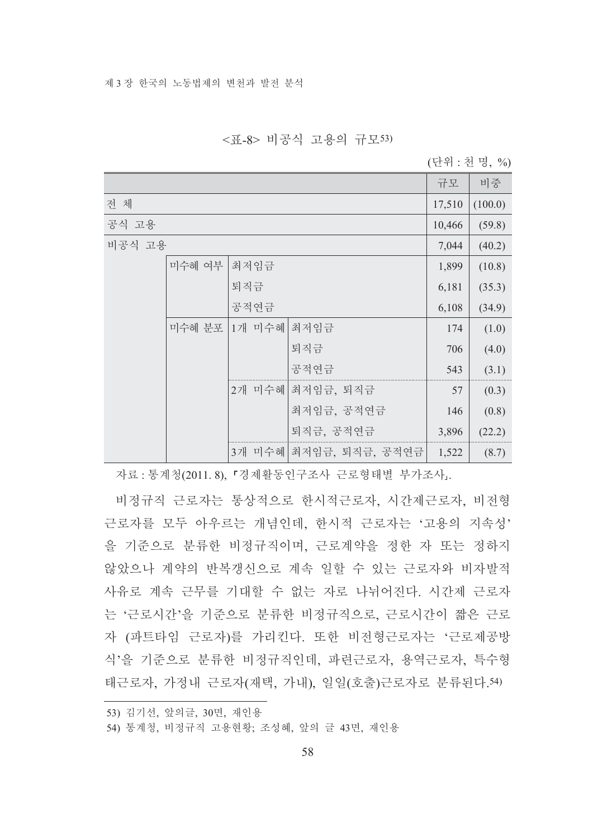#### <표-8> 비공식 고용의 규모53)

(단위 : 천 명, %)

|        |        |             |                        | 규모     | 비중      |
|--------|--------|-------------|------------------------|--------|---------|
| 전 체    |        |             |                        | 17,510 | (100.0) |
| 공식 고용  |        |             |                        | 10,466 | (59.8)  |
| 비공식 고용 |        |             |                        | 7,044  | (40.2)  |
|        | 미수혜 여부 | 최저임금        |                        | 1,899  | (10.8)  |
|        |        | 퇴직금         |                        | 6,181  | (35.3)  |
|        |        | 공적연금        |                        | 6,108  | (34.9)  |
|        | 미수혜 분포 | 1개 미수혜 최저임금 |                        | 174    | (1.0)   |
|        |        |             | 퇴직금                    | 706    | (4.0)   |
|        |        |             | 공적연금                   | 543    | (3.1)   |
|        |        |             | 2개 미수혜 최저임금, 퇴직금       | 57     | (0.3)   |
|        |        |             | 최저임금, 공적연금             | 146    | (0.8)   |
|        |        |             | 퇴직금, 공적연금              | 3,896  | (22.2)  |
|        |        |             | 3개 미수혜 최저임금, 퇴직금, 공적연금 | 1,522  | (8.7)   |

자료 : 통계청(2011.8), 『경제활동인구조사 근로형태별 부가조사』.

비정규직 근로자는 통상적으로 한시적근로자, 시간제근로자, 비전형 근로자를 모두 아우르는 개념인데, 한시적 근로자는 '고용의 지속성' 을 기준으로 분류한 비정규직이며, 근로계약을 정한 자 또는 정하지 않았으나 계약의 반복갱신으로 계속 일할 수 있는 근로자와 비자발적 사유로 계속 근무를 기대할 수 없는 자로 나뉘어진다. 시간제 근로자 는 '근로시간'을 기준으로 분류한 비정규직으로, 근로시간이 짧은 근로 자 (파트타임 근로자)를 가리킨다. 또한 비전형근로자는 '근로제공방 식'을 기준으로 분류한 비정규직인데, 파련근로자, 용역근로자, 특수형 태근로자, 가정내 근로자(재택, 가내), 일일(호출)근로자로 분류된다.54)

<sup>53)</sup> 김기선, 앞의글, 30면, 재인용

<sup>54)</sup> 통계청, 비정규직 고용현황; 조성혜, 앞의 글 43면, 재인용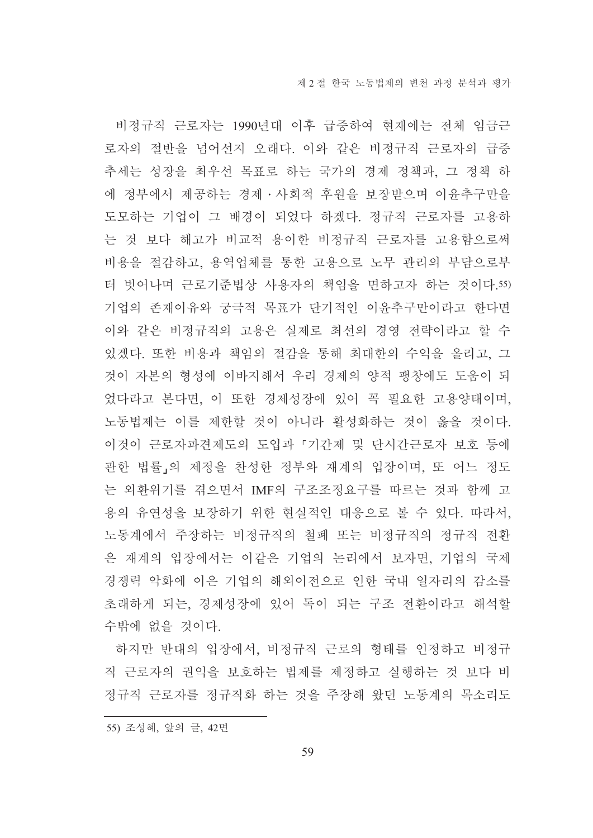비정규직 근로자는 1990년대 이후 급증하여 현재에는 전체 임금근 로자의 절반을 넘어선지 오래다. 이와 같은 비정규직 근로자의 급증 추세는 성장을 최우선 목표로 하는 국가의 경제 정책과, 그 정책 하 에 정부에서 제공하는 경제 •사회적 후원을 보장받으며 이윤추구만을 도모하는 기업이 그 배경이 되었다 하겠다. 정규직 근로자를 고용하 는 것 보다 해고가 비교적 용이한 비정규직 근로자를 고용함으로써 비용을 절감하고, 용역업체를 통한 고용으로 노무 관리의 부담으로부 터 벗어나며 근로기준법상 사용자의 책임을 면하고자 하는 것이다.55) 기업의 존재이유와 궁극적 목표가 단기적인 이윤추구만이라고 한다면 이와 같은 비정규직의 고용은 실제로 최선의 경영 전략이라고 할 수 있겠다. 또한 비용과 책임의 절감을 통해 최대한의 수익을 올리고, 그 것이 자본의 형성에 이바지해서 우리 경제의 양적 팽창에도 도움이 되 었다라고 본다면, 이 또한 경제성장에 있어 꼭 필요한 고용양태이며, 노동법제는 이를 제한할 것이 아니라 활성화하는 것이 옳을 것이다. 이것이 근로자파견제도의 도입과 「기간제 및 단시간근로자 보호 등에 관한 법률」의 제정을 찬성한 정부와 재계의 입장이며, 또 어느 정도 는 외환위기를 겪으면서 IMF의 구조조정요구를 따르는 것과 함께 고 용의 유연성을 보장하기 위한 혁실적인 대응으로 볼 수 있다. 따라서. 노동계에서 주장하는 비정규직의 철폐 또는 비정규직의 정규직 전환 은 재계의 입장에서는 이같은 기업의 논리에서 보자면, 기업의 국제 경쟁력 악화에 이은 기업의 해외이전으로 인한 국내 일자리의 감소를 초래하게 되는. 경제성장에 있어 독이 되는 구조 전화이라고 해석할 수밖에 없을 것이다.

하지만 반대의 입장에서, 비정규직 근로의 형태를 인정하고 비정규 직 근로자의 권익을 보호하는 법제를 제정하고 실행하는 것 보다 비 정규직 근로자를 정규직화 하는 것을 주장해 왔던 노동계의 목소리도

<sup>55)</sup> 조성혜, 앞의 글, 42면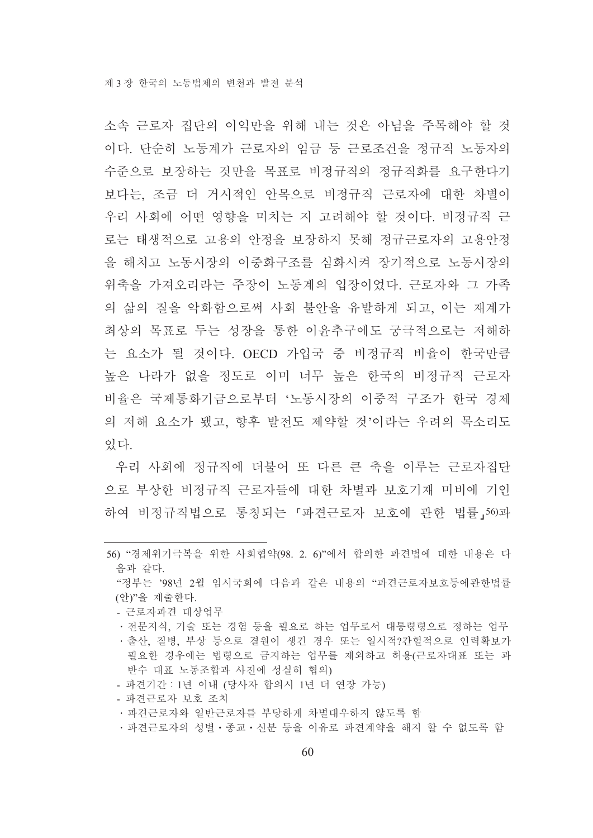소속 근로자 집단의 이익만을 위해 내는 것은 아님을 주목해야 할 것 이다. 단순히 노동계가 근로자의 임금 등 근로조거을 정규직 노동자의 수준으로 보장하는 것만을 목표로 비정규직의 정규직화를 요구한다기 보다는, 조금 더 거시적인 안목으로 비정규직 근로자에 대한 차별이 우리 사회에 어떤 영향을 미치는 지 고려해야 할 것이다. 비정규직 근 로는 태생적으로 고용의 안정을 보장하지 못해 정규근로자의 고용안정 을 해치고 노동시장의 이중화구조를 심화시켜 장기적으로 노동시장의 위축을 가져오리라는 주장이 노동계의 입장이었다. 근로자와 그 가족 의 삶의 질을 악화함으로써 사회 불안을 유발하게 되고, 이는 재계가 최상의 목표로 두는 성장을 통한 이윤추구에도 궁극적으로는 저해하 는 요소가 될 것이다. OECD 가입국 중 비정규직 비율이 한국만큼 높은 나라가 없을 정도로 이미 너무 높은 한국의 비정규직 근로자 비율은 국제통화기금으로부터 '노동시장의 이중적 구조가 한국 경제 의 저해 요소가 됐고 햣후 발저도 제약할 것'이라는 우려의 목소리도 있다

우리 사회에 정규직에 더불어 또 다른 큰 축을 이루는 근로자집다 으로 부상한 비정규직 근로자들에 대한 차별과 보호기재 미비에 기인 하여 비정규직법으로 통칭되는 「파견근로자 보호에 관한 법률, 56)과

- 근로자파견 대상업무
- •전문지식, 기술 또는 경험 등을 필요로 하는 업무로서 대통령령으로 정하는 업무
- •출산, 질병, 부상 등으로 결워이 생긴 경우 또는 일시적?간헐적으로 인력확보가 필요한 경우에는 법령으로 금지하는 업무를 제외하고 허용(근로자대표 또는 과 반수 대표 노동조합과 사전에 성실히 협의)
- 파견기간 : 1년 이내 (당사자 합의시 1년 더 연장 가능)
- 파견근로자 보호 조치
- 파견근로자와 일반근로자를 부당하게 차별대우하지 않도록 함
- ·파견근로자의 성별·종교·신분 등을 이유로 파견계약을 해지 할 수 없도록 함

<sup>56) &</sup>quot;경제위기극복을 위한 사회협약(98. 2. 6)"에서 합의한 파견법에 대한 내용은 다 음과 같다.

<sup>&</sup>quot;정부는 '98년 2월 임시국회에 다음과 같은 내용의 "파견근로자보호등에관한법률 (안)"을 제출한다.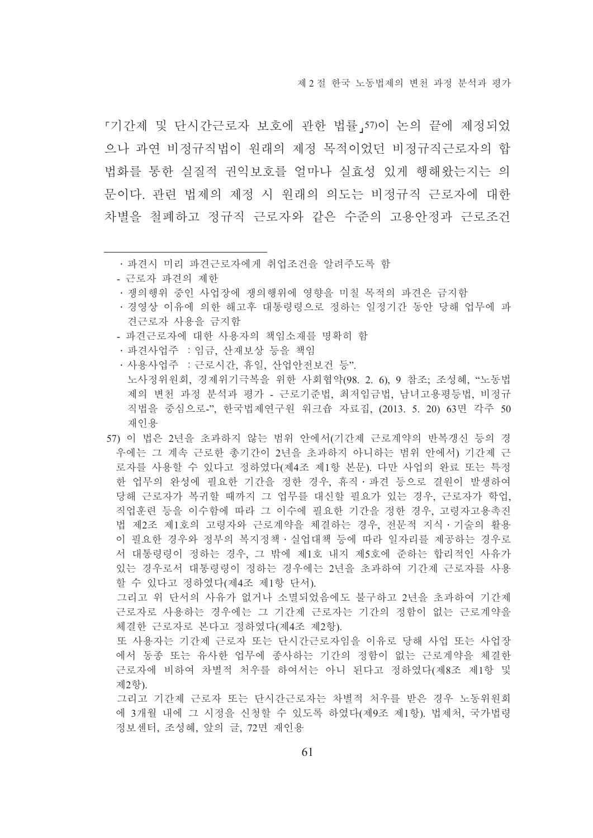제 2 절 하국 노동법제의 변처 과정 부석과 평가

『기간제 및 단시간근로자 보호에 관한 법률 57)이 논의 끝에 제정되었 으나 과연 비정규직법이 워래의 제정 목적이었던 비정규직근로자의 합 법화를 통한 실질적 권익보호를 얼마나 실효성 있게 행해왔는지는 의 문이다. 관련 법제의 제정 시 원래의 의도는 비정규직 근로자에 대한 차별을 철폐하고 정규직 근로자와 같은 수준의 고용안정과 근로조건

- ㆍ경영상 이유에 의한 해고후 대통령령으로 정하는 일정기간 동안 당해 업무에 파 견근로자 사용을 금지함
- 파견근로자에 대한 사용자의 책임소재를 명확히 함
- · 파견사업주 : 임금, 산재보상 등을 책임
- 사용사업주 : 근로시간, 휴일, 산업안전보건 등". 노사정위원회, 경제위기극복을 위한 사회협약(98. 2. 6), 9 참조; 조성혜, "노동법 제의 변천 과정 분석과 평가 - 근로기준법, 최저임금법, 남녀고용평등법, 비정규 직법을 중심으로-", 한국법제연구원 워크숍 자료집, (2013, 5, 20) 63면 각주 50 재인용
- 57) 이 법은 2년을 초과하지 않는 범위 안에서(기간제 근로계약의 반복갱신 등의 경 우에는 그 계속 근로한 총기간이 2년을 초과하지 아니하는 범위 안에서) 기간제 근 로자를 사용할 수 있다고 정하였다(제4조 제1항 본문). 다만 사업의 완료 또는 특정 한 업무의 완성에 필요한 기간을 정한 경우, 휴직·파견 등으로 결원이 발생하여 당해 근로자가 복귀할 때까지 그 업무를 대신할 필요가 있는 경우, 근로자가 학업, 직업훈련 등을 이수함에 따라 그 이수에 필요한 기간을 정한 경우. 고령자고용촉진 법 제2조 제1호의 고령자와 근로계약을 체결하는 경우, 전문적 지식 기술의 활용 이 필요한 경우와 정부의 복지정책 · 실업대책 등에 따라 일자리를 제공하는 경우로 서 대통령령이 정하는 경우, 그 밖에 제1호 내지 제5호에 준하는 합리적인 사유가 있는 경우로서 대통령령이 정하는 경우에는 2년을 초과하여 기간제 근로자를 사용 할 수 있다고 정하였다(제4조 제1항 단서).

그리고 위 단서의 사유가 없거나 소멸되었음에도 불구하고 2년을 초과하여 기간제 근로자로 사용하는 경우에는 그 기간제 근로자는 기간의 정함이 없는 근로계약을 체결한 근로자로 본다고 정하였다(제4조 제2항).

또 사용자는 기간제 근로자 또는 단시간근로자임을 이유로 당해 사업 또는 사업장 에서 동종 또는 유사한 업무에 종사하는 기간의 정함이 없는 근로계약을 체결한 근로자에 비하여 차별적 처우를 하여서는 아니 된다고 정하였다(제8조 제1항 및 제2항).

그리고 기간제 근로자 또는 단시간근로자는 차별적 처우를 받은 경우 노동위원회 에 3개월 내에 그 시정을 신청할 수 있도록 하였다(제9조 제1항). 법제처, 국가법령 정보센터, 조성혜, 앞의 글, 72면 재인용

<sup>•</sup> 파견시 미리 파견근로자에게 취업조건을 알려주도록 함

<sup>-</sup> 근로자 파견의 제한

<sup>•</sup>쟁의행위 중인 사업장에 쟁의행위에 영향을 미칠 목적의 파견은 금지함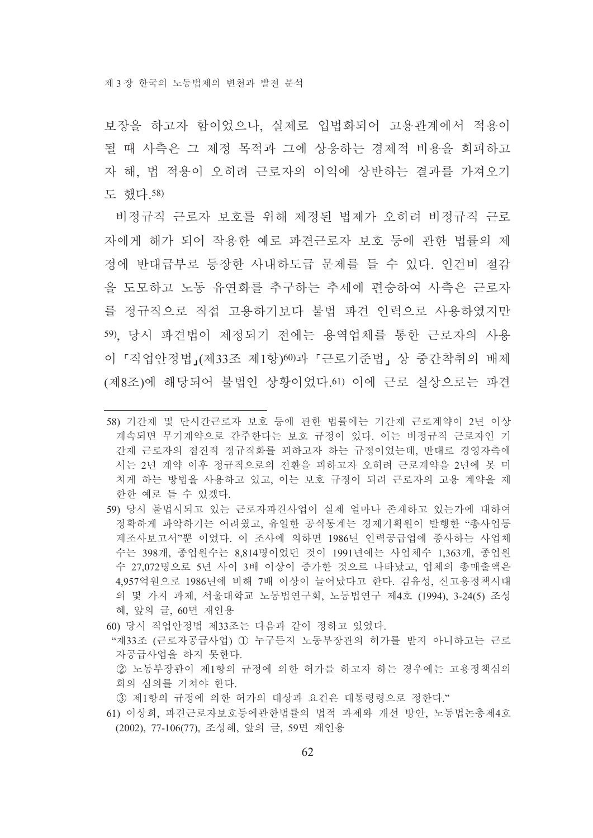보장을 하고자 함이었으나, 실제로 입법화되어 고용관계에서 적용이 될 때 사측은 그 제정 목적과 그에 상응하는 경제적 비용을 회피하고 자 해. 법 적용이 오히려 근로자의 이익에 상반하는 결과를 가져오기 도 했다. 58)

비정규직 근로자 보호를 위해 제정된 법제가 오히려 비정규직 근로 자에게 해가 되어 작용한 예로 파견근로자 보호 등에 관한 법률의 제 정에 반대급부로 등장한 사내하도급 문제를 들 수 있다. 인건비 절감 을 도모하고 노동 유연화를 추구하는 추세에 편승하여 사측은 근로자 를 정규직으로 직접 고용하기보다 불법 파견 인력으로 사용하였지만 59). 당시 파견법이 제정되기 전에는 용역업체를 통한 근로자의 사용 이 『직업안정법』(제33조 제1항)60)과 『근로기준법』 상 중간착취의 배제 (제8조)에 해당되어 불법인 상황이었다.61) 이에 근로 실상으로는 파견

- 59) 당시 불법시되고 있는 근로자파견사업이 실제 얼마나 존재하고 있는가에 대하여 정확하게 파악하기는 어려웠고, 유일한 공식통계는 경제기획원이 발행한 "총사업통 계조사보고서"뿐 이었다. 이 조사에 의하면 1986년 인력공급업에 종사하는 사업체 수는 398개, 종업워수는 8.814명이었던 것이 1991년에는 사업체수 1.363개, 종업원 수 27.072명으로 5년 사이 3배 이상이 증가한 것으로 나타났고, 업체의 총매출액은 4,957억원으로 1986년에 비해 7배 이상이 늘어났다고 한다. 김유성, 신고용정책시대 의 몇 가지 과제, 서울대학교 노동법연구회, 노동법연구 제4호 (1994), 3-24(5) 조성 혜, 앞의 글, 60면 재인용
- 60) 당시 직업안정법 제33조는 다음과 같이 정하고 있었다.
- "제33조 (근로자공급사업) 1 누구든지 노동부장관의 허가를 받지 아니하고는 근로 자공급사업을 하지 못한다.
	- ② 노동부장관이 제1항의 규정에 의한 허가를 하고자 하는 경우에는 고용정책심의 회의 심의를 거쳐야 하다
- 3 제1항의 규정에 의한 허가의 대상과 요건은 대통령령으로 정한다."
- 61) 이상희, 파견근로자보호등에관한법률의 법적 과제와 개선 방안, 노동법논총제4호 (2002), 77-106(77), 조성혜, 앞의 글, 59면 재인용

<sup>58)</sup> 기간제 및 단시간근로자 보호 등에 관한 법률에는 기간제 근로계약이 2년 이상 계속되면 무기계약으로 간주한다는 보호 규정이 있다. 이는 비정규직 근로자인 기 간제 근로자의 점진적 정규직화를 꾀하고자 하는 규정이었는데, 반대로 경영자측에 서는 2년 계약 이후 정규직으로의 전환을 피하고자 오히려 근로계약을 2년에 못 미 치게 하는 방법을 사용하고 있고, 이는 보호 규정이 되려 근로자의 고용 계약을 제 한한 예로 들 수 있겠다.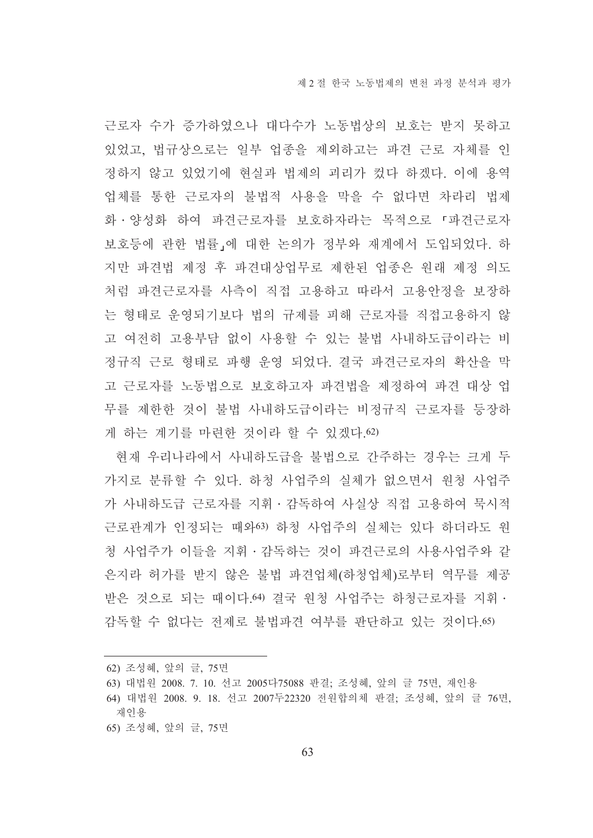근로자 수가 증가하였으나 대다수가 노동법상의 보호는 받지 못하고 있었고. 법규상으로는 일부 업종을 제외하고는 파견 근로 자체를 인 정하지 않고 있었기에 혀실과 법제의 괴리가 컸다 하겠다. 이에 용역 업체를 통한 근로자의 불법적 사용을 막을 수 없다면 차라리 법제 화ㆍ양성화 하여 파견근로자를 보호하자라는 목적으로 『파견근로자 보호등에 관한 법률」에 대한 논의가 정부와 재계에서 도입되었다. 하 지만 파견법 제정 후 파견대상업무로 제한된 업종은 원래 제정 의도 처럼 파견근로자를 사측이 직접 고용하고 따라서 고용안정을 보장하 는 형태로 운영되기보다 법의 규제를 피해 근로자를 직접고용하지 않 고 여전히 고용부담 없이 사용할 수 있는 불법 사내하도급이라는 비 정규직 근로 형태로 파행 운영 되었다. 결국 파견근로자의 확산을 막 고 근로자를 노동법으로 보호하고자 파견법을 제정하여 파견 대상 업 무를 제한한 것이 불법 사내하도급이라는 비정규직 근로자를 등장하 게 하는 계기를 마련한 것이라 할 수 있겠다.62)

현재 우리나라에서 사내하도급을 불법으로 간주하는 경우는 크게 두 가지로 분류할 수 있다. 하청 사업주의 실체가 없으면서 원청 사업주 가 사내하도급 근로자를 지휘·감독하여 사실상 직접 고용하여 묵시적 근로관계가 인정되는 때와63) 하청 사업주의 실체는 있다 하더라도 워 청 사업주가 이들을 지휘 · 감독하는 것이 파견근로의 사용사업주와 같 은지라 허가를 받지 않은 불법 파견업체(하청업체)로부터 역무를 제공 받은 것으로 되는 때이다. 64) 결국 원청 사업주는 하청근로자를 지휘 · 감독할 수 없다는 전제로 불법파견 여부를 판단하고 있는 것이다. 65)

62) 조성혜, 앞의 글, 75면

65) 조성혜, 앞의 글, 75면

<sup>63)</sup> 대법원 2008. 7. 10. 선고 2005다75088 판결: 조성혜, 앞의 글 75면, 재인용

<sup>64)</sup> 대법원 2008. 9. 18. 선고 2007두22320 전원합의체 판결: 조성혜, 앞의 글 76면, 재인용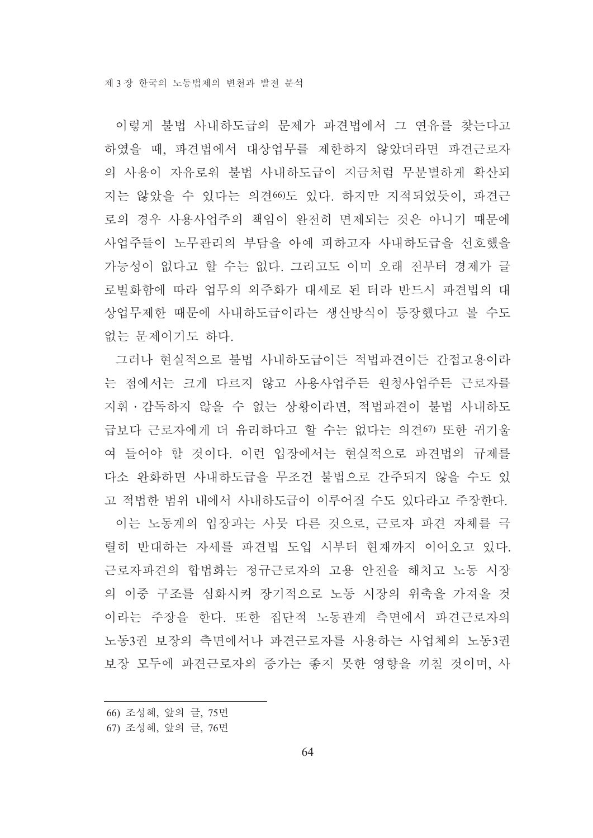이렇게 불법 사내하도급의 문제가 파견법에서 그 연유를 찾는다고 하였을 때, 파견법에서 대상업무를 제한하지 않았더라면 파견근로자 의 사용이 자유로워 불법 사내하도급이 지금처럼 무분별하게 확산되 지는 않았을 수 있다는 의견60도 있다. 하지만 지적되었듯이, 파견근 로의 경우 사용사업주의 책임이 완전히 면제되는 것은 아니기 때문에 사업주들이 노무관리의 부담을 아예 피하고자 사내하도급을 선호했을 가능성이 없다고 할 수는 없다. 그리고도 이미 오래 전부터 경제가 글 로벌화함에 따라 업무의 외주화가 대세로 된 터라 반드시 파견법의 대 상업무제한 때문에 사내하도급이라는 생산방식이 등장했다고 볼 수도 없는 문제이기도 하다.

그러나 현실적으로 불법 사내하도급이든 적법파견이든 간접고용이라 는 점에서는 크게 다르지 않고 사용사업주든 원청사업주든 근로자를 지휘 • 감독하지 않을 수 없는 상황이라면, 적법파견이 불법 사내하도 급보다 근로자에게 더 유리하다고 할 수는 없다는 의견이 또한 귀기울 여 들어야 할 것이다. 이런 입장에서는 현실적으로 파견법의 규제를 다소 완화하면 사내하도급을 무조건 불법으로 간주되지 않을 수도 있 고 적법한 범위 내에서 사내하도급이 이루어질 수도 있다라고 주장한다. 이는 노동계의 입장과는 사뭇 다른 것으로, 근로자 파견 자체를 극 렬히 반대하는 자세를 파견법 도입 시부터 혁재까지 이어오고 있다. 근로자파견의 합법화는 정규근로자의 고용 안전을 해치고 노동 시장 의 이중 구조를 심화시켜 장기적으로 노동 시장의 위축을 가져올 것 이라는 주장을 한다. 또한 집단적 노동관계 측면에서 파견근로자의 노동3권 보장의 측면에서나 파견근로자를 사용하는 사업체의 노동3권 보장 모두에 파견근로자의 증가는 좋지 못한 영향을 끼칠 것이며, 사

<sup>66)</sup> 조성혜, 앞의 글, 75면

<sup>67)</sup> 조성혜, 앞의 글, 76면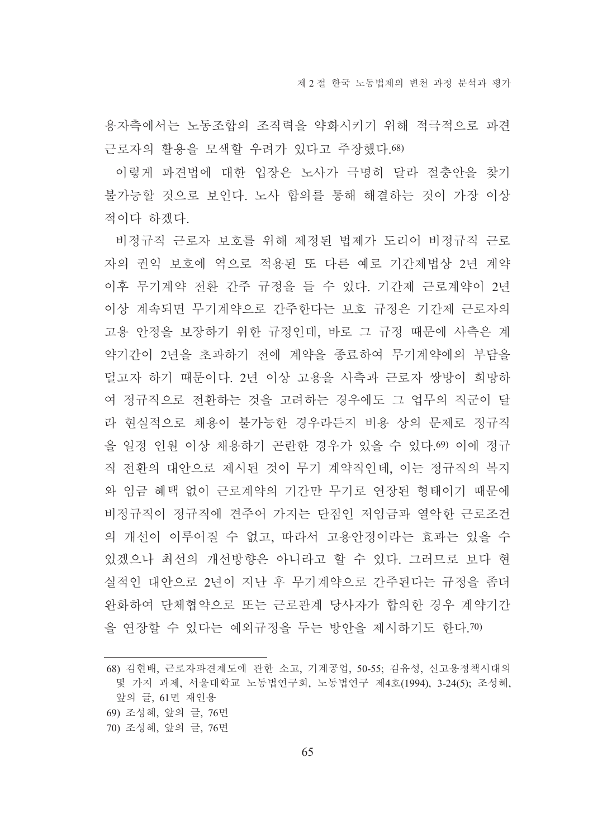용자측에서는 노동조합의 조직력을 약화시키기 위해 적극적으로 파견 근로자의 활용을 모색할 우려가 있다고 주장했다. 68)

이렇게 파견법에 대한 입장은 노사가 극명히 달라 절충안을 찾기 불가능할 것으로 보인다. 노사 합의를 통해 해결하는 것이 가장 이상 적이다 하겠다.

비정규직 근로자 보호를 위해 제정된 법제가 도리어 비정규직 근로 자의 권익 보호에 역으로 적용된 또 다른 예로 기간제법상 2년 계약 이후 무기계약 전환 간주 규정을 들 수 있다. 기간제 근로계약이 2년 이상 계속되면 무기계약으로 간주한다는 보호 규정은 기간제 근로자의 고용 안정을 보장하기 위한 규정인데, 바로 그 규정 때문에 사측은 계 약기간이 2년을 초과하기 전에 계약을 종료하여 무기계약에의 부담을 덜고자 하기 때문이다. 2년 이상 고용을 사측과 근로자 쌍방이 희망하 여 정규직으로 전환하는 것을 고려하는 경우에도 그 업무의 직군이 달 라 현실적으로 채용이 불가능한 경우라든지 비용 상의 문제로 정규직 을 일정 인원 이상 채용하기 곤란한 경우가 있을 수 있다.69) 이에 정규 직 전환의 대안으로 제시된 것이 무기 계약직인데, 이는 정규직의 복지 와 임금 혜택 없이 근로계약의 기간만 무기로 연장된 형태이기 때문에 비정규직이 정규직에 견주어 가지는 단점인 저임금과 열악한 근로조건 의 개선이 이루어질 수 없고, 따라서 고용안정이라는 효과는 있을 수 있겠으나 최선의 개선방향은 아니라고 할 수 있다. 그러므로 보다 현 실적인 대안으로 2년이 지난 후 무기계약으로 간주된다는 규정을 좀더 완화하여 단체협약으로 또는 근로관계 당사자가 합의하 경우 계약기간 을 여장할 수 있다는 예외규정을 두는 방안을 제시하기도 한다.70)

- 69) 조성혜, 앞의 글, 76면
- 70) 조성혜, 앞의 글, 76면

<sup>68)</sup> 김현배, 근로자파견제도에 관한 소고, 기계공업, 50-55; 김유성, 신고용정책시대의 몇 가지 과제, 서울대학교 노동법연구회, 노동법연구 제4호(1994), 3-24(5): 조성혜, 앞의 글, 61면 재인용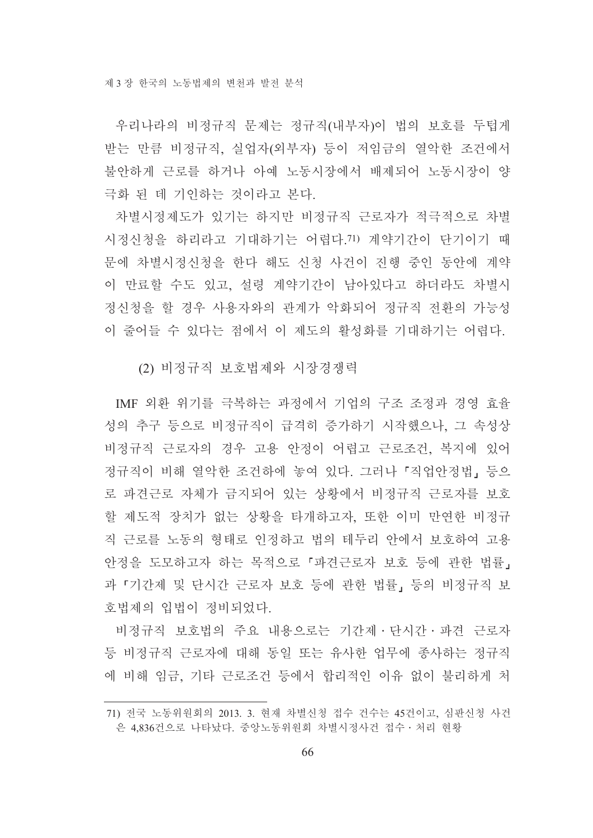우리나라의 비정규직 문제는 정규직(내부자)이 법의 보호를 두텁게 받는 만큼 비정규직, 실업자(외부자) 등이 저임금의 열악한 조건에서 불안하게 근로를 하거나 아예 노동시장에서 배제되어 노동시장이 양 극화 된 데 기인하는 것이라고 본다.

차별시정제도가 있기는 하지만 비정규직 근로자가 적극적으로 차별 시정신청을 하리라고 기대하기는 어렵다.71) 계약기간이 단기이기 때 문에 차별시정신청을 한다 해도 신청 사건이 진행 중인 동안에 계약 이 만료할 수도 있고, 설령 계약기간이 남아있다고 하더라도 차별시 정신청을 할 경우 사용자와의 관계가 악화되어 정규직 전환의 가능성 이 줄어들 수 있다는 점에서 이 제도의 활성화를 기대하기는 어렵다.

(2) 비정규직 보호법제와 시장경쟁력

IMF 외환 위기를 극복하는 과정에서 기업의 구조 조정과 경영 효율 성의 추구 등으로 비정규직이 급격히 증가하기 시작했으나, 그 속성상 비정규직 근로자의 경우 고용 안정이 어렵고 근로조건, 복지에 있어 정규직이 비해 열악한 조건하에 놓여 있다. 그러나「직업안정법」등으 로 파견근로 자체가 금지되어 있는 상황에서 비정규직 근로자를 보호 할 제도적 장치가 없는 상황을 타개하고자. 또한 이미 만연한 비정규 직 근로를 노동의 형태로 인정하고 법의 테두리 안에서 보호하여 고용 안정을 도모하고자 하는 목적으로 「파견근로자 보호 등에 관한 법률, 과 「기간제 및 단시간 근로자 보호 등에 관한 법률, 등의 비정규직 보 호법제의 입법이 정비되었다.

비정규직 보호법의 주요 내용으로는 기간제 · 단시간 · 파견 근로자 등 비정규직 근로자에 대해 동일 또는 유사한 업무에 종사하는 정규직 에 비해 임금, 기타 근로조건 등에서 합리적인 이유 없이 불리하게 처

<sup>71)</sup> 전국 노동위워회의 2013. 3. 현재 차별신청 접수 건수는 45건이고, 심판신청 사건 은 4,836건으로 나타났다. 중앙노동위원회 차별시정사건 접수 · 처리 현황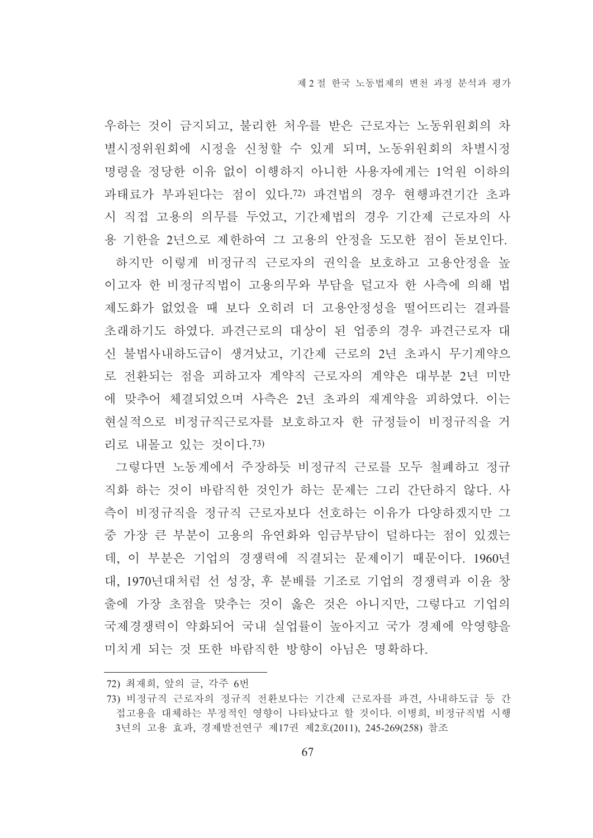우하는 것이 금지되고, 불리한 처우를 받은 근로자는 노동위원회의 차 별시정위원회에 시정을 신청할 수 있게 되며, 노동위원회의 차별시정 명령을 정당한 이유 없이 이행하지 아니한 사용자에게는 1억원 이하의 과태료가 부과된다는 점이 있다.72) 파견법의 경우 현행파견기간 초과 시 직접 고용의 의무를 두었고, 기간제법의 경우 기간제 근로자의 사 용 기한을 2년으로 제한하여 그 고용의 안정을 도모한 점이 돋보인다. 하지만 이렇게 비정규직 근로자의 권익을 보호하고 고용안정을 높

이고자 한 비정규직법이 고용의무와 부담을 덜고자 한 사측에 의해 법 제도화가 없었을 때 보다 오히려 더 고용안정성을 떨어뜨리는 결과를 초래하기도 하였다. 파견근로의 대상이 된 업종의 경우 파견근로자 대 신 불법사내하도급이 생겨났고, 기간제 근로의 2년 초과시 무기계약으 로 전환되는 점을 피하고자 계약직 근로자의 계약은 대부분 2년 미만 에 맞추어 체결되었으며 사측은 2년 초과의 재계약을 피하였다. 이는 현실적으로 비정규직근로자를 보호하고자 한 규정들이 비정규직을 거 리로 내몰고 있는 것이다 73)

그렇다면 노동계에서 주장하듯 비정규직 근로를 모두 철폐하고 정규 직화 하는 것이 바람직한 것인가 하는 문제는 그리 간단하지 않다. 사 측이 비정규직을 정규직 근로자보다 선호하는 이유가 다양하겠지만 그 중 가장 큰 부분이 고용의 유연화와 임금부담이 덜하다는 점이 있겠는 데, 이 부분은 기업의 경쟁력에 직결되는 문제이기 때문이다. 1960년 대, 1970년대처럼 선 성장, 후 분배를 기조로 기업의 경쟁력과 이윤 창 출에 가장 초점을 맞추는 것이 옳은 것은 아니지만. 그렇다고 기업의 국제경쟁력이 약화되어 국내 실업률이 높아지고 국가 경제에 악영향을 미치게 되는 것 또한 바람직한 방향이 아님은 명확하다.

<sup>72)</sup> 최재희, 앞의 글, 각주 6번

<sup>73)</sup> 비정규직 근로자의 정규직 전환보다는 기간제 근로자를 파견, 사내하도급 등 간 접고용을 대체하는 부정적인 영향이 나타났다고 할 것이다. 이병희, 비정규직법 시행 3년의 고용 효과, 경제발전연구 제17권 제2호(2011), 245-269(258) 참조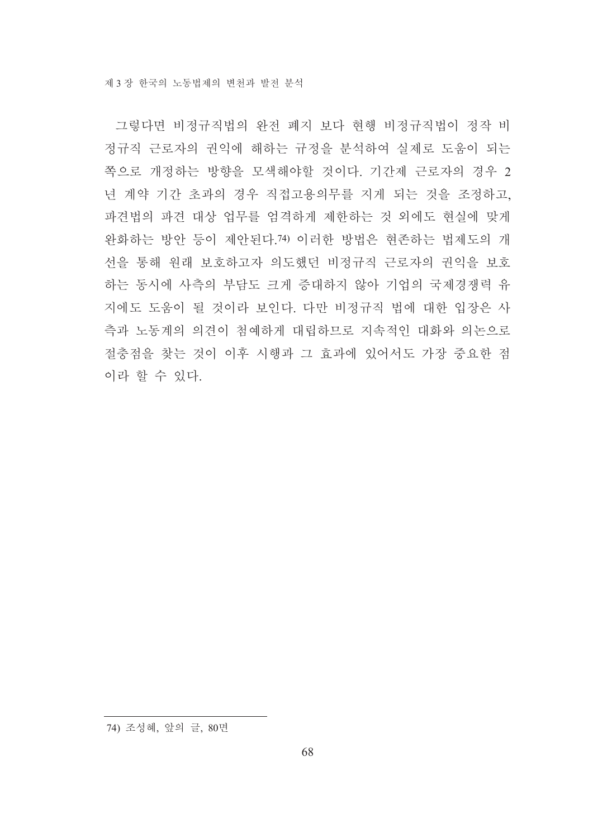그렇다면 비정규직법의 완전 폐지 보다 현행 비정규직법이 정작 비 정규직 근로자의 권익에 해하는 규정을 분석하여 실제로 도움이 되는 쪽으로 개정하는 방향을 모색해야할 것이다. 기간제 근로자의 경우 2 년 계약 기간 초과의 경우 직접고용의무를 지게 되는 것을 조정하고, 파견법의 파견 대상 업무를 엄격하게 제한하는 것 외에도 현실에 맞게 완화하는 방안 등이 제안된다.74) 이러한 방법은 현존하는 법제도의 개 선을 통해 원래 보호하고자 의도했던 비정규직 근로자의 권익을 보호 하는 동시에 사측의 부담도 크게 증대하지 않아 기업의 국제경쟁력 유 지에도 도움이 될 것이라 보인다. 다만 비정규직 법에 대한 입장은 사 측과 노동계의 의견이 첨예하게 대립하므로 지속적인 대화와 의논으로 절충점을 찾는 것이 이후 시행과 그 효과에 있어서도 가장 중요한 점 이라 할 수 있다.

<sup>74)</sup> 조성혜, 앞의 글, 80면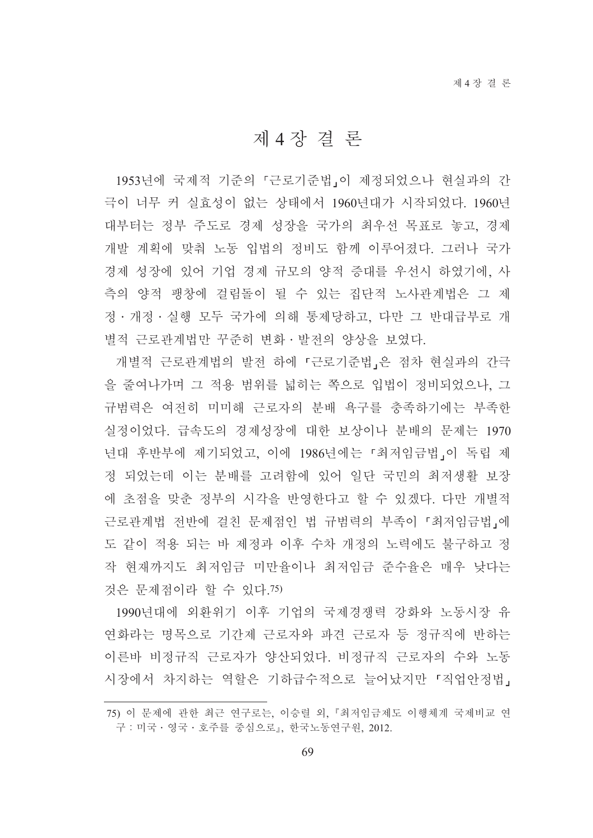# 제 4 장결론

1953년에 국제적 기준의 「근로기준법」이 제정되었으나 현실과의 간 극이 너무 커 실효성이 없는 상태에서 1960년대가 시작되었다. 1960년 대부터는 정부 주도로 경제 성장을 국가의 최우선 목표로 놓고, 경제 개발 계획에 맞춰 노동 입법의 정비도 함께 이루어졌다. 그러나 국가 경제 성장에 있어 기업 경제 규모의 양적 증대를 우선시 하였기에, 사 측의 양적 팽창에 걸림돌이 될 수 있는 집단적 노사관계법은 그 제 정 · 개정 · 실행 모두 국가에 의해 통제당하고, 다만 그 반대급부로 개 별적 근로관계법만 꾸준히 변화 · 발전의 양상을 보였다.

개별적 근로관계법의 발전 하에 「근로기준법」은 점차 현실과의 간극 을 줄여나가며 그 적용 범위를 넓히는 쪽으로 입법이 정비되었으나, 그 규범력은 여전히 미미해 근로자의 분배 욕구를 충족하기에는 부족한 실정이었다. 급속도의 경제성장에 대한 보상이나 분배의 문제는 1970 년대 후반부에 제기되었고, 이에 1986년에는 「최저임금법」이 독립 제 정 되었는데 이는 분배를 고려함에 있어 일단 국민의 최저생활 보장 에 초점을 맞춘 정부의 시각을 반영한다고 할 수 있겠다. 다만 개별적 근로관계법 전반에 걸친 문제점인 법 규범력의 부족이 「최저임금법」에 도 같이 적용 되는 바 제정과 이후 수차 개정의 노력에도 불구하고 정 작 현재까지도 최저임금 미만율이나 최저임금 준수율은 매우 낮다는 것은 문제점이라 할 수 있다.75)

1990년대에 외환위기 이후 기업의 국제경쟁력 강화와 노동시장 유 연화라는 명목으로 기간제 근로자와 파견 근로자 등 정규직에 반하는 이른바 비정규직 근로자가 양산되었다. 비정규직 근로자의 수와 노동 시장에서 차지하는 역할은 기하급수적으로 늘어났지만 『직업안정법』

<sup>75)</sup> 이 문제에 관한 최근 연구로는, 이승렬 외, 『최저임금제도 이행체계 국제비교 연 구 : 미국 · 영국 · 호주를 중심으로』, 한국노동연구원, 2012.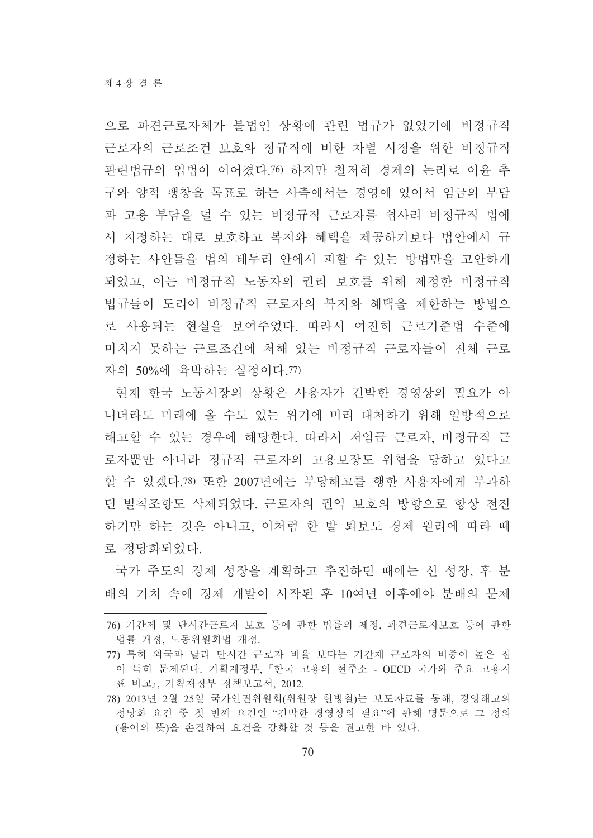으로 파견근로자체가 불법인 상황에 관련 법규가 없었기에 비정규직 근로자의 근로조건 보호와 정규직에 비한 차별 시정을 위한 비정규직 관련법규의 입법이 이어졌다.76) 하지만 철저히 경제의 논리로 이유 추 구와 양적 팽창을 목표로 하는 사측에서는 경영에 있어서 임금의 부담 과 고용 부담을 덜 수 있는 비정규직 근로자를 쉽사리 비정규직 법에 서 지정하는 대로 보호하고 복지와 혜택을 제공하기보다 법안에서 규 정하는 사안들을 법의 테두리 안에서 피할 수 있는 방법만을 고안하게 되었고, 이는 비정규직 노동자의 권리 보호를 위해 제정한 비정규직 법규들이 도리어 비정규직 근로자의 복지와 혜택을 제한하는 방법으 로 사용되는 현실을 보여주었다. 따라서 여전히 근로기주법 수주에 미치지 못하는 근로조건에 처해 있는 비정규직 근로자들이 전체 근로 자의 50%에 육박하는 실정이다.77)

현재 한국 노동시장의 상황은 사용자가 긴박한 경영상의 필요가 아 니더라도 미래에 올 수도 있는 위기에 미리 대처하기 위해 일방적으로 해고할 수 있는 경우에 해당한다. 따라서 저임금 근로자, 비정규직 근 로자뿐만 아니라 정규직 근로자의 고용보장도 위협을 당하고 있다고 할 수 있겠다.78) 또한 2007년에는 부당해고를 행한 사용자에게 부과하 던 벌칙조항도 삭제되었다. 근로자의 권익 보호의 방향으로 항상 전진 하기만 하는 것은 아니고, 이처럼 한 발 퇴보도 경제 원리에 따라 때 로 정당화되었다.

국가 주도의 경제 성장을 계획하고 추진하던 때에는 선 성장, 후 분 배의 기치 속에 경제 개발이 시작된 후 10여년 이후에야 분배의 문제

<sup>76)</sup> 기간제 및 단시간근로자 보호 등에 관한 법률의 제정, 파견근로자보호 등에 관한 법률 개정, 노동위원회법 개정.

<sup>77)</sup> 특히 외국과 달리 단시간 근로자 비율 보다는 기간제 근로자의 비중이 높은 점 이 특히 문제된다. 기획재정부, 『한국 고용의 현주소 - OECD 국가와 주요 고용지 표 비교』, 기획재정부 정책보고서, 2012.

<sup>78) 2013</sup>년 2월 25일 국가인권위원회(위원장 현병철)는 보도자료를 통해, 경영해고의 정당화 요건 중 첫 번째 요건인 "긴박한 경영상의 필요"에 관해 명문으로 그 정의 (용어의 뜻)을 손질하여 요건을 강화할 것 등을 권고한 바 있다.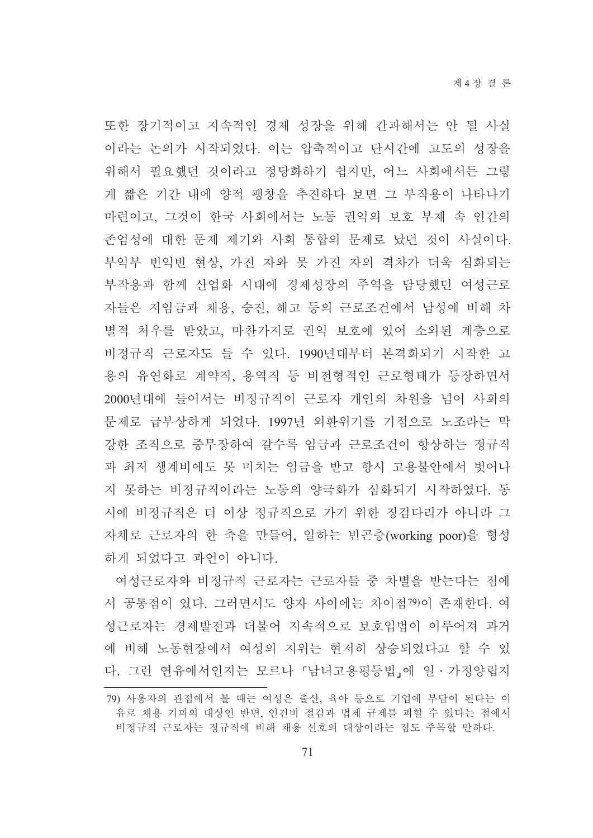또한 장기적이고 지속적인 경제 성장을 위해 간과해서는 안 될 사실 이라는 논의가 시작되었다. 이는 압축적이고 단시간에 고도의 성장을 위해서 필요했던 것이라고 정당화하기 쉽지만, 어느 사회에서든 그렇 게 짧은 기간 내에 양적 팽창을 추진하다 보면 그 부작용이 나타나기 마련이고, 그것이 한국 사회에서는 노동 권익의 보호 부재 속 인간의 존엄성에 대한 문제 제기와 사회 통합의 문제로 났던 것이 사실이다. 부익부 빈익빈 현상, 가진 자와 못 가진 자의 격차가 더욱 심화되는 부작용과 함께 산업화 시대에 경제성장의 주역을 담당했던 여성근로 자들은 저임금과 채용, 승진, 해고 등의 근로조건에서 남성에 비해 차 별적 처우를 받았고, 마찬가지로 권익 보호에 있어 소외된 계층으로 비정규직 근로자도 들 수 있다. 1990년대부터 본격화되기 시작한 고 용의 유연화로 계약직, 용역직 등 비전형적인 근로형태가 등장하면서 2000년대에 들어서는 비정규직이 근로자 개인의 차원을 넘어 사회의 문제로 급부상하게 되었다. 1997년 외환위기를 기점으로 노조라는 막 강한 조직으로 중무장하여 갈수록 임금과 근로조건이 향상하는 정규직 과 최저 생계비에도 못 미치는 임금을 받고 항시 고용불안에서 벗어나 지 못하는 비정규직이라는 노동의 양극화가 심화되기 시작하였다. 동 시에 비정규직은 더 이상 정규직으로 가기 위한 징검다리가 아니라 그 자체로 근로자의 한 축을 만들어, 일하는 빈곤층(working poor)을 형성 하게 되었다고 과언이 아니다.

여성근로자와 비정규직 근로자는 근로자들 중 차별을 받는다는 점에 서 공통점이 있다. 그러면서도 양자 사이에는 차이점79)이 존재한다. 여 성근로자는 경제발전과 더불어 지속적으로 보호입법이 이루어져 과거 에 비해 노동현장에서 여성의 지위는 현저히 상승되었다고 할 수 있 다. 그런 연유에서인지는 모르나 「남녀고용평등법」에 일 · 가정양립지

<sup>79)</sup> 사용자의 관점에서 볼 때는 여성은 출산, 육아 등으로 기업에 부담이 된다는 이 유로 채용 기피의 대상인 반면, 인건비 절감과 법제 규제를 피할 수 있다는 점에서 비정규직 근로자는 정규직에 비해 채용 선호의 대상이라는 점도 주목할 만하다.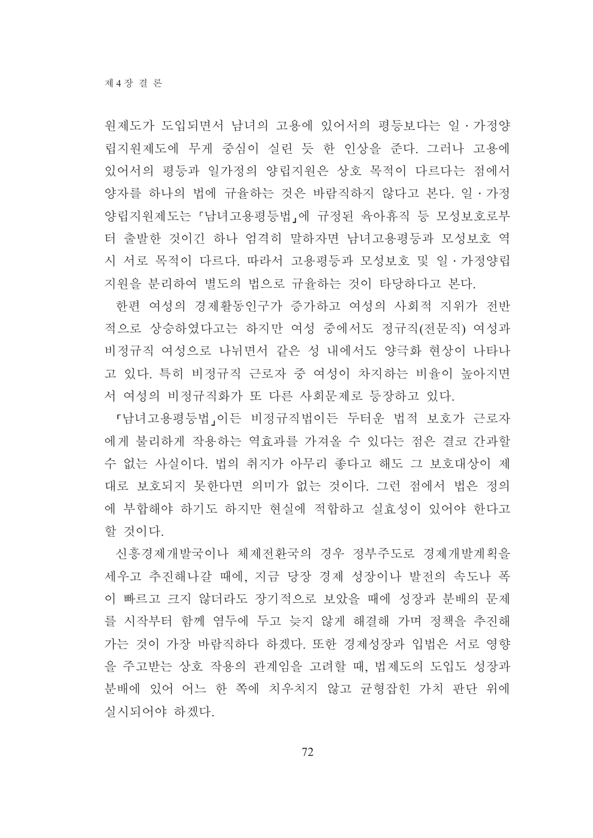워제도가 도입되면서 남녀의 고용에 있어서의 평등보다는 일 · 가정양 립지원제도에 무게 중심이 실린 듯 한 인상을 준다. 그러나 고용에 있어서의 평등과 일가정의 양립지원은 상호 목적이 다르다는 점에서 양자를 하나의 법에 규율하는 것은 바람직하지 않다고 본다. 일 • 가정 양립지원제도는 「남녀고용평등법」에 규정된 육아휴직 등 모성보호로부 터 출발한 것이긴 하나 엄격히 말하자면 남녀고용평등과 모성보호 역 시 서로 목적이 다르다. 따라서 고용평등과 모성보호 및 일ㆍ가정양립 지워을 부리하여 별도의 법으로 규율하는 것이 타당하다고 본다.

한편 여성의 경제활동인구가 증가하고 여성의 사회적 지위가 전반 적으로 상승하였다고는 하지만 여성 중에서도 정규직(전문직) 여성과 비정규직 여성으로 나뉘면서 같은 성 내에서도 양극화 현상이 나타나 고 있다. 특히 비정규직 근로자 중 여성이 차지하는 비율이 높아지면 서 여성의 비정규직화가 또 다른 사회문제로 등장하고 있다.

『남녀고용평등법』이든 비정규직법이든 두터운 법적 보호가 근로자 에게 불리하게 작용하는 역효과를 가져올 수 있다는 점은 결코 간과할 수 없는 사실이다. 법의 취지가 아무리 좋다고 해도 그 보호대상이 제 대로 보호되지 못한다면 의미가 없는 것이다. 그런 점에서 법은 정의 에 부합해야 하기도 하지만 현실에 적합하고 실효성이 있어야 하다고 할 것이다.

신흥경제개발국이나 체제전화국의 경우 정부주도로 경제개발계획을 세우고 추진해나갈 때에, 지금 당장 경제 성장이나 발전의 속도나 폭 이 빠르고 크지 않더라도 장기적으로 보았을 때에 성장과 분배의 문제 를 시작부터 함께 염두에 두고 늦지 않게 해결해 가며 정책을 추진해 가는 것이 가장 바람직하다 하겠다. 또한 경제성장과 입법은 서로 영향 을 주고받는 상호 작용의 관계임을 고려할 때, 법제도의 도입도 성장과 분배에 있어 어느 한 쪽에 치우치지 않고 균형잡힌 가치 판단 위에 실시되어야 하겠다.

72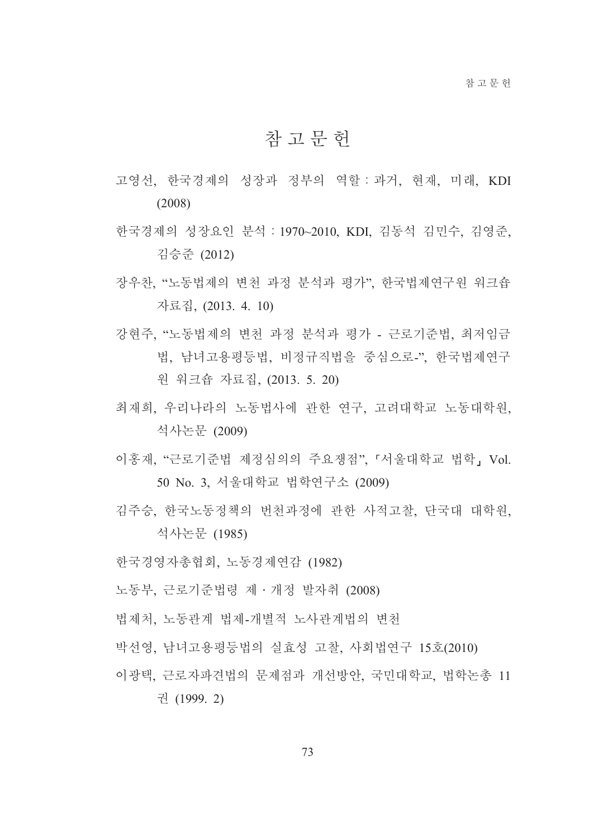## 참 고 무 헌

- 고영선, 한국경제의 성장과 정부의 역할 : 과거, 현재, 미래, KDI  $(2008)$
- 한국경제의 성장요인 분석 : 1970~2010, KDI, 김동석 김민수, 김영준, 김승준 (2012)
- 장우찬, "노동법제의 변천 과정 분석과 평가", 한국법제연구원 워크숍 자료집, (2013. 4. 10)
- 강현주, "노동법제의 변천 과정 분석과 평가 근로기준법, 최저임금 법. 남녀고용평등법. 비정규직법을 중심으로-". 한국법제여구 원 워크숍 자료집. (2013. 5. 20)
- 최재희, 우리나라의 노동법사에 관한 연구, 고려대학교 노동대학원, 석사논문 (2009)
- 이홍재, "근로기준법 제정심의의 주요쟁점", 「서울대학교 법학, Vol. 50 No. 3. 서울대학교 법학연구소 (2009)
- 김주승 한국노동정책의 번처과정에 관한 사적고찰 단국대 대학원 석사논문 (1985)
- 한국경영자총협회, 노동경제연감 (1982)
- 노동부. 근로기주법령 제 · 개정 발자취 (2008)
- 법제처. 노동관계 법제-개별적 노사관계법의 변천
- 박선영, 남녀고용평등법의 실효성 고찰, 사회법연구 15호(2010)
- 이광택, 근로자파견법의 문제점과 개선방안, 국민대학교, 법학논총 11 권 (1999. 2)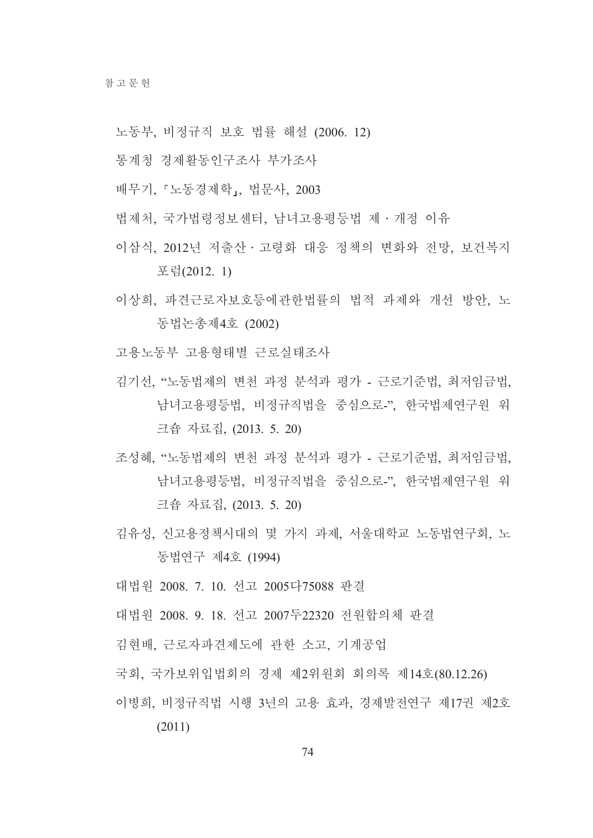- 노동부, 비정규직 보호 법률 해설 (2006. 12)
- 통계청 경제활동인구조사 부가조사
- 배무기, 「노동경제학」, 법문사, 2003
- 법제처, 국가법령정보센터, 남녀고용평등법 제 · 개정 이유
- 이삼식 2012년 저출산 · 고령화 대응 정책의 변화와 전망 보건복지 포럼(2012.1)
- 이상희, 파견근로자보호등에관한법률의 법적 과제와 개선 방안, 노 동법논총제4호 (2002)
- 고용노동부 고용형태별 근로실태조사
- 김기선. "노동법제의 변천 과정 분석과 평가 근로기준법. 최저임금법. 남녀고용평등법, 비정규직법을 중심으로-", 한국법제연구원 워 크숍 자료집, (2013. 5. 20)
- 조성혜, "노동법제의 변천 과정 분석과 평가 근로기준법, 최저임금법, 남녀고용평등법, 비정규직법을 중심으로-", 한국법제연구원 워 크숍 자료집, (2013. 5. 20)
- 김유성, 신고용정책시대의 몇 가지 과제, 서울대학교 노동법연구회, 노 동법연구 제4호 (1994)

대법워 2008. 7. 10. 선고 2005다75088 판결

- 대법원 2008 9 18 선고 2007두22320 전원합의체 판결
- 김현배, 근로자파견제도에 관한 소고, 기계공업
- 국회, 국가보위입법회의 경제 제2위원회 회의록 제14호(80.12.26)
- 이병희 비정규직법 시행 3년의 고용 효과, 경제발전연구 제17권 제2호  $(2011)$